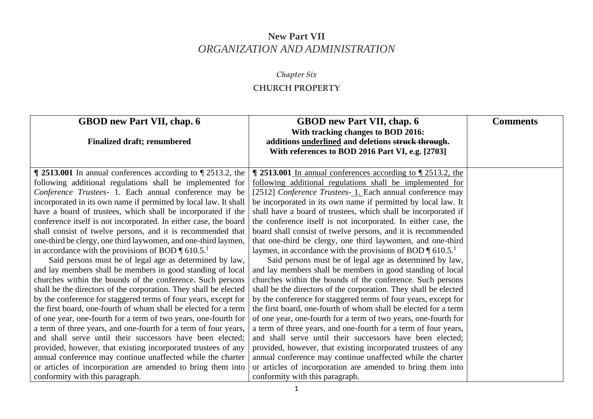## **New Part VII** *ORGANIZATION AND ADMINISTRATION*

## *Chapter Six* **CHURCH PROPERTY**

| <b>GBOD</b> new Part VII, chap. 6                                               | <b>GBOD</b> new Part VII, chap. 6                                               | <b>Comments</b> |
|---------------------------------------------------------------------------------|---------------------------------------------------------------------------------|-----------------|
|                                                                                 | With tracking changes to BOD 2016:                                              |                 |
| <b>Finalized draft; renumbered</b>                                              | additions underlined and deletions struck through.                              |                 |
|                                                                                 | With references to BOD 2016 Part VI, e.g. [2703]                                |                 |
|                                                                                 |                                                                                 |                 |
| $\parallel$ 2513.001 In annual conferences according to $\parallel$ 2513.2, the | $\parallel$ 2513.001 In annual conferences according to $\parallel$ 2513.2, the |                 |
| following additional regulations shall be implemented for                       | following additional regulations shall be implemented for                       |                 |
| Conference Trustees- 1. Each annual conference may be                           | [2512] Conference Trustees-1. Each annual conference may                        |                 |
| incorporated in its own name if permitted by local law. It shall                | be incorporated in its own name if permitted by local law. It                   |                 |
| have a board of trustees, which shall be incorporated if the                    | shall have a board of trustees, which shall be incorporated if                  |                 |
| conference itself is not incorporated. In either case, the board                | the conference itself is not incorporated. In either case, the                  |                 |
| shall consist of twelve persons, and it is recommended that                     | board shall consist of twelve persons, and it is recommended                    |                 |
| one-third be clergy, one third laywomen, and one-third laymen,                  | that one-third be clergy, one third laywomen, and one-third                     |                 |
| in accordance with the provisions of BOD $\P$ 610.5. <sup>1</sup>               | laymen, in accordance with the provisions of BOD $\P$ 610.5. <sup>1</sup>       |                 |
| Said persons must be of legal age as determined by law,                         | Said persons must be of legal age as determined by law,                         |                 |
| and lay members shall be members in good standing of local                      | and lay members shall be members in good standing of local                      |                 |
| churches within the bounds of the conference. Such persons                      | churches within the bounds of the conference. Such persons                      |                 |
| shall be the directors of the corporation. They shall be elected                | shall be the directors of the corporation. They shall be elected                |                 |
| by the conference for staggered terms of four years, except for                 | by the conference for staggered terms of four years, except for                 |                 |
| the first board, one-fourth of whom shall be elected for a term                 | the first board, one-fourth of whom shall be elected for a term                 |                 |
| of one year, one-fourth for a term of two years, one-fourth for                 | of one year, one-fourth for a term of two years, one-fourth for                 |                 |
| a term of three years, and one-fourth for a term of four years,                 | a term of three years, and one-fourth for a term of four years,                 |                 |
| and shall serve until their successors have been elected;                       | and shall serve until their successors have been elected;                       |                 |
| provided, however, that existing incorporated trustees of any                   | provided, however, that existing incorporated trustees of any                   |                 |
| annual conference may continue unaffected while the charter                     | annual conference may continue unaffected while the charter                     |                 |
| or articles of incorporation are amended to bring them into                     | or articles of incorporation are amended to bring them into                     |                 |
| conformity with this paragraph.                                                 | conformity with this paragraph.                                                 |                 |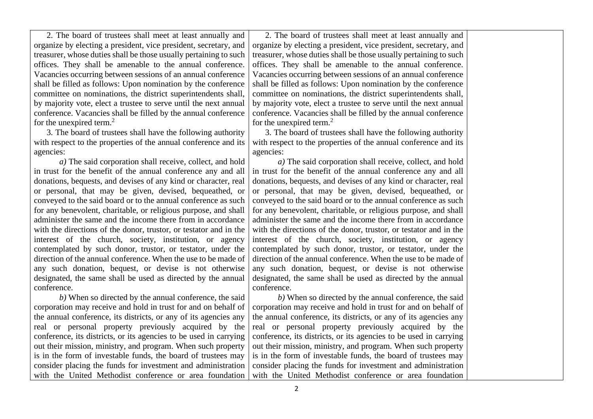2. The board of trustees shall meet at least annually and organize by electing a president, vice president, secretary, and treasurer, whose duties shall be those usually pertaining to such offices. They shall be amenable to the annual conference. Vacancies occurring between sessions of an annual conference shall be filled as follows: Upon nomination by the conference committee on nominations, the district superintendents shall, by majority vote, elect a trustee to serve until the next annual conference. Vacancies shall be filled by the annual conference for the unexpired term.<sup>2</sup>

3. The board of trustees shall have the following authority with respect to the properties of the annual conference and its agencies:

*a)* The said corporation shall receive, collect, and hold in trust for the benefit of the annual conference any and all donations, bequests, and devises of any kind or character, real or personal, that may be given, devised, bequeathed, or conveyed to the said board or to the annual conference as such for any benevolent, charitable, or religious purpose, and shall administer the same and the income there from in accordance with the directions of the donor, trustor, or testator and in the interest of the church, society, institution, or agency contemplated by such donor, trustor, or testator, under the direction of the annual conference. When the use to be made of any such donation, bequest, or devise is not otherwise designated, the same shall be used as directed by the annual conference.

*b)* When so directed by the annual conference, the said corporation may receive and hold in trust for and on behalf of the annual conference, its districts, or any of its agencies any real or personal property previously acquired by the conference, its districts, or its agencies to be used in carrying out their mission, ministry, and program. When such property is in the form of investable funds, the board of trustees may consider placing the funds for investment and administration with the United Methodist conference or area foundation

2. The board of trustees shall meet at least annually and organize by electing a president, vice president, secretary, and treasurer, whose duties shall be those usually pertaining to such offices. They shall be amenable to the annual conference. Vacancies occurring between sessions of an annual conference shall be filled as follows: Upon nomination by the conference committee on nominations, the district superintendents shall, by majority vote, elect a trustee to serve until the next annual conference. Vacancies shall be filled by the annual conference for the unexpired term.<sup>2</sup>

3. The board of trustees shall have the following authority with respect to the properties of the annual conference and its agencies:

*a)* The said corporation shall receive, collect, and hold in trust for the benefit of the annual conference any and all donations, bequests, and devises of any kind or character, real or personal, that may be given, devised, bequeathed, or conveyed to the said board or to the annual conference as such for any benevolent, charitable, or religious purpose, and shall administer the same and the income there from in accordance with the directions of the donor, trustor, or testator and in the interest of the church, society, institution, or agency contemplated by such donor, trustor, or testator, under the direction of the annual conference. When the use to be made of any such donation, bequest, or devise is not otherwise designated, the same shall be used as directed by the annual conference.

*b)* When so directed by the annual conference, the said corporation may receive and hold in trust for and on behalf of the annual conference, its districts, or any of its agencies any real or personal property previously acquired by the conference, its districts, or its agencies to be used in carrying out their mission, ministry, and program. When such property is in the form of investable funds, the board of trustees may consider placing the funds for investment and administration with the United Methodist conference or area foundation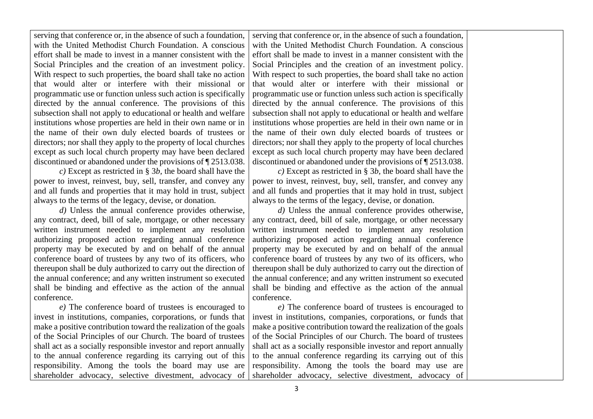serving that conference or, in the absence of such a foundation, with the United Methodist Church Foundation. A conscious effort shall be made to invest in a manner consistent with the Social Principles and the creation of an investment policy. With respect to such properties, the board shall take no action that would alter or interfere with their missional or programmatic use or function unless such action is specifically directed by the annual conference. The provisions of this subsection shall not apply to educational or health and welfare institutions whose properties are held in their own name or in the name of their own duly elected boards of trustees or directors; nor shall they apply to the property of local churches except as such local church property may have been declared discontinued or abandoned under the provisions of ¶ 2513.038.

*c)* Except as restricted in § 3*b,* the board shall have the power to invest, reinvest, buy, sell, transfer, and convey any and all funds and properties that it may hold in trust, subject always to the terms of the legacy, devise, or donation.

*d)* Unless the annual conference provides otherwise, any contract, deed, bill of sale, mortgage, or other necessary written instrument needed to implement any resolution authorizing proposed action regarding annual conference property may be executed by and on behalf of the annual conference board of trustees by any two of its officers, who thereupon shall be duly authorized to carry out the direction of the annual conference; and any written instrument so executed shall be binding and effective as the action of the annual conference.

*e)* The conference board of trustees is encouraged to invest in institutions, companies, corporations, or funds that make a positive contribution toward the realization of the goals of the Social Principles of our Church. The board of trustees shall act as a socially responsible investor and report annually to the annual conference regarding its carrying out of this responsibility. Among the tools the board may use are shareholder advocacy, selective divestment, advocacy of

serving that conference or, in the absence of such a foundation, with the United Methodist Church Foundation. A conscious effort shall be made to invest in a manner consistent with the Social Principles and the creation of an investment policy. With respect to such properties, the board shall take no action that would alter or interfere with their missional or programmatic use or function unless such action is specifically directed by the annual conference. The provisions of this subsection shall not apply to educational or health and welfare institutions whose properties are held in their own name or in the name of their own duly elected boards of trustees or directors; nor shall they apply to the property of local churches except as such local church property may have been declared discontinued or abandoned under the provisions of ¶ 2513.038.

*c)* Except as restricted in § 3*b,* the board shall have the power to invest, reinvest, buy, sell, transfer, and convey any and all funds and properties that it may hold in trust, subject always to the terms of the legacy, devise, or donation.

*d)* Unless the annual conference provides otherwise, any contract, deed, bill of sale, mortgage, or other necessary written instrument needed to implement any resolution authorizing proposed action regarding annual conference property may be executed by and on behalf of the annual conference board of trustees by any two of its officers, who thereupon shall be duly authorized to carry out the direction of the annual conference; and any written instrument so executed shall be binding and effective as the action of the annual conference.

*e)* The conference board of trustees is encouraged to invest in institutions, companies, corporations, or funds that make a positive contribution toward the realization of the goals of the Social Principles of our Church. The board of trustees shall act as a socially responsible investor and report annually to the annual conference regarding its carrying out of this responsibility. Among the tools the board may use are shareholder advocacy, selective divestment, advocacy of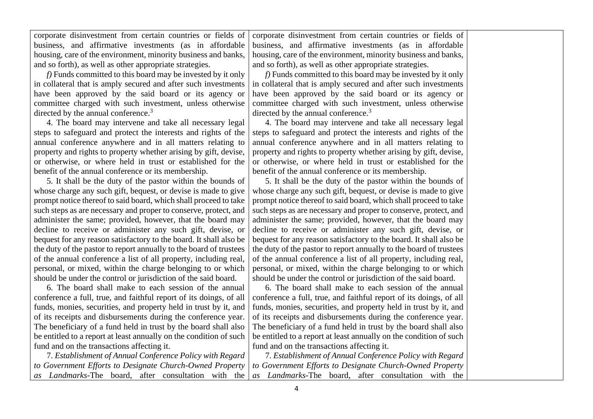corporate disinvestment from certain countries or fields of business, and affirmative investments (as in affordable housing, care of the environment, minority business and banks, and so forth), as well as other appropriate strategies.

*f)* Funds committed to this board may be invested by it only in collateral that is amply secured and after such investments have been approved by the said board or its agency or committee charged with such investment, unless otherwise directed by the annual conference.<sup>3</sup>

4. The board may intervene and take all necessary legal steps to safeguard and protect the interests and rights of the annual conference anywhere and in all matters relating to property and rights to property whether arising by gift, devise, or otherwise, or where held in trust or established for the benefit of the annual conference or its membership.

5. It shall be the duty of the pastor within the bounds of whose charge any such gift, bequest, or devise is made to give prompt notice thereof to said board, which shall proceed to take such steps as are necessary and proper to conserve, protect, and administer the same; provided, however, that the board may decline to receive or administer any such gift, devise, or bequest for any reason satisfactory to the board. It shall also be the duty of the pastor to report annually to the board of trustees of the annual conference a list of all property, including real, personal, or mixed, within the charge belonging to or which should be under the control or jurisdiction of the said board.

6. The board shall make to each session of the annual conference a full, true, and faithful report of its doings, of all funds, monies, securities, and property held in trust by it, and of its receipts and disbursements during the conference year. The beneficiary of a fund held in trust by the board shall also be entitled to a report at least annually on the condition of such fund and on the transactions affecting it.

7. *Establishment of Annual Conference Policy with Regard to Government Efforts to Designate Church-Owned Property as Landmarks*-The board, after consultation with the

corporate disinvestment from certain countries or fields of business, and affirmative investments (as in affordable housing, care of the environment, minority business and banks, and so forth), as well as other appropriate strategies.

*f)* Funds committed to this board may be invested by it only in collateral that is amply secured and after such investments have been approved by the said board or its agency or committee charged with such investment, unless otherwise directed by the annual conference.<sup>3</sup>

4. The board may intervene and take all necessary legal steps to safeguard and protect the interests and rights of the annual conference anywhere and in all matters relating to property and rights to property whether arising by gift, devise, or otherwise, or where held in trust or established for the benefit of the annual conference or its membership.

5. It shall be the duty of the pastor within the bounds of whose charge any such gift, bequest, or devise is made to give prompt notice thereof to said board, which shall proceed to take such steps as are necessary and proper to conserve, protect, and administer the same; provided, however, that the board may decline to receive or administer any such gift, devise, or bequest for any reason satisfactory to the board. It shall also be the duty of the pastor to report annually to the board of trustees of the annual conference a list of all property, including real, personal, or mixed, within the charge belonging to or which should be under the control or jurisdiction of the said board.

6. The board shall make to each session of the annual conference a full, true, and faithful report of its doings, of all funds, monies, securities, and property held in trust by it, and of its receipts and disbursements during the conference year. The beneficiary of a fund held in trust by the board shall also be entitled to a report at least annually on the condition of such fund and on the transactions affecting it.

7. *Establishment of Annual Conference Policy with Regard to Government Efforts to Designate Church-Owned Property as Landmarks*-The board, after consultation with the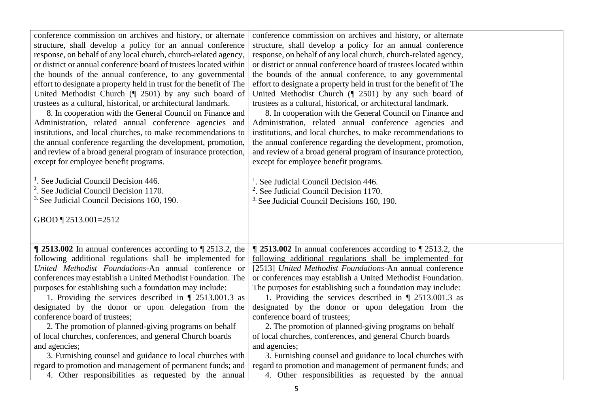| conference commission on archives and history, or alternate<br>structure, shall develop a policy for an annual conference<br>response, on behalf of any local church, church-related agency,<br>or district or annual conference board of trustees located within<br>the bounds of the annual conference, to any governmental<br>effort to designate a property held in trust for the benefit of The<br>United Methodist Church $(\P$ 2501) by any such board of<br>trustees as a cultural, historical, or architectural landmark.<br>8. In cooperation with the General Council on Finance and<br>Administration, related annual conference agencies and<br>institutions, and local churches, to make recommendations to<br>the annual conference regarding the development, promotion,<br>and review of a broad general program of insurance protection,<br>except for employee benefit programs.<br><sup>1</sup> . See Judicial Council Decision 446.<br><sup>2</sup> . See Judicial Council Decision 1170.<br>See Judicial Council Decisions 160, 190.<br>GBOD 12513.001=2512 | conference commission on archives and history, or alternate<br>structure, shall develop a policy for an annual conference<br>response, on behalf of any local church, church-related agency,<br>or district or annual conference board of trustees located within<br>the bounds of the annual conference, to any governmental<br>effort to designate a property held in trust for the benefit of The<br>United Methodist Church $(\sqrt{\phantom{a}} 2501)$ by any such board of<br>trustees as a cultural, historical, or architectural landmark.<br>8. In cooperation with the General Council on Finance and<br>Administration, related annual conference agencies and<br>institutions, and local churches, to make recommendations to<br>the annual conference regarding the development, promotion,<br>and review of a broad general program of insurance protection,<br>except for employee benefit programs.<br><sup>1</sup> . See Judicial Council Decision 446.<br><sup>2</sup> . See Judicial Council Decision 1170.<br><sup>3.</sup> See Judicial Council Decisions 160, 190. |  |
|-----------------------------------------------------------------------------------------------------------------------------------------------------------------------------------------------------------------------------------------------------------------------------------------------------------------------------------------------------------------------------------------------------------------------------------------------------------------------------------------------------------------------------------------------------------------------------------------------------------------------------------------------------------------------------------------------------------------------------------------------------------------------------------------------------------------------------------------------------------------------------------------------------------------------------------------------------------------------------------------------------------------------------------------------------------------------------------|------------------------------------------------------------------------------------------------------------------------------------------------------------------------------------------------------------------------------------------------------------------------------------------------------------------------------------------------------------------------------------------------------------------------------------------------------------------------------------------------------------------------------------------------------------------------------------------------------------------------------------------------------------------------------------------------------------------------------------------------------------------------------------------------------------------------------------------------------------------------------------------------------------------------------------------------------------------------------------------------------------------------------------------------------------------------------------------|--|
| $\parallel$ 2513.002 In annual conferences according to $\parallel$ 2513.2, the<br>following additional regulations shall be implemented for<br>United Methodist Foundations-An annual conference or<br>conferences may establish a United Methodist Foundation. The<br>purposes for establishing such a foundation may include:<br>1. Providing the services described in $\P$ 2513.001.3 as<br>designated by the donor or upon delegation from the<br>conference board of trustees;<br>2. The promotion of planned-giving programs on behalf<br>of local churches, conferences, and general Church boards<br>and agencies;<br>3. Furnishing counsel and guidance to local churches with<br>regard to promotion and management of permanent funds; and<br>4. Other responsibilities as requested by the annual                                                                                                                                                                                                                                                                   | 2513.002 In annual conferences according to $\S$ 2513.2, the<br>following additional regulations shall be implemented for<br>[2513] United Methodist Foundations-An annual conference<br>or conferences may establish a United Methodist Foundation.<br>The purposes for establishing such a foundation may include:<br>1. Providing the services described in $\P$ 2513.001.3 as<br>designated by the donor or upon delegation from the<br>conference board of trustees;<br>2. The promotion of planned-giving programs on behalf<br>of local churches, conferences, and general Church boards<br>and agencies;<br>3. Furnishing counsel and guidance to local churches with<br>regard to promotion and management of permanent funds; and<br>4. Other responsibilities as requested by the annual                                                                                                                                                                                                                                                                                      |  |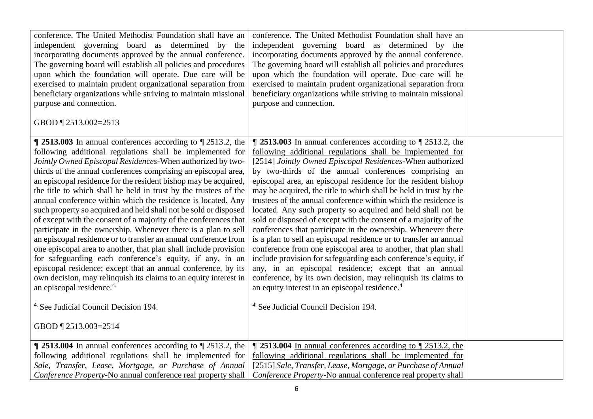| conference. The United Methodist Foundation shall have an<br>independent governing board as determined by the<br>incorporating documents approved by the annual conference.<br>The governing board will establish all policies and procedures<br>upon which the foundation will operate. Due care will be<br>exercised to maintain prudent organizational separation from<br>beneficiary organizations while striving to maintain missional<br>purpose and connection.<br>GBOD 12513.002=2513                                                                                                                                                                                                                                                                                                                                                                                                                                                                                                                                                                                                                        | conference. The United Methodist Foundation shall have an<br>independent governing board as determined by the<br>incorporating documents approved by the annual conference.<br>The governing board will establish all policies and procedures<br>upon which the foundation will operate. Due care will be<br>exercised to maintain prudent organizational separation from<br>beneficiary organizations while striving to maintain missional<br>purpose and connection.                                                                                                                                                                                                                                                                                                                                                                                                                                                                                                                                                                                                                                                   |  |
|----------------------------------------------------------------------------------------------------------------------------------------------------------------------------------------------------------------------------------------------------------------------------------------------------------------------------------------------------------------------------------------------------------------------------------------------------------------------------------------------------------------------------------------------------------------------------------------------------------------------------------------------------------------------------------------------------------------------------------------------------------------------------------------------------------------------------------------------------------------------------------------------------------------------------------------------------------------------------------------------------------------------------------------------------------------------------------------------------------------------|--------------------------------------------------------------------------------------------------------------------------------------------------------------------------------------------------------------------------------------------------------------------------------------------------------------------------------------------------------------------------------------------------------------------------------------------------------------------------------------------------------------------------------------------------------------------------------------------------------------------------------------------------------------------------------------------------------------------------------------------------------------------------------------------------------------------------------------------------------------------------------------------------------------------------------------------------------------------------------------------------------------------------------------------------------------------------------------------------------------------------|--|
| $\P$ 2513.003 In annual conferences according to $\P$ 2513.2, the<br>following additional regulations shall be implemented for<br>Jointly Owned Episcopal Residences-When authorized by two-<br>thirds of the annual conferences comprising an episcopal area,<br>an episcopal residence for the resident bishop may be acquired,<br>the title to which shall be held in trust by the trustees of the<br>annual conference within which the residence is located. Any<br>such property so acquired and held shall not be sold or disposed<br>of except with the consent of a majority of the conferences that<br>participate in the ownership. Whenever there is a plan to sell<br>an episcopal residence or to transfer an annual conference from<br>one episcopal area to another, that plan shall include provision<br>for safeguarding each conference's equity, if any, in an<br>episcopal residence; except that an annual conference, by its<br>own decision, may relinquish its claims to an equity interest in<br>an episcopal residence. <sup>4.</sup><br><sup>4.</sup> See Judicial Council Decision 194. | 2513.003 In annual conferences according to $\sqrt{2513.2}$ , the<br>following additional regulations shall be implemented for<br>[2514] Jointly Owned Episcopal Residences-When authorized<br>by two-thirds of the annual conferences comprising an<br>episcopal area, an episcopal residence for the resident bishop<br>may be acquired, the title to which shall be held in trust by the<br>trustees of the annual conference within which the residence is<br>located. Any such property so acquired and held shall not be<br>sold or disposed of except with the consent of a majority of the<br>conferences that participate in the ownership. Whenever there<br>is a plan to sell an episcopal residence or to transfer an annual<br>conference from one episcopal area to another, that plan shall<br>include provision for safeguarding each conference's equity, if<br>any, in an episcopal residence; except that an annual<br>conference, by its own decision, may relinquish its claims to<br>an equity interest in an episcopal residence. <sup>4</sup><br><sup>4</sup> See Judicial Council Decision 194. |  |
| GBOD 12513.003=2514                                                                                                                                                                                                                                                                                                                                                                                                                                                                                                                                                                                                                                                                                                                                                                                                                                                                                                                                                                                                                                                                                                  |                                                                                                                                                                                                                                                                                                                                                                                                                                                                                                                                                                                                                                                                                                                                                                                                                                                                                                                                                                                                                                                                                                                          |  |
| $\parallel$ 2513.004 In annual conferences according to $\parallel$ 2513.2, the<br>following additional regulations shall be implemented for<br>Sale, Transfer, Lease, Mortgage, or Purchase of Annual<br>Conference Property-No annual conference real property shall                                                                                                                                                                                                                                                                                                                                                                                                                                                                                                                                                                                                                                                                                                                                                                                                                                               | $\parallel$ 2513.004 In annual conferences according to $\parallel$ 2513.2, the<br>following additional regulations shall be implemented for<br>[2515] Sale, Transfer, Lease, Mortgage, or Purchase of Annual<br>Conference Property-No annual conference real property shall                                                                                                                                                                                                                                                                                                                                                                                                                                                                                                                                                                                                                                                                                                                                                                                                                                            |  |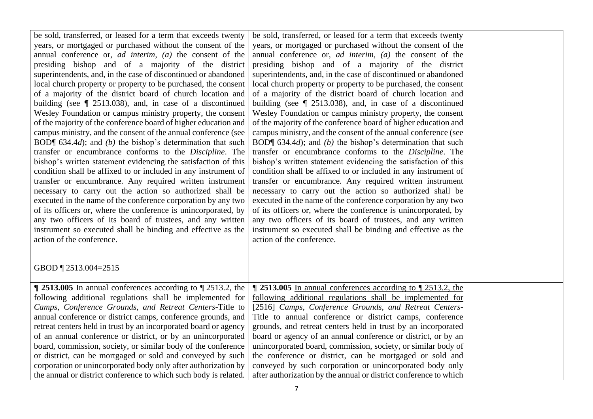| be sold, transferred, or leased for a term that exceeds twenty             | be sold, transferred, or leased for a term that exceeds twenty                  |  |
|----------------------------------------------------------------------------|---------------------------------------------------------------------------------|--|
| years, or mortgaged or purchased without the consent of the                | years, or mortgaged or purchased without the consent of the                     |  |
| annual conference or, <i>ad interim</i> , $(a)$ the consent of the         | annual conference or, <i>ad interim</i> , $(a)$ the consent of the              |  |
| presiding bishop and of a majority of the district                         | presiding bishop and of a majority of the district                              |  |
| superintendents, and, in the case of discontinued or abandoned             | superintendents, and, in the case of discontinued or abandoned                  |  |
| local church property or property to be purchased, the consent             | local church property or property to be purchased, the consent                  |  |
| of a majority of the district board of church location and                 | of a majority of the district board of church location and                      |  |
| building (see $\llbracket$ 2513.038), and, in case of a discontinued       | building (see $\P$ 2513.038), and, in case of a discontinued                    |  |
| Wesley Foundation or campus ministry property, the consent                 | Wesley Foundation or campus ministry property, the consent                      |  |
| of the majority of the conference board of higher education and            | of the majority of the conference board of higher education and                 |  |
| campus ministry, and the consent of the annual conference (see             | campus ministry, and the consent of the annual conference (see                  |  |
| BOD¶ 634.4 <i>d</i> ); and <i>(b)</i> the bishop's determination that such | BOD¶ 634.4 <i>d</i> ); and ( <i>b</i> ) the bishop's determination that such    |  |
| transfer or encumbrance conforms to the Discipline. The                    | transfer or encumbrance conforms to the Discipline. The                         |  |
| bishop's written statement evidencing the satisfaction of this             | bishop's written statement evidencing the satisfaction of this                  |  |
| condition shall be affixed to or included in any instrument of             | condition shall be affixed to or included in any instrument of                  |  |
| transfer or encumbrance. Any required written instrument                   | transfer or encumbrance. Any required written instrument                        |  |
| necessary to carry out the action so authorized shall be                   | necessary to carry out the action so authorized shall be                        |  |
| executed in the name of the conference corporation by any two              | executed in the name of the conference corporation by any two                   |  |
| of its officers or, where the conference is unincorporated, by             | of its officers or, where the conference is unincorporated, by                  |  |
| any two officers of its board of trustees, and any written                 | any two officers of its board of trustees, and any written                      |  |
| instrument so executed shall be binding and effective as the               | instrument so executed shall be binding and effective as the                    |  |
| action of the conference.                                                  | action of the conference.                                                       |  |
|                                                                            |                                                                                 |  |
|                                                                            |                                                                                 |  |
| GBOD 12513.004=2515                                                        |                                                                                 |  |
|                                                                            |                                                                                 |  |
| 2513.005 In annual conferences according to $\P$ 2513.2, the               | $\parallel$ 2513.005 In annual conferences according to $\parallel$ 2513.2, the |  |
| following additional regulations shall be implemented for                  | following additional regulations shall be implemented for                       |  |
| Camps, Conference Grounds, and Retreat Centers-Title to                    | [2516] Camps, Conference Grounds, and Retreat Centers-                          |  |
| annual conference or district camps, conference grounds, and               | Title to annual conference or district camps, conference                        |  |
| retreat centers held in trust by an incorporated board or agency           | grounds, and retreat centers held in trust by an incorporated                   |  |
| of an annual conference or district, or by an unincorporated               | board or agency of an annual conference or district, or by an                   |  |
| board, commission, society, or similar body of the conference              | unincorporated board, commission, society, or similar body of                   |  |
| or district, can be mortgaged or sold and conveyed by such                 | the conference or district, can be mortgaged or sold and                        |  |
| corporation or unincorporated body only after authorization by             | conveyed by such corporation or unincorporated body only                        |  |
| the annual or district conference to which such body is related.           | after authorization by the annual or district conference to which               |  |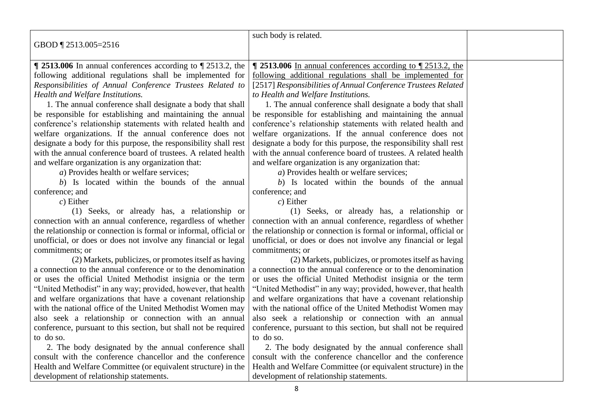|                                                                   | such body is related.                                             |  |
|-------------------------------------------------------------------|-------------------------------------------------------------------|--|
| GBOD 12513.005=2516                                               |                                                                   |  |
|                                                                   |                                                                   |  |
| $\P$ 2513.006 In annual conferences according to $\P$ 2513.2, the | <b>12513.006</b> In annual conferences according to 12513.2, the  |  |
| following additional regulations shall be implemented for         | following additional regulations shall be implemented for         |  |
| Responsibilities of Annual Conference Trustees Related to         | [2517] Responsibilities of Annual Conference Trustees Related     |  |
| Health and Welfare Institutions.                                  | to Health and Welfare Institutions.                               |  |
| 1. The annual conference shall designate a body that shall        | 1. The annual conference shall designate a body that shall        |  |
| be responsible for establishing and maintaining the annual        | be responsible for establishing and maintaining the annual        |  |
| conference's relationship statements with related health and      | conference's relationship statements with related health and      |  |
| welfare organizations. If the annual conference does not          | welfare organizations. If the annual conference does not          |  |
| designate a body for this purpose, the responsibility shall rest  | designate a body for this purpose, the responsibility shall rest  |  |
| with the annual conference board of trustees. A related health    | with the annual conference board of trustees. A related health    |  |
| and welfare organization is any organization that:                | and welfare organization is any organization that:                |  |
| a) Provides health or welfare services;                           | a) Provides health or welfare services;                           |  |
| b) Is located within the bounds of the annual                     | b) Is located within the bounds of the annual                     |  |
| conference; and                                                   | conference; and                                                   |  |
| $c)$ Either                                                       | $c)$ Either                                                       |  |
| (1) Seeks, or already has, a relationship or                      | (1) Seeks, or already has, a relationship or                      |  |
| connection with an annual conference, regardless of whether       | connection with an annual conference, regardless of whether       |  |
| the relationship or connection is formal or informal, official or | the relationship or connection is formal or informal, official or |  |
| unofficial, or does or does not involve any financial or legal    | unofficial, or does or does not involve any financial or legal    |  |
| commitments; or                                                   | commitments; or                                                   |  |
| (2) Markets, publicizes, or promotes itself as having             | (2) Markets, publicizes, or promotes itself as having             |  |
| a connection to the annual conference or to the denomination      | a connection to the annual conference or to the denomination      |  |
| or uses the official United Methodist insignia or the term        | or uses the official United Methodist insignia or the term        |  |
| "United Methodist" in any way; provided, however, that health     | "United Methodist" in any way; provided, however, that health     |  |
| and welfare organizations that have a covenant relationship       | and welfare organizations that have a covenant relationship       |  |
| with the national office of the United Methodist Women may        | with the national office of the United Methodist Women may        |  |
| also seek a relationship or connection with an annual             | also seek a relationship or connection with an annual             |  |
| conference, pursuant to this section, but shall not be required   | conference, pursuant to this section, but shall not be required   |  |
| to do so.                                                         | to do so.                                                         |  |
| 2. The body designated by the annual conference shall             | 2. The body designated by the annual conference shall             |  |
| consult with the conference chancellor and the conference         | consult with the conference chancellor and the conference         |  |
| Health and Welfare Committee (or equivalent structure) in the     | Health and Welfare Committee (or equivalent structure) in the     |  |
| development of relationship statements.                           | development of relationship statements.                           |  |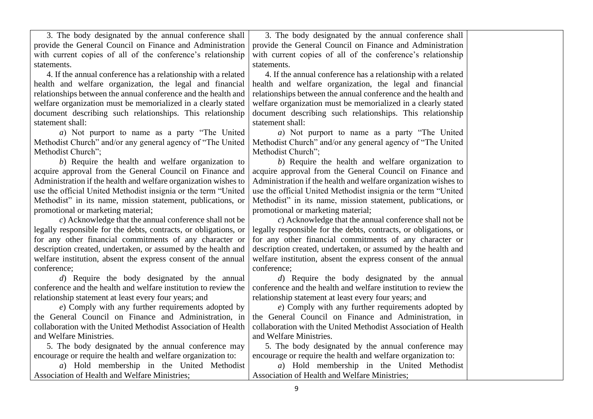3. The body designated by the annual conference shall provide the General Council on Finance and Administration with current copies of all of the conference's relationship statements. 3. The body designated by the annual conference shall provide the General Council on Finance and Administration with current copies of all of the conference's relationship statements.

4. If the annual conference has a relationship with a related health and welfare organization, the legal and financial relationships between the annual conference and the health and welfare organization must be memorialized in a clearly stated document describing such relationships. This relationship statement shall:

*a*) Not purport to name as a party "The United Methodist Church" and/or any general agency of "The United Methodist Church":

*b*) Require the health and welfare organization to acquire approval from the General Council on Finance and Administration if the health and welfare organization wishes to use the official United Methodist insignia or the term "United Methodist" in its name, mission statement, publications, or promotional or marketing material;

*c*) Acknowledge that the annual conference shall not be legally responsible for the debts, contracts, or obligations, or for any other financial commitments of any character or description created, undertaken, or assumed by the health and welfare institution, absent the express consent of the annual conference;

*d*) Require the body designated by the annual conference and the health and welfare institution to review the relationship statement at least every four years; and

*e*) Comply with any further requirements adopted by the General Council on Finance and Administration, in collaboration with the United Methodist Association of Health and Welfare Ministries.

5. The body designated by the annual conference may encourage or require the health and welfare organization to:

*a*) Hold membership in the United Methodist Association of Health and Welfare Ministries;

4. If the annual conference has a relationship with a related health and welfare organization, the legal and financial relationships between the annual conference and the health and welfare organization must be memorialized in a clearly stated document describing such relationships. This relationship statement shall:

*a*) Not purport to name as a party "The United Methodist Church" and/or any general agency of "The United Methodist Church";

*b*) Require the health and welfare organization to acquire approval from the General Council on Finance and Administration if the health and welfare organization wishes to use the official United Methodist insignia or the term "United Methodist" in its name, mission statement, publications, or promotional or marketing material;

*c*) Acknowledge that the annual conference shall not be legally responsible for the debts, contracts, or obligations, or for any other financial commitments of any character or description created, undertaken, or assumed by the health and welfare institution, absent the express consent of the annual conference;

*d*) Require the body designated by the annual conference and the health and welfare institution to review the relationship statement at least every four years; and

*e*) Comply with any further requirements adopted by the General Council on Finance and Administration, in collaboration with the United Methodist Association of Health and Welfare Ministries.

5. The body designated by the annual conference may encourage or require the health and welfare organization to: *a*) Hold membership in the United Methodist Association of Health and Welfare Ministries;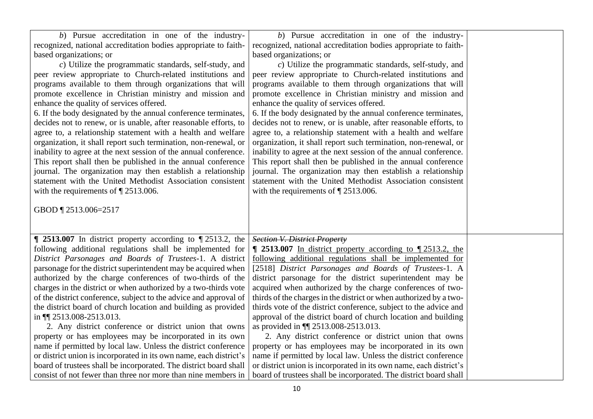| b) Pursue accreditation in one of the industry-                                | b) Pursue accreditation in one of the industry-                                |  |
|--------------------------------------------------------------------------------|--------------------------------------------------------------------------------|--|
| recognized, national accreditation bodies appropriate to faith-                | recognized, national accreditation bodies appropriate to faith-                |  |
| based organizations; or                                                        | based organizations; or                                                        |  |
| c) Utilize the programmatic standards, self-study, and                         | c) Utilize the programmatic standards, self-study, and                         |  |
| peer review appropriate to Church-related institutions and                     | peer review appropriate to Church-related institutions and                     |  |
| programs available to them through organizations that will                     | programs available to them through organizations that will                     |  |
| promote excellence in Christian ministry and mission and                       | promote excellence in Christian ministry and mission and                       |  |
| enhance the quality of services offered.                                       | enhance the quality of services offered.                                       |  |
| 6. If the body designated by the annual conference terminates,                 | 6. If the body designated by the annual conference terminates,                 |  |
| decides not to renew, or is unable, after reasonable efforts, to               | decides not to renew, or is unable, after reasonable efforts, to               |  |
| agree to, a relationship statement with a health and welfare                   | agree to, a relationship statement with a health and welfare                   |  |
| organization, it shall report such termination, non-renewal, or                | organization, it shall report such termination, non-renewal, or                |  |
| inability to agree at the next session of the annual conference.               | inability to agree at the next session of the annual conference.               |  |
| This report shall then be published in the annual conference                   | This report shall then be published in the annual conference                   |  |
| journal. The organization may then establish a relationship                    | journal. The organization may then establish a relationship                    |  |
| statement with the United Methodist Association consistent                     | statement with the United Methodist Association consistent                     |  |
| with the requirements of $\P$ 2513.006.                                        | with the requirements of $\P$ 2513.006.                                        |  |
|                                                                                |                                                                                |  |
| GBOD 12513.006=2517                                                            |                                                                                |  |
|                                                                                |                                                                                |  |
|                                                                                |                                                                                |  |
| $\parallel$ 2513.007 In district property according to $\parallel$ 2513.2, the | <b>Section V. District Property</b>                                            |  |
| following additional regulations shall be implemented for                      | $\parallel$ 2513.007 In district property according to $\parallel$ 2513.2, the |  |
| District Parsonages and Boards of Trustees-1. A district                       | following additional regulations shall be implemented for                      |  |
| parsonage for the district superintendent may be acquired when                 | [2518] District Parsonages and Boards of Trustees-1. A                         |  |
| authorized by the charge conferences of two-thirds of the                      | district parsonage for the district superintendent may be                      |  |
| charges in the district or when authorized by a two-thirds vote                | acquired when authorized by the charge conferences of two-                     |  |
| of the district conference, subject to the advice and approval of              | thirds of the charges in the district or when authorized by a two-             |  |
| the district board of church location and building as provided                 | thirds vote of the district conference, subject to the advice and              |  |
| in ¶ 2513.008-2513.013.                                                        | approval of the district board of church location and building                 |  |
| 2. Any district conference or district union that owns                         | as provided in $\P$ 2513.008-2513.013.                                         |  |
| property or has employees may be incorporated in its own                       | 2. Any district conference or district union that owns                         |  |
| name if permitted by local law. Unless the district conference                 | property or has employees may be incorporated in its own                       |  |
| or district union is incorporated in its own name, each district's             | name if permitted by local law. Unless the district conference                 |  |
| board of trustees shall be incorporated. The district board shall              | or district union is incorporated in its own name, each district's             |  |
| consist of not fewer than three nor more than nine members in                  | board of trustees shall be incorporated. The district board shall              |  |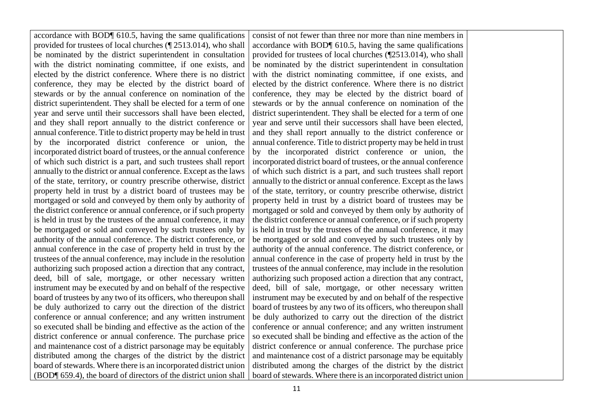accordance with BOD¶ 610.5, having the same qualifications provided for trustees of local churches (¶ 2513.014), who shall be nominated by the district superintendent in consultation with the district nominating committee, if one exists, and elected by the district conference. Where there is no district conference, they may be elected by the district board of stewards or by the annual conference on nomination of the district superintendent. They shall be elected for a term of one year and serve until their successors shall have been elected, and they shall report annually to the district conference or annual conference. Title to district property may be held in trust by the incorporated district conference or union, the incorporated district board of trustees, or the annual conference of which such district is a part, and such trustees shall report annually to the district or annual conference. Except as the laws of the state, territory, or country prescribe otherwise, district property held in trust by a district board of trustees may be mortgaged or sold and conveyed by them only by authority of the district conference or annual conference, or if such property is held in trust by the trustees of the annual conference, it may be mortgaged or sold and conveyed by such trustees only by authority of the annual conference. The district conference, or annual conference in the case of property held in trust by the trustees of the annual conference, may include in the resolution authorizing such proposed action a direction that any contract, deed, bill of sale, mortgage, or other necessary written instrument may be executed by and on behalf of the respective board of trustees by any two of its officers, who thereupon shall be duly authorized to carry out the direction of the district conference or annual conference; and any written instrument so executed shall be binding and effective as the action of the district conference or annual conference. The purchase price and maintenance cost of a district parsonage may be equitably distributed among the charges of the district by the district board of stewards. Where there is an incorporated district union (BOD¶ 659.4), the board of directors of the district union shall

consist of not fewer than three nor more than nine members in accordance with BOD¶ 610.5, having the same qualifications provided for trustees of local churches (¶2513.014), who shall be nominated by the district superintendent in consultation with the district nominating committee, if one exists, and elected by the district conference. Where there is no district conference, they may be elected by the district board of stewards or by the annual conference on nomination of the district superintendent. They shall be elected for a term of one year and serve until their successors shall have been elected, and they shall report annually to the district conference or annual conference. Title to district property may be held in trust by the incorporated district conference or union, the incorporated district board of trustees, or the annual conference of which such district is a part, and such trustees shall report annually to the district or annual conference. Except as the laws of the state, territory, or country prescribe otherwise, district property held in trust by a district board of trustees may be mortgaged or sold and conveyed by them only by authority of the district conference or annual conference, or if such property is held in trust by the trustees of the annual conference, it may be mortgaged or sold and conveyed by such trustees only by authority of the annual conference. The district conference, or annual conference in the case of property held in trust by the trustees of the annual conference, may include in the resolution authorizing such proposed action a direction that any contract, deed, bill of sale, mortgage, or other necessary written instrument may be executed by and on behalf of the respective board of trustees by any two of its officers, who thereupon shall be duly authorized to carry out the direction of the district conference or annual conference; and any written instrument so executed shall be binding and effective as the action of the district conference or annual conference. The purchase price and maintenance cost of a district parsonage may be equitably distributed among the charges of the district by the district board of stewards. Where there is an incorporated district union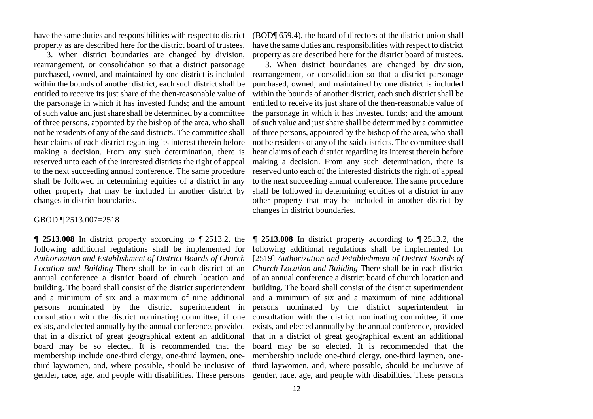| have the same duties and responsibilities with respect to district<br>property as are described here for the district board of trustees.<br>3. When district boundaries are changed by division,<br>rearrangement, or consolidation so that a district parsonage<br>purchased, owned, and maintained by one district is included<br>within the bounds of another district, each such district shall be<br>entitled to receive its just share of the then-reasonable value of<br>the parsonage in which it has invested funds; and the amount<br>of such value and just share shall be determined by a committee<br>of three persons, appointed by the bishop of the area, who shall<br>not be residents of any of the said districts. The committee shall<br>hear claims of each district regarding its interest therein before<br>making a decision. From any such determination, there is<br>reserved unto each of the interested districts the right of appeal<br>to the next succeeding annual conference. The same procedure<br>shall be followed in determining equities of a district in any | (BOD¶ 659.4), the board of directors of the district union shall<br>have the same duties and responsibilities with respect to district<br>property as are described here for the district board of trustees.<br>3. When district boundaries are changed by division,<br>rearrangement, or consolidation so that a district parsonage<br>purchased, owned, and maintained by one district is included<br>within the bounds of another district, each such district shall be<br>entitled to receive its just share of the then-reasonable value of<br>the parsonage in which it has invested funds; and the amount<br>of such value and just share shall be determined by a committee<br>of three persons, appointed by the bishop of the area, who shall<br>not be residents of any of the said districts. The committee shall<br>hear claims of each district regarding its interest therein before<br>making a decision. From any such determination, there is<br>reserved unto each of the interested districts the right of appeal<br>to the next succeeding annual conference. The same procedure |  |
|-----------------------------------------------------------------------------------------------------------------------------------------------------------------------------------------------------------------------------------------------------------------------------------------------------------------------------------------------------------------------------------------------------------------------------------------------------------------------------------------------------------------------------------------------------------------------------------------------------------------------------------------------------------------------------------------------------------------------------------------------------------------------------------------------------------------------------------------------------------------------------------------------------------------------------------------------------------------------------------------------------------------------------------------------------------------------------------------------------|-------------------------------------------------------------------------------------------------------------------------------------------------------------------------------------------------------------------------------------------------------------------------------------------------------------------------------------------------------------------------------------------------------------------------------------------------------------------------------------------------------------------------------------------------------------------------------------------------------------------------------------------------------------------------------------------------------------------------------------------------------------------------------------------------------------------------------------------------------------------------------------------------------------------------------------------------------------------------------------------------------------------------------------------------------------------------------------------------------|--|
| other property that may be included in another district by                                                                                                                                                                                                                                                                                                                                                                                                                                                                                                                                                                                                                                                                                                                                                                                                                                                                                                                                                                                                                                          | shall be followed in determining equities of a district in any                                                                                                                                                                                                                                                                                                                                                                                                                                                                                                                                                                                                                                                                                                                                                                                                                                                                                                                                                                                                                                        |  |
| changes in district boundaries.                                                                                                                                                                                                                                                                                                                                                                                                                                                                                                                                                                                                                                                                                                                                                                                                                                                                                                                                                                                                                                                                     | other property that may be included in another district by<br>changes in district boundaries.                                                                                                                                                                                                                                                                                                                                                                                                                                                                                                                                                                                                                                                                                                                                                                                                                                                                                                                                                                                                         |  |
| GBOD 12513.007=2518                                                                                                                                                                                                                                                                                                                                                                                                                                                                                                                                                                                                                                                                                                                                                                                                                                                                                                                                                                                                                                                                                 |                                                                                                                                                                                                                                                                                                                                                                                                                                                                                                                                                                                                                                                                                                                                                                                                                                                                                                                                                                                                                                                                                                       |  |
| <b>2513.008</b> In district property according to $\P$ 2513.2, the<br>following additional regulations shall be implemented for<br>Authorization and Establishment of District Boards of Church<br>Location and Building-There shall be in each district of an<br>annual conference a district board of church location and<br>building. The board shall consist of the district superintendent<br>and a minimum of six and a maximum of nine additional<br>persons nominated by the district superintendent in<br>consultation with the district nominating committee, if one<br>exists, and elected annually by the annual conference, provided<br>that in a district of great geographical extent an additional<br>board may be so elected. It is recommended that the<br>membership include one-third clergy, one-third laymen, one-<br>third laywomen, and, where possible, should be inclusive of<br>gender, race, age, and people with disabilities. These persons                                                                                                                           | $\parallel$ 2513.008 In district property according to $\parallel$ 2513.2, the<br>following additional regulations shall be implemented for<br>[2519] Authorization and Establishment of District Boards of<br>Church Location and Building-There shall be in each district<br>of an annual conference a district board of church location and<br>building. The board shall consist of the district superintendent<br>and a minimum of six and a maximum of nine additional<br>persons nominated by the district superintendent in<br>consultation with the district nominating committee, if one<br>exists, and elected annually by the annual conference, provided<br>that in a district of great geographical extent an additional<br>board may be so elected. It is recommended that the<br>membership include one-third clergy, one-third laymen, one-<br>third laywomen, and, where possible, should be inclusive of<br>gender, race, age, and people with disabilities. These persons                                                                                                          |  |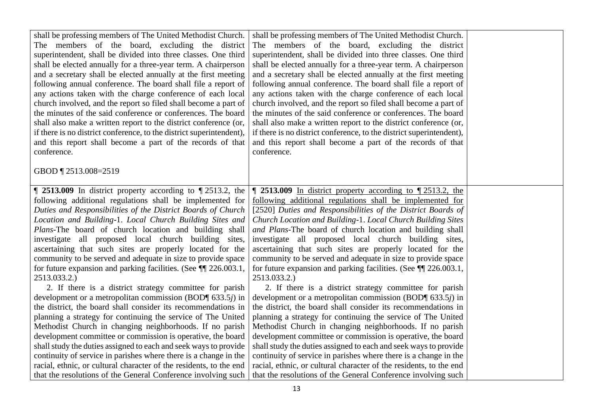| shall be professing members of The United Methodist Church.<br>The members of the board, excluding the district<br>superintendent, shall be divided into three classes. One third<br>shall be elected annually for a three-year term. A chairperson | shall be professing members of The United Methodist Church.<br>The members of the board, excluding the district<br>superintendent, shall be divided into three classes. One third<br>shall be elected annually for a three-year term. A chairperson |  |
|-----------------------------------------------------------------------------------------------------------------------------------------------------------------------------------------------------------------------------------------------------|-----------------------------------------------------------------------------------------------------------------------------------------------------------------------------------------------------------------------------------------------------|--|
| and a secretary shall be elected annually at the first meeting                                                                                                                                                                                      | and a secretary shall be elected annually at the first meeting                                                                                                                                                                                      |  |
| following annual conference. The board shall file a report of                                                                                                                                                                                       | following annual conference. The board shall file a report of                                                                                                                                                                                       |  |
| any actions taken with the charge conference of each local                                                                                                                                                                                          | any actions taken with the charge conference of each local                                                                                                                                                                                          |  |
| church involved, and the report so filed shall become a part of                                                                                                                                                                                     | church involved, and the report so filed shall become a part of                                                                                                                                                                                     |  |
| the minutes of the said conference or conferences. The board                                                                                                                                                                                        | the minutes of the said conference or conferences. The board                                                                                                                                                                                        |  |
| shall also make a written report to the district conference (or,                                                                                                                                                                                    | shall also make a written report to the district conference (or,                                                                                                                                                                                    |  |
| if there is no district conference, to the district superintendent),                                                                                                                                                                                | if there is no district conference, to the district superintendent),                                                                                                                                                                                |  |
| and this report shall become a part of the records of that                                                                                                                                                                                          | and this report shall become a part of the records of that                                                                                                                                                                                          |  |
| conference.                                                                                                                                                                                                                                         | conference.                                                                                                                                                                                                                                         |  |
|                                                                                                                                                                                                                                                     |                                                                                                                                                                                                                                                     |  |
| GBOD 12513.008=2519                                                                                                                                                                                                                                 |                                                                                                                                                                                                                                                     |  |
|                                                                                                                                                                                                                                                     |                                                                                                                                                                                                                                                     |  |
| $\parallel$ 2513.009 In district property according to $\parallel$ 2513.2, the                                                                                                                                                                      | 2513.009 In district property according to $\sqrt{2513.2}$ , the                                                                                                                                                                                    |  |
| following additional regulations shall be implemented for                                                                                                                                                                                           | following additional regulations shall be implemented for                                                                                                                                                                                           |  |
| Duties and Responsibilities of the District Boards of Church                                                                                                                                                                                        | [2520] Duties and Responsibilities of the District Boards of                                                                                                                                                                                        |  |
| Location and Building-1. Local Church Building Sites and                                                                                                                                                                                            | Church Location and Building-1. Local Church Building Sites                                                                                                                                                                                         |  |
| Plans-The board of church location and building shall                                                                                                                                                                                               | and Plans-The board of church location and building shall                                                                                                                                                                                           |  |
| investigate all proposed local church building sites,                                                                                                                                                                                               | investigate all proposed local church building sites,                                                                                                                                                                                               |  |
| ascertaining that such sites are properly located for the                                                                                                                                                                                           | ascertaining that such sites are properly located for the                                                                                                                                                                                           |  |
| community to be served and adequate in size to provide space                                                                                                                                                                                        | community to be served and adequate in size to provide space                                                                                                                                                                                        |  |
| for future expansion and parking facilities. (See $\P$ $[226.003.1,$                                                                                                                                                                                | for future expansion and parking facilities. (See $\P$ 226.003.1,                                                                                                                                                                                   |  |
| 2513.033.2.)                                                                                                                                                                                                                                        | 2513.033.2.)                                                                                                                                                                                                                                        |  |
| 2. If there is a district strategy committee for parish                                                                                                                                                                                             | 2. If there is a district strategy committee for parish                                                                                                                                                                                             |  |
| development or a metropolitan commission (BOD¶ $633.5j$ ) in<br>the district, the board shall consider its recommendations in                                                                                                                       | development or a metropolitan commission (BOD¶ $633.5j$ ) in<br>the district, the board shall consider its recommendations in                                                                                                                       |  |
| planning a strategy for continuing the service of The United                                                                                                                                                                                        | planning a strategy for continuing the service of The United                                                                                                                                                                                        |  |
| Methodist Church in changing neighborhoods. If no parish                                                                                                                                                                                            | Methodist Church in changing neighborhoods. If no parish                                                                                                                                                                                            |  |
| development committee or commission is operative, the board                                                                                                                                                                                         | development committee or commission is operative, the board                                                                                                                                                                                         |  |
| shall study the duties assigned to each and seek ways to provide                                                                                                                                                                                    | shall study the duties assigned to each and seek ways to provide                                                                                                                                                                                    |  |
| continuity of service in parishes where there is a change in the                                                                                                                                                                                    | continuity of service in parishes where there is a change in the                                                                                                                                                                                    |  |
| racial, ethnic, or cultural character of the residents, to the end                                                                                                                                                                                  | racial, ethnic, or cultural character of the residents, to the end                                                                                                                                                                                  |  |
| that the resolutions of the General Conference involving such                                                                                                                                                                                       | that the resolutions of the General Conference involving such                                                                                                                                                                                       |  |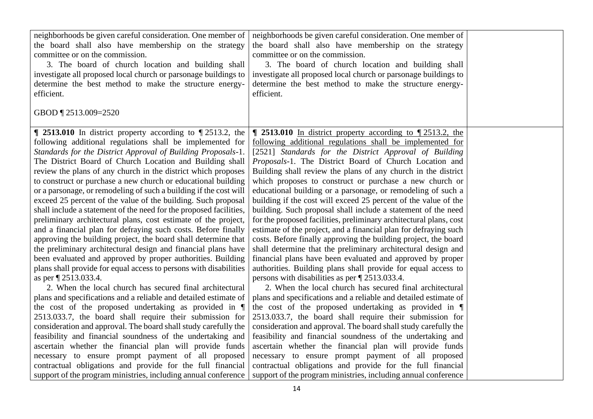| neighborhoods be given careful consideration. One member of<br>the board shall also have membership on the strategy<br>committee or on the commission.<br>3. The board of church location and building shall<br>investigate all proposed local church or parsonage buildings to<br>determine the best method to make the structure energy-<br>efficient.                                                                                                                                                                                                                                                                                                                                                                                                                                                                                                                                                                                                                                                                                                                                                                                                                                                                                                                                                                                                                                                                                                                                                                                                                                                                                                                           | neighborhoods be given careful consideration. One member of<br>the board shall also have membership on the strategy<br>committee or on the commission.<br>3. The board of church location and building shall<br>investigate all proposed local church or parsonage buildings to<br>determine the best method to make the structure energy-<br>efficient.                                                                                                                                                                                                                                                                                                                                                                                                                                                                                                                                                                                                                                                                                                                                                                                                                                                                                                                                                                                                                                                                                                                                                                                                                                                                                                                                                    |  |
|------------------------------------------------------------------------------------------------------------------------------------------------------------------------------------------------------------------------------------------------------------------------------------------------------------------------------------------------------------------------------------------------------------------------------------------------------------------------------------------------------------------------------------------------------------------------------------------------------------------------------------------------------------------------------------------------------------------------------------------------------------------------------------------------------------------------------------------------------------------------------------------------------------------------------------------------------------------------------------------------------------------------------------------------------------------------------------------------------------------------------------------------------------------------------------------------------------------------------------------------------------------------------------------------------------------------------------------------------------------------------------------------------------------------------------------------------------------------------------------------------------------------------------------------------------------------------------------------------------------------------------------------------------------------------------|-------------------------------------------------------------------------------------------------------------------------------------------------------------------------------------------------------------------------------------------------------------------------------------------------------------------------------------------------------------------------------------------------------------------------------------------------------------------------------------------------------------------------------------------------------------------------------------------------------------------------------------------------------------------------------------------------------------------------------------------------------------------------------------------------------------------------------------------------------------------------------------------------------------------------------------------------------------------------------------------------------------------------------------------------------------------------------------------------------------------------------------------------------------------------------------------------------------------------------------------------------------------------------------------------------------------------------------------------------------------------------------------------------------------------------------------------------------------------------------------------------------------------------------------------------------------------------------------------------------------------------------------------------------------------------------------------------------|--|
| GBOD 12513.009=2520                                                                                                                                                                                                                                                                                                                                                                                                                                                                                                                                                                                                                                                                                                                                                                                                                                                                                                                                                                                                                                                                                                                                                                                                                                                                                                                                                                                                                                                                                                                                                                                                                                                                |                                                                                                                                                                                                                                                                                                                                                                                                                                                                                                                                                                                                                                                                                                                                                                                                                                                                                                                                                                                                                                                                                                                                                                                                                                                                                                                                                                                                                                                                                                                                                                                                                                                                                                             |  |
| $\P$ 2513.010 In district property according to $\P$ 2513.2, the<br>following additional regulations shall be implemented for<br>Standards for the District Approval of Building Proposals-1.<br>The District Board of Church Location and Building shall<br>review the plans of any church in the district which proposes<br>to construct or purchase a new church or educational building<br>or a parsonage, or remodeling of such a building if the cost will<br>exceed 25 percent of the value of the building. Such proposal<br>shall include a statement of the need for the proposed facilities,<br>preliminary architectural plans, cost estimate of the project,<br>and a financial plan for defraying such costs. Before finally<br>approving the building project, the board shall determine that<br>the preliminary architectural design and financial plans have<br>been evaluated and approved by proper authorities. Building<br>plans shall provide for equal access to persons with disabilities<br>as per [2513.033.4.<br>2. When the local church has secured final architectural<br>plans and specifications and a reliable and detailed estimate of<br>the cost of the proposed undertaking as provided in $\P$<br>2513.033.7, the board shall require their submission for<br>consideration and approval. The board shall study carefully the<br>feasibility and financial soundness of the undertaking and<br>ascertain whether the financial plan will provide funds<br>necessary to ensure prompt payment of all proposed<br>contractual obligations and provide for the full financial<br>support of the program ministries, including annual conference | $\parallel$ 2513.010 In district property according to $\parallel$ 2513.2, the<br>following additional regulations shall be implemented for<br>[2521] Standards for the District Approval of Building<br>Proposals-1. The District Board of Church Location and<br>Building shall review the plans of any church in the district<br>which proposes to construct or purchase a new church or<br>educational building or a parsonage, or remodeling of such a<br>building if the cost will exceed 25 percent of the value of the<br>building. Such proposal shall include a statement of the need<br>for the proposed facilities, preliminary architectural plans, cost<br>estimate of the project, and a financial plan for defraying such<br>costs. Before finally approving the building project, the board<br>shall determine that the preliminary architectural design and<br>financial plans have been evaluated and approved by proper<br>authorities. Building plans shall provide for equal access to<br>persons with disabilities as per $\S$ 2513.033.4.<br>2. When the local church has secured final architectural<br>plans and specifications and a reliable and detailed estimate of<br>the cost of the proposed undertaking as provided in $\P$<br>2513.033.7, the board shall require their submission for<br>consideration and approval. The board shall study carefully the<br>feasibility and financial soundness of the undertaking and<br>ascertain whether the financial plan will provide funds<br>necessary to ensure prompt payment of all proposed<br>contractual obligations and provide for the full financial<br>support of the program ministries, including annual conference |  |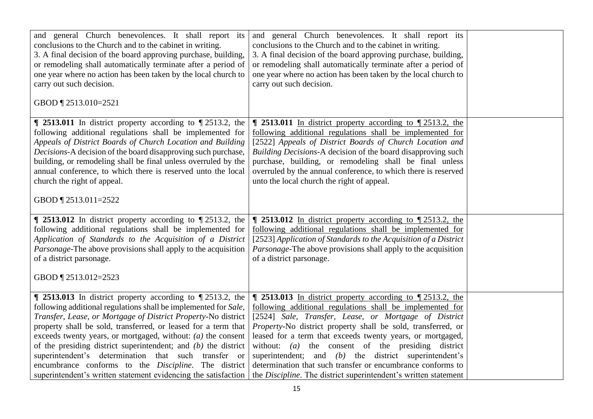| and general Church benevolences. It shall report its<br>conclusions to the Church and to the cabinet in writing.<br>3. A final decision of the board approving purchase, building,<br>or remodeling shall automatically terminate after a period of<br>one year where no action has been taken by the local church to<br>carry out such decision.                                                                                                                                                                                                                                                                    | and general Church benevolences. It shall report its<br>conclusions to the Church and to the cabinet in writing.<br>3. A final decision of the board approving purchase, building,<br>or remodeling shall automatically terminate after a period of<br>one year where no action has been taken by the local church to<br>carry out such decision.                                                                                                                                                                                                                                     |  |
|----------------------------------------------------------------------------------------------------------------------------------------------------------------------------------------------------------------------------------------------------------------------------------------------------------------------------------------------------------------------------------------------------------------------------------------------------------------------------------------------------------------------------------------------------------------------------------------------------------------------|---------------------------------------------------------------------------------------------------------------------------------------------------------------------------------------------------------------------------------------------------------------------------------------------------------------------------------------------------------------------------------------------------------------------------------------------------------------------------------------------------------------------------------------------------------------------------------------|--|
| GBOD 12513.010=2521                                                                                                                                                                                                                                                                                                                                                                                                                                                                                                                                                                                                  |                                                                                                                                                                                                                                                                                                                                                                                                                                                                                                                                                                                       |  |
| $\P$ 2513.011 In district property according to $\P$ 2513.2, the<br>following additional regulations shall be implemented for<br>Appeals of District Boards of Church Location and Building<br>Decisions-A decision of the board disapproving such purchase,<br>building, or remodeling shall be final unless overruled by the<br>annual conference, to which there is reserved unto the local<br>church the right of appeal.                                                                                                                                                                                        | $\parallel$ 2513.011 In district property according to $\parallel$ 2513.2, the<br>following additional regulations shall be implemented for<br>[2522] Appeals of District Boards of Church Location and<br>Building Decisions-A decision of the board disapproving such<br>purchase, building, or remodeling shall be final unless<br>overruled by the annual conference, to which there is reserved<br>unto the local church the right of appeal.                                                                                                                                    |  |
| GBOD 12513.011=2522                                                                                                                                                                                                                                                                                                                                                                                                                                                                                                                                                                                                  |                                                                                                                                                                                                                                                                                                                                                                                                                                                                                                                                                                                       |  |
| $\P$ 2513.012 In district property according to $\P$ 2513.2, the<br>following additional regulations shall be implemented for<br>Application of Standards to the Acquisition of a District<br><i>Parsonage</i> -The above provisions shall apply to the acquisition<br>of a district parsonage.                                                                                                                                                                                                                                                                                                                      | $\parallel$ 2513.012 In district property according to $\parallel$ 2513.2, the<br>following additional regulations shall be implemented for<br>[2523] Application of Standards to the Acquisition of a District<br><i>Parsonage</i> -The above provisions shall apply to the acquisition<br>of a district parsonage.                                                                                                                                                                                                                                                                  |  |
| GBOD 12513.012=2523                                                                                                                                                                                                                                                                                                                                                                                                                                                                                                                                                                                                  |                                                                                                                                                                                                                                                                                                                                                                                                                                                                                                                                                                                       |  |
| $\parallel$ 2513.013 In district property according to $\parallel$ 2513.2, the<br>following additional regulations shall be implemented for Sale,<br>Transfer, Lease, or Mortgage of District Property-No district<br>property shall be sold, transferred, or leased for a term that<br>exceeds twenty years, or mortgaged, without: $(a)$ the consent<br>of the presiding district superintendent; and $(b)$ the district<br>superintendent's determination that such transfer or<br>encumbrance conforms to the <i>Discipline</i> . The district<br>superintendent's written statement evidencing the satisfaction | $\parallel$ 2513.013 In district property according to $\parallel$ 2513.2, the<br>following additional regulations shall be implemented for<br>[2524] Sale, Transfer, Lease, or Mortgage of District<br>Property-No district property shall be sold, transferred, or<br>leased for a term that exceeds twenty years, or mortgaged,<br>without: $(a)$ the consent of the presiding district<br>superintendent; and (b) the district superintendent's<br>determination that such transfer or encumbrance conforms to<br>the Discipline. The district superintendent's written statement |  |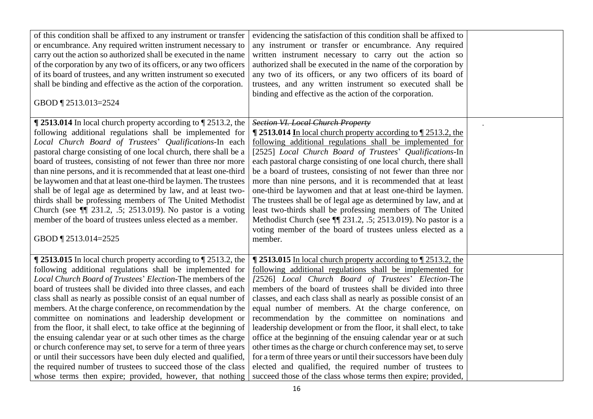| of this condition shall be affixed to any instrument or transfer<br>or encumbrance. Any required written instrument necessary to<br>carry out the action so authorized shall be executed in the name<br>of the corporation by any two of its officers, or any two officers<br>of its board of trustees, and any written instrument so executed<br>shall be binding and effective as the action of the corporation.<br>GBOD 12513.013=2524                                                                                                                                                                                                                                                                                                                                                                                                                                   | evidencing the satisfaction of this condition shall be affixed to<br>any instrument or transfer or encumbrance. Any required<br>written instrument necessary to carry out the action so<br>authorized shall be executed in the name of the corporation by<br>any two of its officers, or any two officers of its board of<br>trustees, and any written instrument so executed shall be<br>binding and effective as the action of the corporation.                                                                                                                                                                                                                                                                                                                                                                                                             |  |
|-----------------------------------------------------------------------------------------------------------------------------------------------------------------------------------------------------------------------------------------------------------------------------------------------------------------------------------------------------------------------------------------------------------------------------------------------------------------------------------------------------------------------------------------------------------------------------------------------------------------------------------------------------------------------------------------------------------------------------------------------------------------------------------------------------------------------------------------------------------------------------|---------------------------------------------------------------------------------------------------------------------------------------------------------------------------------------------------------------------------------------------------------------------------------------------------------------------------------------------------------------------------------------------------------------------------------------------------------------------------------------------------------------------------------------------------------------------------------------------------------------------------------------------------------------------------------------------------------------------------------------------------------------------------------------------------------------------------------------------------------------|--|
| $\P$ 2513.014 In local church property according to $\P$ 2513.2, the<br>following additional regulations shall be implemented for<br>Local Church Board of Trustees' Qualifications-In each<br>pastoral charge consisting of one local church, there shall be a<br>board of trustees, consisting of not fewer than three nor more<br>than nine persons, and it is recommended that at least one-third<br>be laywomen and that at least one-third be laymen. The trustees<br>shall be of legal age as determined by law, and at least two-<br>thirds shall be professing members of The United Methodist<br>Church (see $\P$ 231.2, .5; 2513.019). No pastor is a voting<br>member of the board of trustees unless elected as a member.<br>GBOD 12513.014=2525                                                                                                               | <b>Section VI. Local Church Property</b><br><b>12513.014</b> In local church property according to 12513.2, the<br>following additional regulations shall be implemented for<br>[2525] Local Church Board of Trustees' Qualifications-In<br>each pastoral charge consisting of one local church, there shall<br>be a board of trustees, consisting of not fewer than three nor<br>more than nine persons, and it is recommended that at least<br>one-third be laywomen and that at least one-third be laymen.<br>The trustees shall be of legal age as determined by law, and at<br>least two-thirds shall be professing members of The United<br>Methodist Church (see ¶ 231.2, .5; 2513.019). No pastor is a<br>voting member of the board of trustees unless elected as a<br>member.                                                                       |  |
| $\P$ 2513.015 In local church property according to $\P$ 2513.2, the<br>following additional regulations shall be implemented for<br>Local Church Board of Trustees' Election-The members of the<br>board of trustees shall be divided into three classes, and each<br>class shall as nearly as possible consist of an equal number of<br>members. At the charge conference, on recommendation by the<br>committee on nominations and leadership development or<br>from the floor, it shall elect, to take office at the beginning of<br>the ensuing calendar year or at such other times as the charge<br>or church conference may set, to serve for a term of three years<br>or until their successors have been duly elected and qualified,<br>the required number of trustees to succeed those of the class<br>whose terms then expire; provided, however, that nothing | <b>T</b> 2513.015 In local church property according to T 2513.2, the<br>following additional regulations shall be implemented for<br>[2526] Local Church Board of Trustees' Election-The<br>members of the board of trustees shall be divided into three<br>classes, and each class shall as nearly as possible consist of an<br>equal number of members. At the charge conference, on<br>recommendation by the committee on nominations and<br>leadership development or from the floor, it shall elect, to take<br>office at the beginning of the ensuing calendar year or at such<br>other times as the charge or church conference may set, to serve<br>for a term of three years or until their successors have been duly<br>elected and qualified, the required number of trustees to<br>succeed those of the class whose terms then expire; provided, |  |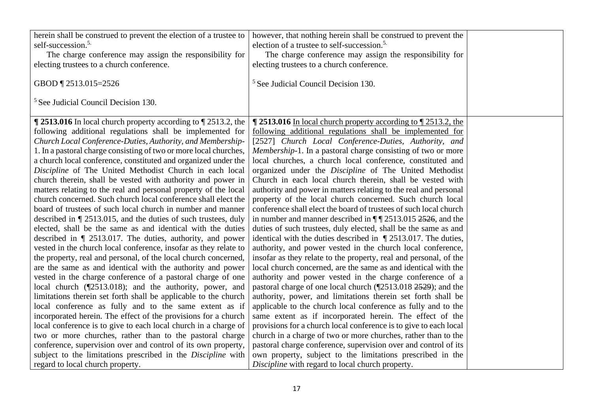| herein shall be construed to prevent the election of a trustee to    | however, that nothing herein shall be construed to prevent the               |  |
|----------------------------------------------------------------------|------------------------------------------------------------------------------|--|
| self-succession. <sup>5.</sup>                                       | election of a trustee to self-succession. <sup>5.</sup>                      |  |
| The charge conference may assign the responsibility for              | The charge conference may assign the responsibility for                      |  |
| electing trustees to a church conference.                            | electing trustees to a church conference.                                    |  |
|                                                                      |                                                                              |  |
| GBOD   2513.015=2526                                                 | $5$ See Judicial Council Decision 130.                                       |  |
| <sup>5</sup> See Judicial Council Decision 130.                      |                                                                              |  |
|                                                                      |                                                                              |  |
| $\P$ 2513.016 In local church property according to $\P$ 2513.2, the | <b>T</b> 2513.016 In local church property according to <b>T</b> 2513.2, the |  |
| following additional regulations shall be implemented for            | following additional regulations shall be implemented for                    |  |
| Church Local Conference-Duties, Authority, and Membership-           | [2527] Church Local Conference-Duties, Authority, and                        |  |
| 1. In a pastoral charge consisting of two or more local churches,    | <i>Membership</i> -1. In a pastoral charge consisting of two or more         |  |
| a church local conference, constituted and organized under the       | local churches, a church local conference, constituted and                   |  |
| Discipline of The United Methodist Church in each local              | organized under the Discipline of The United Methodist                       |  |
| church therein, shall be vested with authority and power in          | Church in each local church therein, shall be vested with                    |  |
| matters relating to the real and personal property of the local      | authority and power in matters relating to the real and personal             |  |
| church concerned. Such church local conference shall elect the       | property of the local church concerned. Such church local                    |  |
| board of trustees of such local church in number and manner          | conference shall elect the board of trustees of such local church            |  |
| described in $\P$ 2513.015, and the duties of such trustees, duly    | in number and manner described in $\P$ (2513.015 2526, and the               |  |
| elected, shall be the same as and identical with the duties          | duties of such trustees, duly elected, shall be the same as and              |  |
| described in $\P$ 2513.017. The duties, authority, and power         | identical with the duties described in $\P$ 2513.017. The duties,            |  |
| vested in the church local conference, insofar as they relate to     | authority, and power vested in the church local conference,                  |  |
| the property, real and personal, of the local church concerned,      | insofar as they relate to the property, real and personal, of the            |  |
| are the same as and identical with the authority and power           | local church concerned, are the same as and identical with the               |  |
| vested in the charge conference of a pastoral charge of one          | authority and power vested in the charge conference of a                     |  |
| local church (¶2513.018); and the authority, power, and              | pastoral charge of one local church (¶2513.018 2529); and the                |  |
| limitations therein set forth shall be applicable to the church      | authority, power, and limitations therein set forth shall be                 |  |
| local conference as fully and to the same extent as if               | applicable to the church local conference as fully and to the                |  |
| incorporated herein. The effect of the provisions for a church       | same extent as if incorporated herein. The effect of the                     |  |
| local conference is to give to each local church in a charge of      | provisions for a church local conference is to give to each local            |  |
| two or more churches, rather than to the pastoral charge             | church in a charge of two or more churches, rather than to the               |  |
| conference, supervision over and control of its own property,        | pastoral charge conference, supervision over and control of its              |  |
| subject to the limitations prescribed in the Discipline with         | own property, subject to the limitations prescribed in the                   |  |
| regard to local church property.                                     | Discipline with regard to local church property.                             |  |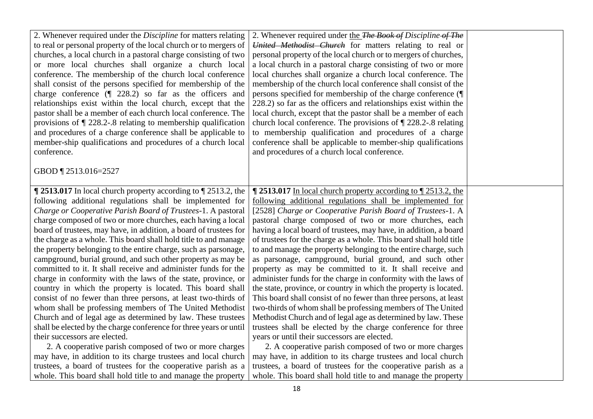| 2. Whenever required under the <i>Discipline</i> for matters relating<br>to real or personal property of the local church or to mergers of<br>churches, a local church in a pastoral charge consisting of two<br>or more local churches shall organize a church local<br>conference. The membership of the church local conference | 2. Whenever required under the <i>The Book of Discipline of The</i><br>United Methodist Church for matters relating to real or<br>personal property of the local church or to mergers of churches,<br>a local church in a pastoral charge consisting of two or more<br>local churches shall organize a church local conference. The |  |
|------------------------------------------------------------------------------------------------------------------------------------------------------------------------------------------------------------------------------------------------------------------------------------------------------------------------------------|-------------------------------------------------------------------------------------------------------------------------------------------------------------------------------------------------------------------------------------------------------------------------------------------------------------------------------------|--|
| shall consist of the persons specified for membership of the<br>charge conference $(\sqrt{\phantom{a}} 228.2)$ so far as the officers and                                                                                                                                                                                          | membership of the church local conference shall consist of the<br>persons specified for membership of the charge conference (                                                                                                                                                                                                       |  |
| relationships exist within the local church, except that the                                                                                                                                                                                                                                                                       | 228.2) so far as the officers and relationships exist within the                                                                                                                                                                                                                                                                    |  |
| pastor shall be a member of each church local conference. The<br>provisions of $\P$ 228.2-.8 relating to membership qualification                                                                                                                                                                                                  | local church, except that the pastor shall be a member of each<br>church local conference. The provisions of $\P$ 228.2-.8 relating                                                                                                                                                                                                 |  |
| and procedures of a charge conference shall be applicable to                                                                                                                                                                                                                                                                       | to membership qualification and procedures of a charge                                                                                                                                                                                                                                                                              |  |
| member-ship qualifications and procedures of a church local                                                                                                                                                                                                                                                                        | conference shall be applicable to member-ship qualifications                                                                                                                                                                                                                                                                        |  |
| conference.                                                                                                                                                                                                                                                                                                                        | and procedures of a church local conference.                                                                                                                                                                                                                                                                                        |  |
|                                                                                                                                                                                                                                                                                                                                    |                                                                                                                                                                                                                                                                                                                                     |  |
| GBOD 12513.016=2527                                                                                                                                                                                                                                                                                                                |                                                                                                                                                                                                                                                                                                                                     |  |
| <b>T</b> 2513.017 In local church property according to T 2513.2, the                                                                                                                                                                                                                                                              | <b>T</b> 2513.017 In local church property according to T 2513.2, the                                                                                                                                                                                                                                                               |  |
| following additional regulations shall be implemented for                                                                                                                                                                                                                                                                          | following additional regulations shall be implemented for                                                                                                                                                                                                                                                                           |  |
| Charge or Cooperative Parish Board of Trustees-1. A pastoral                                                                                                                                                                                                                                                                       | [2528] Charge or Cooperative Parish Board of Trustees-1. A                                                                                                                                                                                                                                                                          |  |
| charge composed of two or more churches, each having a local                                                                                                                                                                                                                                                                       | pastoral charge composed of two or more churches, each                                                                                                                                                                                                                                                                              |  |
| board of trustees, may have, in addition, a board of trustees for                                                                                                                                                                                                                                                                  | having a local board of trustees, may have, in addition, a board                                                                                                                                                                                                                                                                    |  |
| the charge as a whole. This board shall hold title to and manage                                                                                                                                                                                                                                                                   | of trustees for the charge as a whole. This board shall hold title                                                                                                                                                                                                                                                                  |  |
| the property belonging to the entire charge, such as parsonage,                                                                                                                                                                                                                                                                    | to and manage the property belonging to the entire charge, such                                                                                                                                                                                                                                                                     |  |
| campground, burial ground, and such other property as may be                                                                                                                                                                                                                                                                       | as parsonage, campground, burial ground, and such other                                                                                                                                                                                                                                                                             |  |
| committed to it. It shall receive and administer funds for the                                                                                                                                                                                                                                                                     | property as may be committed to it. It shall receive and                                                                                                                                                                                                                                                                            |  |
| charge in conformity with the laws of the state, province, or                                                                                                                                                                                                                                                                      | administer funds for the charge in conformity with the laws of                                                                                                                                                                                                                                                                      |  |
| country in which the property is located. This board shall                                                                                                                                                                                                                                                                         | the state, province, or country in which the property is located.                                                                                                                                                                                                                                                                   |  |
| consist of no fewer than three persons, at least two-thirds of<br>whom shall be professing members of The United Methodist                                                                                                                                                                                                         | This board shall consist of no fewer than three persons, at least<br>two-thirds of whom shall be professing members of The United                                                                                                                                                                                                   |  |
| Church and of legal age as determined by law. These trustees                                                                                                                                                                                                                                                                       | Methodist Church and of legal age as determined by law. These                                                                                                                                                                                                                                                                       |  |
| shall be elected by the charge conference for three years or until                                                                                                                                                                                                                                                                 | trustees shall be elected by the charge conference for three                                                                                                                                                                                                                                                                        |  |
| their successors are elected.                                                                                                                                                                                                                                                                                                      | years or until their successors are elected.                                                                                                                                                                                                                                                                                        |  |
| 2. A cooperative parish composed of two or more charges                                                                                                                                                                                                                                                                            | 2. A cooperative parish composed of two or more charges                                                                                                                                                                                                                                                                             |  |
| may have, in addition to its charge trustees and local church                                                                                                                                                                                                                                                                      | may have, in addition to its charge trustees and local church                                                                                                                                                                                                                                                                       |  |
| trustees, a board of trustees for the cooperative parish as a                                                                                                                                                                                                                                                                      | trustees, a board of trustees for the cooperative parish as a                                                                                                                                                                                                                                                                       |  |
| whole. This board shall hold title to and manage the property                                                                                                                                                                                                                                                                      | whole. This board shall hold title to and manage the property                                                                                                                                                                                                                                                                       |  |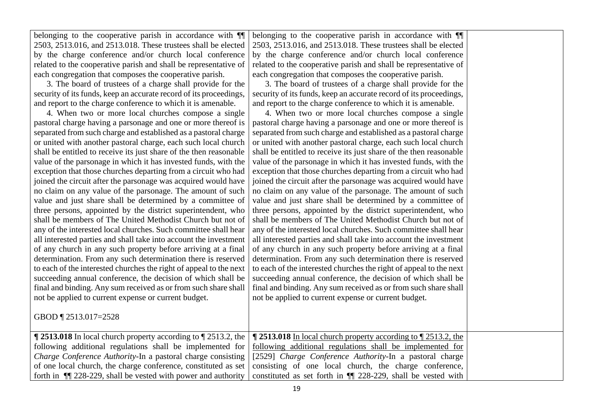belonging to the cooperative parish in accordance with ¶¶ 2503, 2513.016, and 2513.018. These trustees shall be elected by the charge conference and/or church local conference related to the cooperative parish and shall be representative of each congregation that composes the cooperative parish.

3. The board of trustees of a charge shall provide for the security of its funds, keep an accurate record of its proceedings, and report to the charge conference to which it is amenable.

4. When two or more local churches compose a single pastoral charge having a parsonage and one or more thereof is separated from such charge and established as a pastoral charge or united with another pastoral charge, each such local church shall be entitled to receive its just share of the then reasonable value of the parsonage in which it has invested funds, with the exception that those churches departing from a circuit who had joined the circuit after the parsonage was acquired would have no claim on any value of the parsonage. The amount of such value and just share shall be determined by a committee of three persons, appointed by the district superintendent, who shall be members of The United Methodist Church but not of any of the interested local churches. Such committee shall hear all interested parties and shall take into account the investment of any church in any such property before arriving at a final determination. From any such determination there is reserved to each of the interested churches the right of appeal to the next succeeding annual conference, the decision of which shall be final and binding. Any sum received as or from such share shall not be applied to current expense or current budget.

GBOD ¶ 2513.017=2528

belonging to the cooperative parish in accordance with **¶** 2503, 2513.016, and 2513.018. These trustees shall be elected by the charge conference and/or church local conference related to the cooperative parish and shall be representative of each congregation that composes the cooperative parish.

3. The board of trustees of a charge shall provide for the security of its funds, keep an accurate record of its proceedings, and report to the charge conference to which it is amenable.

4. When two or more local churches compose a single pastoral charge having a parsonage and one or more thereof is separated from such charge and established as a pastoral charge or united with another pastoral charge, each such local church shall be entitled to receive its just share of the then reasonable value of the parsonage in which it has invested funds, with the exception that those churches departing from a circuit who had joined the circuit after the parsonage was acquired would have no claim on any value of the parsonage. The amount of such value and just share shall be determined by a committee of three persons, appointed by the district superintendent, who shall be members of The United Methodist Church but not of any of the interested local churches. Such committee shall hear all interested parties and shall take into account the investment of any church in any such property before arriving at a final determination. From any such determination there is reserved to each of the interested churches the right of appeal to the next succeeding annual conference, the decision of which shall be final and binding. Any sum received as or from such share shall not be applied to current expense or current budget.

| <b>T</b> 2513.018 In local church property according to $\parallel$ 2513.2, the $\parallel$ <b>T</b> 2513.018 In local church property according to $\parallel$ 2513.2, the |  |
|-----------------------------------------------------------------------------------------------------------------------------------------------------------------------------|--|
| following additional regulations shall be implemented for following additional regulations shall be implemented for                                                         |  |
| Charge Conference Authority-In a pastoral charge consisting [2529] Charge Conference Authority-In a pastoral charge                                                         |  |
| of one local church, the charge conference, constituted as set   consisting of one local church, the charge conference,                                                     |  |
| forth in $\P$ 228-229, shall be vested with power and authority constituted as set forth in $\P$ 228-229, shall be vested with                                              |  |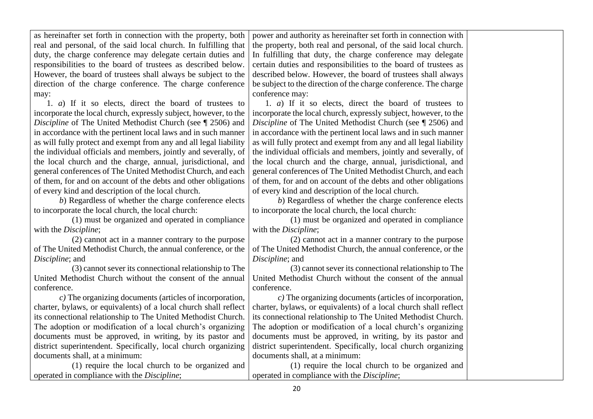as hereinafter set forth in connection with the property, both real and personal, of the said local church. In fulfilling that duty, the charge conference may delegate certain duties and responsibilities to the board of trustees as described below. However, the board of trustees shall always be subject to the direction of the charge conference. The charge conference may:

1. *a*) If it so elects, direct the board of trustees to incorporate the local church, expressly subject, however, to the *Discipline* of The United Methodist Church (see ¶ 2506) and in accordance with the pertinent local laws and in such manner as will fully protect and exempt from any and all legal liability the individual officials and members, jointly and severally, of the local church and the charge, annual, jurisdictional, and general conferences of The United Methodist Church, and each of them, for and on account of the debts and other obligations of every kind and description of the local church.

*b*) Regardless of whether the charge conference elects to incorporate the local church, the local church:

(1) must be organized and operated in compliance with the *Discipline*;

(2) cannot act in a manner contrary to the purpose of The United Methodist Church, the annual conference, or the *Discipline*; and

(3) cannot sever its connectional relationship to The United Methodist Church without the consent of the annual conference.

*c)* The organizing documents (articles of incorporation, charter, bylaws, or equivalents) of a local church shall reflect its connectional relationship to The United Methodist Church. The adoption or modification of a local church's organizing documents must be approved, in writing, by its pastor and district superintendent. Specifically, local church organizing documents shall, at a minimum:

(1) require the local church to be organized and operated in compliance with the *Discipline*;

power and authority as hereinafter set forth in connection with the property, both real and personal, of the said local church. In fulfilling that duty, the charge conference may delegate certain duties and responsibilities to the board of trustees as described below. However, the board of trustees shall always be subject to the direction of the charge conference. The charge conference may:

1. *a*) If it so elects, direct the board of trustees to incorporate the local church, expressly subject, however, to the *Discipline* of The United Methodist Church (see ¶ 2506) and in accordance with the pertinent local laws and in such manner as will fully protect and exempt from any and all legal liability the individual officials and members, jointly and severally, of the local church and the charge, annual, jurisdictional, and general conferences of The United Methodist Church, and each of them, for and on account of the debts and other obligations of every kind and description of the local church.

*b*) Regardless of whether the charge conference elects to incorporate the local church, the local church:

(1) must be organized and operated in compliance with the *Discipline*;

(2) cannot act in a manner contrary to the purpose of The United Methodist Church, the annual conference, or the *Discipline*; and

(3) cannot sever its connectional relationship to The United Methodist Church without the consent of the annual conference.

*c)* The organizing documents (articles of incorporation, charter, bylaws, or equivalents) of a local church shall reflect its connectional relationship to The United Methodist Church. The adoption or modification of a local church's organizing documents must be approved, in writing, by its pastor and district superintendent. Specifically, local church organizing documents shall, at a minimum:

(1) require the local church to be organized and operated in compliance with the *Discipline*;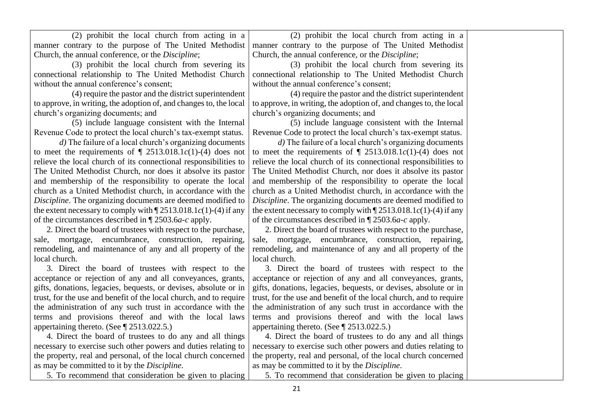(2) prohibit the local church from acting in a manner contrary to the purpose of The United Methodist Church, the annual conference, or the *Discipline*;

(3) prohibit the local church from severing its connectional relationship to The United Methodist Church without the annual conference's consent;

(4) require the pastor and the district superintendent to approve, in writing, the adoption of, and changes to, the local church's organizing documents; and

(5) include language consistent with the Internal Revenue Code to protect the local church's tax-exempt status.

*d)* The failure of a local church's organizing documents to meet the requirements of  $\P$  2513.018.1*c*(1)-(4) does not relieve the local church of its connectional responsibilities to The United Methodist Church, nor does it absolve its pastor and membership of the responsibility to operate the local church as a United Methodist church, in accordance with the *Discipline*. The organizing documents are deemed modified to the extent necessary to comply with  $\P$ 2513.018.1*c*(1)-(4) if any of the circumstances described in ¶ 2503.6*a*-*c* apply.

2. Direct the board of trustees with respect to the purchase, sale, mortgage, encumbrance, construction, repairing, remodeling, and maintenance of any and all property of the local church.

3. Direct the board of trustees with respect to the acceptance or rejection of any and all conveyances, grants, gifts, donations, legacies, bequests, or devises, absolute or in trust, for the use and benefit of the local church, and to require the administration of any such trust in accordance with the terms and provisions thereof and with the local laws appertaining thereto. (See ¶ 2513.022.5.)

4. Direct the board of trustees to do any and all things necessary to exercise such other powers and duties relating to the property, real and personal, of the local church concerned as may be committed to it by the *Discipline*.

5. To recommend that consideration be given to placing

(2) prohibit the local church from acting in a manner contrary to the purpose of The United Methodist Church, the annual conference, or the *Discipline*;

(3) prohibit the local church from severing its connectional relationship to The United Methodist Church without the annual conference's consent;

(4) require the pastor and the district superintendent to approve, in writing, the adoption of, and changes to, the local church's organizing documents; and

(5) include language consistent with the Internal Revenue Code to protect the local church's tax-exempt status.

*d)* The failure of a local church's organizing documents to meet the requirements of  $\P$  2513.018.1*c*(1)-(4) does not relieve the local church of its connectional responsibilities to The United Methodist Church, nor does it absolve its pastor and membership of the responsibility to operate the local church as a United Methodist church, in accordance with the *Discipline*. The organizing documents are deemed modified to the extent necessary to comply with  $\P$  2513.018.1*c*(1)-(4) if any of the circumstances described in ¶ 2503.6*a*-*c* apply.

2. Direct the board of trustees with respect to the purchase, sale, mortgage, encumbrance, construction, repairing, remodeling, and maintenance of any and all property of the local church.

3. Direct the board of trustees with respect to the acceptance or rejection of any and all conveyances, grants, gifts, donations, legacies, bequests, or devises, absolute or in trust, for the use and benefit of the local church, and to require the administration of any such trust in accordance with the terms and provisions thereof and with the local laws appertaining thereto. (See ¶ 2513.022.5.)

4. Direct the board of trustees to do any and all things necessary to exercise such other powers and duties relating to the property, real and personal, of the local church concerned as may be committed to it by the *Discipline*.

5. To recommend that consideration be given to placing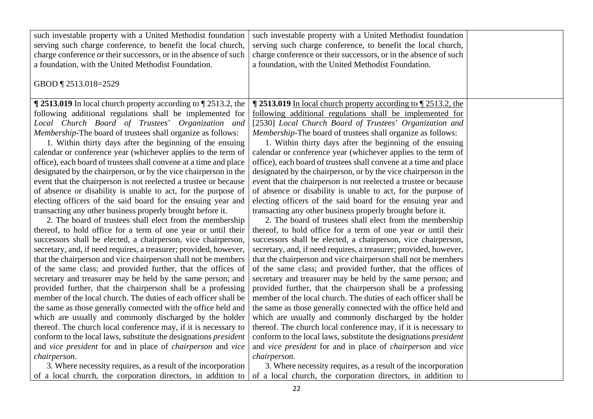| GBOD 12513.018=2529<br>$\parallel$ 2513.019 In local church property according to $\parallel$ 2513.2, the<br><b>T</b> 2513.019 In local church property according to T 2513.2, the<br>following additional regulations shall be implemented for<br>following additional regulations shall be implemented for<br>Local Church Board of Trustees' Organization and<br>[2530] Local Church Board of Trustees' Organization and<br>Membership-The board of trustees shall organize as follows:<br>Membership-The board of trustees shall organize as follows:<br>1. Within thirty days after the beginning of the ensuing<br>1. Within thirty days after the beginning of the ensuing<br>calendar or conference year (whichever applies to the term of<br>calendar or conference year (whichever applies to the term of<br>office), each board of trustees shall convene at a time and place<br>office), each board of trustees shall convene at a time and place<br>designated by the chairperson, or by the vice chairperson in the<br>designated by the chairperson, or by the vice chairperson in the<br>event that the chairperson is not reelected a trustee or because<br>event that the chairperson is not reelected a trustee or because<br>of absence or disability is unable to act, for the purpose of<br>of absence or disability is unable to act, for the purpose of<br>electing officers of the said board for the ensuing year and<br>electing officers of the said board for the ensuing year and<br>transacting any other business properly brought before it.<br>transacting any other business properly brought before it.<br>2. The board of trustees shall elect from the membership<br>2. The board of trustees shall elect from the membership<br>thereof, to hold office for a term of one year or until their<br>thereof, to hold office for a term of one year or until their<br>successors shall be elected, a chairperson, vice chairperson,<br>successors shall be elected, a chairperson, vice chairperson,<br>secretary, and, if need requires, a treasurer; provided, however,<br>secretary, and, if need requires, a treasurer; provided, however,<br>that the chairperson and vice chairperson shall not be members<br>that the chairperson and vice chairperson shall not be members<br>of the same class; and provided further, that the offices of<br>of the same class; and provided further, that the offices of<br>secretary and treasurer may be held by the same person; and<br>secretary and treasurer may be held by the same person; and<br>provided further, that the chairperson shall be a professing<br>provided further, that the chairperson shall be a professing<br>member of the local church. The duties of each officer shall be<br>member of the local church. The duties of each officer shall be<br>the same as those generally connected with the office held and<br>the same as those generally connected with the office held and<br>which are usually and commonly discharged by the holder<br>which are usually and commonly discharged by the holder<br>thereof. The church local conference may, if it is necessary to<br>thereof. The church local conference may, if it is necessary to<br>conform to the local laws, substitute the designations <i>president</i><br>conform to the local laws, substitute the designations <i>president</i><br>and vice president for and in place of chairperson and vice<br>and vice president for and in place of chairperson and vice<br>chairperson.<br>chairperson. | such investable property with a United Methodist foundation<br>serving such charge conference, to benefit the local church,<br>charge conference or their successors, or in the absence of such<br>a foundation, with the United Methodist Foundation. | such investable property with a United Methodist foundation<br>serving such charge conference, to benefit the local church,<br>charge conference or their successors, or in the absence of such<br>a foundation, with the United Methodist Foundation. |  |
|-------------------------------------------------------------------------------------------------------------------------------------------------------------------------------------------------------------------------------------------------------------------------------------------------------------------------------------------------------------------------------------------------------------------------------------------------------------------------------------------------------------------------------------------------------------------------------------------------------------------------------------------------------------------------------------------------------------------------------------------------------------------------------------------------------------------------------------------------------------------------------------------------------------------------------------------------------------------------------------------------------------------------------------------------------------------------------------------------------------------------------------------------------------------------------------------------------------------------------------------------------------------------------------------------------------------------------------------------------------------------------------------------------------------------------------------------------------------------------------------------------------------------------------------------------------------------------------------------------------------------------------------------------------------------------------------------------------------------------------------------------------------------------------------------------------------------------------------------------------------------------------------------------------------------------------------------------------------------------------------------------------------------------------------------------------------------------------------------------------------------------------------------------------------------------------------------------------------------------------------------------------------------------------------------------------------------------------------------------------------------------------------------------------------------------------------------------------------------------------------------------------------------------------------------------------------------------------------------------------------------------------------------------------------------------------------------------------------------------------------------------------------------------------------------------------------------------------------------------------------------------------------------------------------------------------------------------------------------------------------------------------------------------------------------------------------------------------------------------------------------------------------------------------------------------------------------------------------------------------------------------------------------------------------------------------------------------------------------------------------------------------------------------------------------------------------------------------------------------------------------------------------------------------------------------------------------------|--------------------------------------------------------------------------------------------------------------------------------------------------------------------------------------------------------------------------------------------------------|--------------------------------------------------------------------------------------------------------------------------------------------------------------------------------------------------------------------------------------------------------|--|
|                                                                                                                                                                                                                                                                                                                                                                                                                                                                                                                                                                                                                                                                                                                                                                                                                                                                                                                                                                                                                                                                                                                                                                                                                                                                                                                                                                                                                                                                                                                                                                                                                                                                                                                                                                                                                                                                                                                                                                                                                                                                                                                                                                                                                                                                                                                                                                                                                                                                                                                                                                                                                                                                                                                                                                                                                                                                                                                                                                                                                                                                                                                                                                                                                                                                                                                                                                                                                                                                                                                                                                               |                                                                                                                                                                                                                                                        |                                                                                                                                                                                                                                                        |  |
| of a local church, the corporation directors, in addition to<br>of a local church, the corporation directors, in addition to                                                                                                                                                                                                                                                                                                                                                                                                                                                                                                                                                                                                                                                                                                                                                                                                                                                                                                                                                                                                                                                                                                                                                                                                                                                                                                                                                                                                                                                                                                                                                                                                                                                                                                                                                                                                                                                                                                                                                                                                                                                                                                                                                                                                                                                                                                                                                                                                                                                                                                                                                                                                                                                                                                                                                                                                                                                                                                                                                                                                                                                                                                                                                                                                                                                                                                                                                                                                                                                  | 3. Where necessity requires, as a result of the incorporation                                                                                                                                                                                          | 3. Where necessity requires, as a result of the incorporation                                                                                                                                                                                          |  |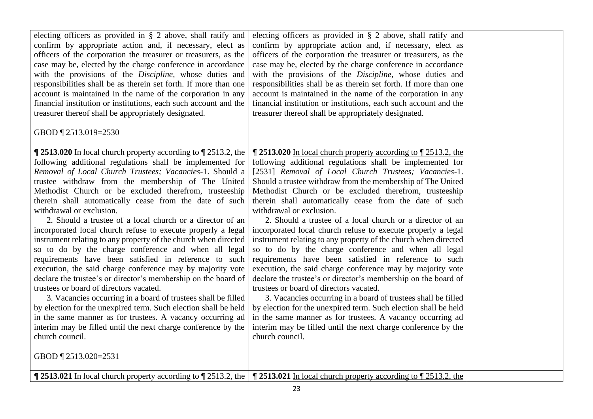| electing officers as provided in $\S$ 2 above, shall ratify and<br>confirm by appropriate action and, if necessary, elect as<br>officers of the corporation the treasurer or treasurers, as the<br>case may be, elected by the charge conference in accordance<br>with the provisions of the Discipline, whose duties and<br>responsibilities shall be as therein set forth. If more than one<br>account is maintained in the name of the corporation in any<br>financial institution or institutions, each such account and the<br>treasurer thereof shall be appropriately designated.<br>GBOD 12513.019=2530                                                                                                                                                                                                                                                                                                                                                                                                                                                                                                                                                                                                                                                                      | electing officers as provided in $\S$ 2 above, shall ratify and<br>confirm by appropriate action and, if necessary, elect as<br>officers of the corporation the treasurer or treasurers, as the<br>case may be, elected by the charge conference in accordance<br>with the provisions of the Discipline, whose duties and<br>responsibilities shall be as therein set forth. If more than one<br>account is maintained in the name of the corporation in any<br>financial institution or institutions, each such account and the<br>treasurer thereof shall be appropriately designated.                                                                                                                                                                                                                                                                                                                                                                                                                                                                                                                                                                                                                                                                             |  |
|--------------------------------------------------------------------------------------------------------------------------------------------------------------------------------------------------------------------------------------------------------------------------------------------------------------------------------------------------------------------------------------------------------------------------------------------------------------------------------------------------------------------------------------------------------------------------------------------------------------------------------------------------------------------------------------------------------------------------------------------------------------------------------------------------------------------------------------------------------------------------------------------------------------------------------------------------------------------------------------------------------------------------------------------------------------------------------------------------------------------------------------------------------------------------------------------------------------------------------------------------------------------------------------|----------------------------------------------------------------------------------------------------------------------------------------------------------------------------------------------------------------------------------------------------------------------------------------------------------------------------------------------------------------------------------------------------------------------------------------------------------------------------------------------------------------------------------------------------------------------------------------------------------------------------------------------------------------------------------------------------------------------------------------------------------------------------------------------------------------------------------------------------------------------------------------------------------------------------------------------------------------------------------------------------------------------------------------------------------------------------------------------------------------------------------------------------------------------------------------------------------------------------------------------------------------------|--|
| $\P$ 2513.020 In local church property according to $\P$ 2513.2, the<br>following additional regulations shall be implemented for<br>Removal of Local Church Trustees; Vacancies-1. Should a<br>trustee withdraw from the membership of The United<br>Methodist Church or be excluded therefrom, trusteeship<br>therein shall automatically cease from the date of such<br>withdrawal or exclusion.<br>2. Should a trustee of a local church or a director of an<br>incorporated local church refuse to execute properly a legal<br>instrument relating to any property of the church when directed<br>so to do by the charge conference and when all legal<br>requirements have been satisfied in reference to such<br>execution, the said charge conference may by majority vote<br>declare the trustee's or director's membership on the board of<br>trustees or board of directors vacated.<br>3. Vacancies occurring in a board of trustees shall be filled<br>by election for the unexpired term. Such election shall be held<br>in the same manner as for trustees. A vacancy occurring ad<br>interim may be filled until the next charge conference by the<br>church council.<br>GBOD 12513.020=2531<br>$\P$ 2513.021 In local church property according to $\P$ 2513.2, the | <b>12513.020</b> In local church property according to 12513.2, the<br>following additional regulations shall be implemented for<br>[2531] Removal of Local Church Trustees; Vacancies-1.<br>Should a trustee withdraw from the membership of The United<br>Methodist Church or be excluded therefrom, trusteeship<br>therein shall automatically cease from the date of such<br>withdrawal or exclusion.<br>2. Should a trustee of a local church or a director of an<br>incorporated local church refuse to execute properly a legal<br>instrument relating to any property of the church when directed<br>so to do by the charge conference and when all legal<br>requirements have been satisfied in reference to such<br>execution, the said charge conference may by majority vote<br>declare the trustee's or director's membership on the board of<br>trustees or board of directors vacated.<br>3. Vacancies occurring in a board of trustees shall be filled<br>by election for the unexpired term. Such election shall be held<br>in the same manner as for trustees. A vacancy occurring ad<br>interim may be filled until the next charge conference by the<br>church council.<br><b>T</b> 2513.021 In local church property according to T 2513.2, the |  |
|                                                                                                                                                                                                                                                                                                                                                                                                                                                                                                                                                                                                                                                                                                                                                                                                                                                                                                                                                                                                                                                                                                                                                                                                                                                                                      |                                                                                                                                                                                                                                                                                                                                                                                                                                                                                                                                                                                                                                                                                                                                                                                                                                                                                                                                                                                                                                                                                                                                                                                                                                                                      |  |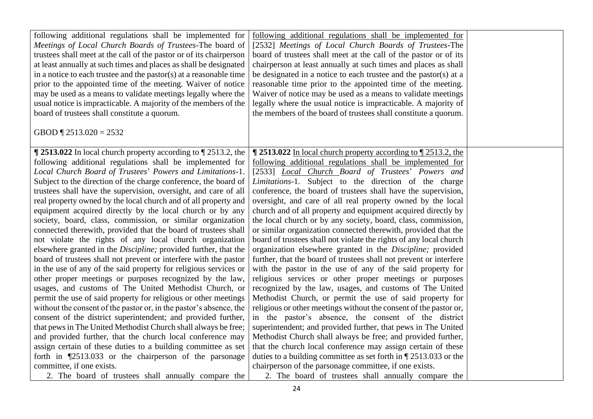| following additional regulations shall be implemented for               | following additional regulations shall be implemented for             |  |
|-------------------------------------------------------------------------|-----------------------------------------------------------------------|--|
| Meetings of Local Church Boards of Trustees-The board of                | [2532] Meetings of Local Church Boards of Trustees-The                |  |
| trustees shall meet at the call of the pastor or of its chairperson     | board of trustees shall meet at the call of the pastor or of its      |  |
| at least annually at such times and places as shall be designated       | chairperson at least annually at such times and places as shall       |  |
| in a notice to each trustee and the pastor(s) at a reasonable time      | be designated in a notice to each trustee and the pastor(s) at a      |  |
| prior to the appointed time of the meeting. Waiver of notice            | reasonable time prior to the appointed time of the meeting.           |  |
| may be used as a means to validate meetings legally where the           | Waiver of notice may be used as a means to validate meetings          |  |
| usual notice is impracticable. A majority of the members of the         | legally where the usual notice is impracticable. A majority of        |  |
| board of trustees shall constitute a quorum.                            | the members of the board of trustees shall constitute a quorum.       |  |
|                                                                         |                                                                       |  |
| GBOD $\sqrt{2513.020} = 2532$                                           |                                                                       |  |
|                                                                         |                                                                       |  |
| $\P$ 2513.022 In local church property according to $\P$ 2513.2, the    | <b>T</b> 2513.022 In local church property according to T 2513.2, the |  |
| following additional regulations shall be implemented for               | following additional regulations shall be implemented for             |  |
| Local Church Board of Trustees' Powers and Limitations-1.               | [2533] Local Church Board of Trustees' Powers and                     |  |
| Subject to the direction of the charge conference, the board of         | Limitations-1. Subject to the direction of the charge                 |  |
| trustees shall have the supervision, oversight, and care of all         | conference, the board of trustees shall have the supervision,         |  |
| real property owned by the local church and of all property and         | oversight, and care of all real property owned by the local           |  |
| equipment acquired directly by the local church or by any               | church and of all property and equipment acquired directly by         |  |
| society, board, class, commission, or similar organization              | the local church or by any society, board, class, commission,         |  |
| connected therewith, provided that the board of trustees shall          | or similar organization connected therewith, provided that the        |  |
| not violate the rights of any local church organization                 | board of trustees shall not violate the rights of any local church    |  |
| elsewhere granted in the <i>Discipline</i> ; provided further, that the | organization elsewhere granted in the Discipline; provided            |  |
| board of trustees shall not prevent or interfere with the pastor        | further, that the board of trustees shall not prevent or interfere    |  |
| in the use of any of the said property for religious services or        | with the pastor in the use of any of the said property for            |  |
| other proper meetings or purposes recognized by the law,                | religious services or other proper meetings or purposes               |  |
| usages, and customs of The United Methodist Church, or                  | recognized by the law, usages, and customs of The United              |  |
| permit the use of said property for religious or other meetings         | Methodist Church, or permit the use of said property for              |  |
| without the consent of the pastor or, in the pastor's absence, the      | religious or other meetings without the consent of the pastor or,     |  |
| consent of the district superintendent; and provided further,           | in the pastor's absence, the consent of the district                  |  |
| that pews in The United Methodist Church shall always be free;          | superintendent; and provided further, that pews in The United         |  |
| and provided further, that the church local conference may              | Methodist Church shall always be free; and provided further,          |  |
| assign certain of these duties to a building committee as set           | that the church local conference may assign certain of these          |  |
| forth in $\P$ 2513.033 or the chairperson of the parsonage              | duties to a building committee as set forth in $\P$ 2513.033 or the   |  |
| committee, if one exists.                                               | chairperson of the parsonage committee, if one exists.                |  |
| 2. The board of trustees shall annually compare the                     | 2. The board of trustees shall annually compare the                   |  |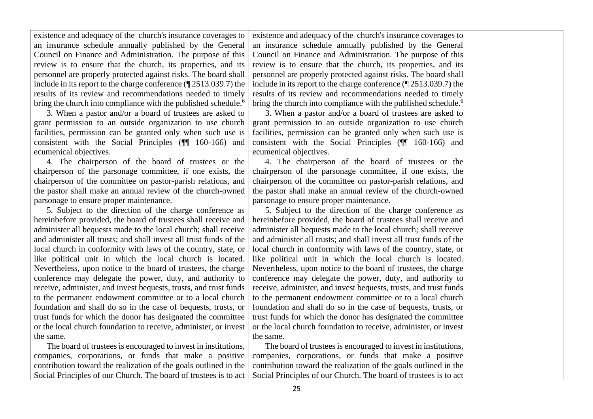existence and adequacy of the church's insurance coverages to an insurance schedule annually published by the General Council on Finance and Administration. The purpose of this review is to ensure that the church, its properties, and its personnel are properly protected against risks. The board shall include in its report to the charge conference (¶ 2513.039.7) the results of its review and recommendations needed to timely bring the church into compliance with the published schedule.<sup>6</sup>

3. When a pastor and/or a board of trustees are asked to grant permission to an outside organization to use church facilities, permission can be granted only when such use is consistent with the Social Principles (¶¶ 160-166) and ecumenical objectives.

4. The chairperson of the board of trustees or the chairperson of the parsonage committee, if one exists, the chairperson of the committee on pastor-parish relations, and the pastor shall make an annual review of the church-owned parsonage to ensure proper maintenance.

5. Subject to the direction of the charge conference as hereinbefore provided, the board of trustees shall receive and administer all bequests made to the local church; shall receive and administer all trusts; and shall invest all trust funds of the local church in conformity with laws of the country, state, or like political unit in which the local church is located. Nevertheless, upon notice to the board of trustees, the charge conference may delegate the power, duty, and authority to receive, administer, and invest bequests, trusts, and trust funds to the permanent endowment committee or to a local church foundation and shall do so in the case of bequests, trusts, or trust funds for which the donor has designated the committee or the local church foundation to receive, administer, or invest the same.

The board of trustees is encouraged to invest in institutions, companies, corporations, or funds that make a positive contribution toward the realization of the goals outlined in the Social Principles of our Church. The board of trustees is to act

existence and adequacy of the church's insurance coverages to an insurance schedule annually published by the General Council on Finance and Administration. The purpose of this review is to ensure that the church, its properties, and its personnel are properly protected against risks. The board shall include in its report to the charge conference (¶ 2513.039.7) the results of its review and recommendations needed to timely bring the church into compliance with the published schedule.<sup>6</sup>

3. When a pastor and/or a board of trustees are asked to grant permission to an outside organization to use church facilities, permission can be granted only when such use is consistent with the Social Principles (¶¶ 160-166) and ecumenical objectives.

4. The chairperson of the board of trustees or the chairperson of the parsonage committee, if one exists, the chairperson of the committee on pastor-parish relations, and the pastor shall make an annual review of the church-owned parsonage to ensure proper maintenance.

5. Subject to the direction of the charge conference as hereinbefore provided, the board of trustees shall receive and administer all bequests made to the local church; shall receive and administer all trusts; and shall invest all trust funds of the local church in conformity with laws of the country, state, or like political unit in which the local church is located. Nevertheless, upon notice to the board of trustees, the charge conference may delegate the power, duty, and authority to receive, administer, and invest bequests, trusts, and trust funds to the permanent endowment committee or to a local church foundation and shall do so in the case of bequests, trusts, or trust funds for which the donor has designated the committee or the local church foundation to receive, administer, or invest the same.

The board of trustees is encouraged to invest in institutions, companies, corporations, or funds that make a positive contribution toward the realization of the goals outlined in the Social Principles of our Church. The board of trustees is to act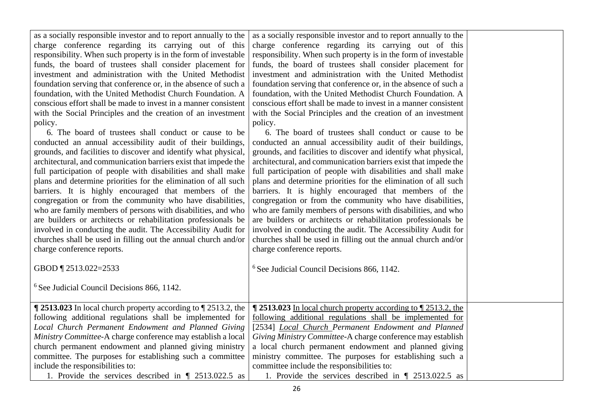| as a socially responsible investor and to report annually to the                                                        | as a socially responsible investor and to report annually to the                                                        |  |
|-------------------------------------------------------------------------------------------------------------------------|-------------------------------------------------------------------------------------------------------------------------|--|
| charge conference regarding its carrying out of this<br>responsibility. When such property is in the form of investable | charge conference regarding its carrying out of this<br>responsibility. When such property is in the form of investable |  |
| funds, the board of trustees shall consider placement for                                                               | funds, the board of trustees shall consider placement for                                                               |  |
| investment and administration with the United Methodist                                                                 | investment and administration with the United Methodist                                                                 |  |
| foundation serving that conference or, in the absence of such a                                                         | foundation serving that conference or, in the absence of such a                                                         |  |
| foundation, with the United Methodist Church Foundation. A                                                              | foundation, with the United Methodist Church Foundation. A                                                              |  |
| conscious effort shall be made to invest in a manner consistent                                                         | conscious effort shall be made to invest in a manner consistent                                                         |  |
| with the Social Principles and the creation of an investment                                                            | with the Social Principles and the creation of an investment                                                            |  |
| policy.                                                                                                                 | policy.                                                                                                                 |  |
| 6. The board of trustees shall conduct or cause to be                                                                   | 6. The board of trustees shall conduct or cause to be                                                                   |  |
| conducted an annual accessibility audit of their buildings,                                                             | conducted an annual accessibility audit of their buildings,                                                             |  |
| grounds, and facilities to discover and identify what physical,                                                         | grounds, and facilities to discover and identify what physical,                                                         |  |
| architectural, and communication barriers exist that impede the                                                         | architectural, and communication barriers exist that impede the                                                         |  |
| full participation of people with disabilities and shall make                                                           | full participation of people with disabilities and shall make                                                           |  |
| plans and determine priorities for the elimination of all such                                                          | plans and determine priorities for the elimination of all such                                                          |  |
| barriers. It is highly encouraged that members of the                                                                   | barriers. It is highly encouraged that members of the                                                                   |  |
| congregation or from the community who have disabilities,                                                               | congregation or from the community who have disabilities,                                                               |  |
| who are family members of persons with disabilities, and who                                                            | who are family members of persons with disabilities, and who                                                            |  |
| are builders or architects or rehabilitation professionals be                                                           | are builders or architects or rehabilitation professionals be                                                           |  |
| involved in conducting the audit. The Accessibility Audit for                                                           | involved in conducting the audit. The Accessibility Audit for                                                           |  |
| churches shall be used in filling out the annual church and/or                                                          | churches shall be used in filling out the annual church and/or                                                          |  |
| charge conference reports.                                                                                              | charge conference reports.                                                                                              |  |
| GBOD 12513.022=2533                                                                                                     | <sup>6</sup> See Judicial Council Decisions 866, 1142.                                                                  |  |
|                                                                                                                         |                                                                                                                         |  |
| <sup>6</sup> See Judicial Council Decisions 866, 1142.                                                                  |                                                                                                                         |  |
| $\parallel$ 2513.023 In local church property according to $\parallel$ 2513.2, the                                      | <b>12513.023</b> In local church property according to 12513.2, the                                                     |  |
| following additional regulations shall be implemented for                                                               | following additional regulations shall be implemented for                                                               |  |
| Local Church Permanent Endowment and Planned Giving                                                                     | [2534] Local Church Permanent Endowment and Planned                                                                     |  |
| Ministry Committee-A charge conference may establish a local                                                            | Giving Ministry Committee-A charge conference may establish                                                             |  |
| church permanent endowment and planned giving ministry                                                                  | a local church permanent endowment and planned giving                                                                   |  |
| committee. The purposes for establishing such a committee                                                               | ministry committee. The purposes for establishing such a                                                                |  |
| include the responsibilities to:                                                                                        | committee include the responsibilities to:                                                                              |  |
| 1. Provide the services described in $\P$ 2513.022.5 as                                                                 | 1. Provide the services described in $\P$ 2513.022.5 as                                                                 |  |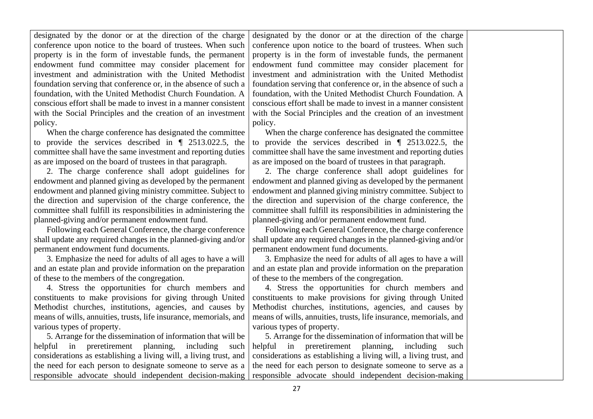designated by the donor or at the direction of the charge conference upon notice to the board of trustees. When such property is in the form of investable funds, the permanent endowment fund committee may consider placement for investment and administration with the United Methodist foundation serving that conference or, in the absence of such a foundation, with the United Methodist Church Foundation. A conscious effort shall be made to invest in a manner consistent with the Social Principles and the creation of an investment policy.

When the charge conference has designated the committee to provide the services described in ¶ 2513.022.5, the committee shall have the same investment and reporting duties as are imposed on the board of trustees in that paragraph.

2. The charge conference shall adopt guidelines for endowment and planned giving as developed by the permanent endowment and planned giving ministry committee. Subject to the direction and supervision of the charge conference, the committee shall fulfill its responsibilities in administering the planned-giving and/or permanent endowment fund.

Following each General Conference, the charge conference shall update any required changes in the planned-giving and/or permanent endowment fund documents.

3. Emphasize the need for adults of all ages to have a will and an estate plan and provide information on the preparation of these to the members of the congregation.

4. Stress the opportunities for church members and constituents to make provisions for giving through United Methodist churches, institutions, agencies, and causes by means of wills, annuities, trusts, life insurance, memorials, and various types of property.

5. Arrange for the dissemination of information that will be helpful in preretirement planning, including such considerations as establishing a living will, a living trust, and the need for each person to designate someone to serve as a responsible advocate should independent decision-making

designated by the donor or at the direction of the charge conference upon notice to the board of trustees. When such property is in the form of investable funds, the permanent endowment fund committee may consider placement for investment and administration with the United Methodist foundation serving that conference or, in the absence of such a foundation, with the United Methodist Church Foundation. A conscious effort shall be made to invest in a manner consistent with the Social Principles and the creation of an investment policy.

When the charge conference has designated the committee to provide the services described in ¶ 2513.022.5, the committee shall have the same investment and reporting duties as are imposed on the board of trustees in that paragraph.

2. The charge conference shall adopt guidelines for endowment and planned giving as developed by the permanent endowment and planned giving ministry committee. Subject to the direction and supervision of the charge conference, the committee shall fulfill its responsibilities in administering the planned-giving and/or permanent endowment fund.

Following each General Conference, the charge conference shall update any required changes in the planned-giving and/or permanent endowment fund documents.

3. Emphasize the need for adults of all ages to have a will and an estate plan and provide information on the preparation of these to the members of the congregation.

4. Stress the opportunities for church members and constituents to make provisions for giving through United Methodist churches, institutions, agencies, and causes by means of wills, annuities, trusts, life insurance, memorials, and various types of property.

5. Arrange for the dissemination of information that will be helpful in preretirement planning, including such considerations as establishing a living will, a living trust, and the need for each person to designate someone to serve as a responsible advocate should independent decision-making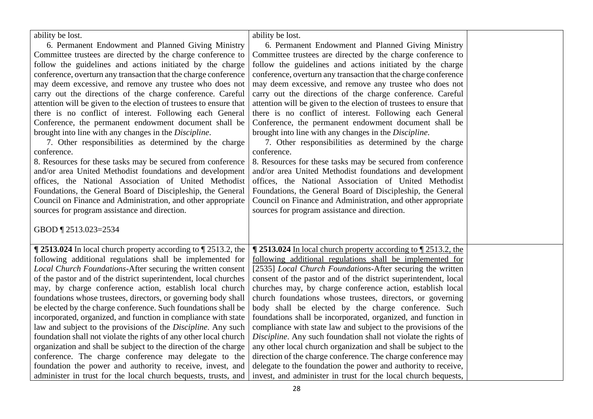| ability be lost.                                                                   | ability be lost.                                                    |  |
|------------------------------------------------------------------------------------|---------------------------------------------------------------------|--|
| 6. Permanent Endowment and Planned Giving Ministry                                 | 6. Permanent Endowment and Planned Giving Ministry                  |  |
| Committee trustees are directed by the charge conference to                        | Committee trustees are directed by the charge conference to         |  |
| follow the guidelines and actions initiated by the charge                          | follow the guidelines and actions initiated by the charge           |  |
| conference, overturn any transaction that the charge conference                    | conference, overturn any transaction that the charge conference     |  |
| may deem excessive, and remove any trustee who does not                            | may deem excessive, and remove any trustee who does not             |  |
| carry out the directions of the charge conference. Careful                         | carry out the directions of the charge conference. Careful          |  |
| attention will be given to the election of trustees to ensure that                 | attention will be given to the election of trustees to ensure that  |  |
| there is no conflict of interest. Following each General                           | there is no conflict of interest. Following each General            |  |
| Conference, the permanent endowment document shall be                              | Conference, the permanent endowment document shall be               |  |
| brought into line with any changes in the Discipline.                              | brought into line with any changes in the Discipline.               |  |
| 7. Other responsibilities as determined by the charge                              | 7. Other responsibilities as determined by the charge               |  |
| conference.                                                                        | conference.                                                         |  |
| 8. Resources for these tasks may be secured from conference                        | 8. Resources for these tasks may be secured from conference         |  |
| and/or area United Methodist foundations and development                           | and/or area United Methodist foundations and development            |  |
| offices, the National Association of United Methodist                              | offices, the National Association of United Methodist               |  |
| Foundations, the General Board of Discipleship, the General                        | Foundations, the General Board of Discipleship, the General         |  |
| Council on Finance and Administration, and other appropriate                       | Council on Finance and Administration, and other appropriate        |  |
| sources for program assistance and direction.                                      | sources for program assistance and direction.                       |  |
|                                                                                    |                                                                     |  |
| GBOD 12513.023=2534                                                                |                                                                     |  |
|                                                                                    |                                                                     |  |
| $\parallel$ 2513.024 In local church property according to $\parallel$ 2513.2, the | <b>12513.024</b> In local church property according to 12513.2, the |  |
| following additional regulations shall be implemented for                          | following additional regulations shall be implemented for           |  |
| Local Church Foundations-After securing the written consent                        | [2535] Local Church Foundations-After securing the written          |  |
| of the pastor and of the district superintendent, local churches                   | consent of the pastor and of the district superintendent, local     |  |
| may, by charge conference action, establish local church                           | churches may, by charge conference action, establish local          |  |
| foundations whose trustees, directors, or governing body shall                     | church foundations whose trustees, directors, or governing          |  |
| be elected by the charge conference. Such foundations shall be                     | body shall be elected by the charge conference. Such                |  |
| incorporated, organized, and function in compliance with state                     | foundations shall be incorporated, organized, and function in       |  |
| law and subject to the provisions of the Discipline. Any such                      | compliance with state law and subject to the provisions of the      |  |
| foundation shall not violate the rights of any other local church                  | Discipline. Any such foundation shall not violate the rights of     |  |
| organization and shall be subject to the direction of the charge                   | any other local church organization and shall be subject to the     |  |
| conference. The charge conference may delegate to the                              | direction of the charge conference. The charge conference may       |  |
| foundation the power and authority to receive, invest, and                         | delegate to the foundation the power and authority to receive,      |  |
| administer in trust for the local church bequests, trusts, and                     | invest, and administer in trust for the local church bequests,      |  |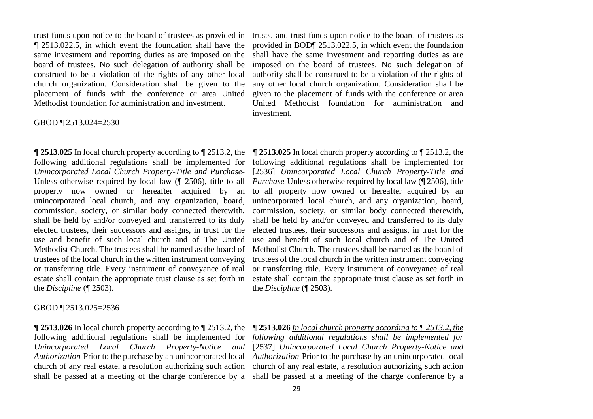| trust funds upon notice to the board of trustees as provided in<br>1 2513.022.5, in which event the foundation shall have the<br>same investment and reporting duties as are imposed on the<br>board of trustees. No such delegation of authority shall be<br>construed to be a violation of the rights of any other local<br>church organization. Consideration shall be given to the<br>placement of funds with the conference or area United<br>Methodist foundation for administration and investment.<br>GBOD 12513.024=2530                                                                                                                                                                                                                                                                                                                                                                                                                                                            | trusts, and trust funds upon notice to the board of trustees as<br>provided in BOD¶ 2513.022.5, in which event the foundation<br>shall have the same investment and reporting duties as are<br>imposed on the board of trustees. No such delegation of<br>authority shall be construed to be a violation of the rights of<br>any other local church organization. Consideration shall be<br>given to the placement of funds with the conference or area<br>United Methodist foundation for administration and<br>investment.                                                                                                                                                                                                                                                                                                                                                                                                                                           |  |
|----------------------------------------------------------------------------------------------------------------------------------------------------------------------------------------------------------------------------------------------------------------------------------------------------------------------------------------------------------------------------------------------------------------------------------------------------------------------------------------------------------------------------------------------------------------------------------------------------------------------------------------------------------------------------------------------------------------------------------------------------------------------------------------------------------------------------------------------------------------------------------------------------------------------------------------------------------------------------------------------|------------------------------------------------------------------------------------------------------------------------------------------------------------------------------------------------------------------------------------------------------------------------------------------------------------------------------------------------------------------------------------------------------------------------------------------------------------------------------------------------------------------------------------------------------------------------------------------------------------------------------------------------------------------------------------------------------------------------------------------------------------------------------------------------------------------------------------------------------------------------------------------------------------------------------------------------------------------------|--|
| $\P$ 2513.025 In local church property according to $\P$ 2513.2, the<br>following additional regulations shall be implemented for<br>Unincorporated Local Church Property-Title and Purchase-<br>Unless otherwise required by local law $(\parallel 2506)$ , title to all<br>property now owned or hereafter acquired by an<br>unincorporated local church, and any organization, board,<br>commission, society, or similar body connected therewith,<br>shall be held by and/or conveyed and transferred to its duly<br>elected trustees, their successors and assigns, in trust for the<br>use and benefit of such local church and of The United<br>Methodist Church. The trustees shall be named as the board of<br>trustees of the local church in the written instrument conveying<br>or transferring title. Every instrument of conveyance of real<br>estate shall contain the appropriate trust clause as set forth in<br>the <i>Discipline</i> ( $\P$ 2503).<br>GBOD 12513.025=2536 | <b>12513.025</b> In local church property according to 12513.2, the<br>following additional regulations shall be implemented for<br>[2536] Unincorporated Local Church Property-Title and<br><i>Purchase</i> -Unless otherwise required by local law (¶2506), title<br>to all property now owned or hereafter acquired by an<br>unincorporated local church, and any organization, board,<br>commission, society, or similar body connected therewith,<br>shall be held by and/or conveyed and transferred to its duly<br>elected trustees, their successors and assigns, in trust for the<br>use and benefit of such local church and of The United<br>Methodist Church. The trustees shall be named as the board of<br>trustees of the local church in the written instrument conveying<br>or transferring title. Every instrument of conveyance of real<br>estate shall contain the appropriate trust clause as set forth in<br>the <i>Discipline</i> ( $\P$ 2503). |  |
| $\P$ 2513.026 In local church property according to $\P$ 2513.2, the<br>following additional regulations shall be implemented for<br>Unincorporated Local Church Property-Notice<br>and<br>Authorization-Prior to the purchase by an unincorporated local<br>church of any real estate, a resolution authorizing such action<br>shall be passed at a meeting of the charge conference by a                                                                                                                                                                                                                                                                                                                                                                                                                                                                                                                                                                                                   | <b>12513.026</b> In local church property according to 12513.2, the<br>following additional regulations shall be implemented for<br>[2537] Unincorporated Local Church Property-Notice and<br>Authorization-Prior to the purchase by an unincorporated local<br>church of any real estate, a resolution authorizing such action<br>shall be passed at a meeting of the charge conference by a                                                                                                                                                                                                                                                                                                                                                                                                                                                                                                                                                                          |  |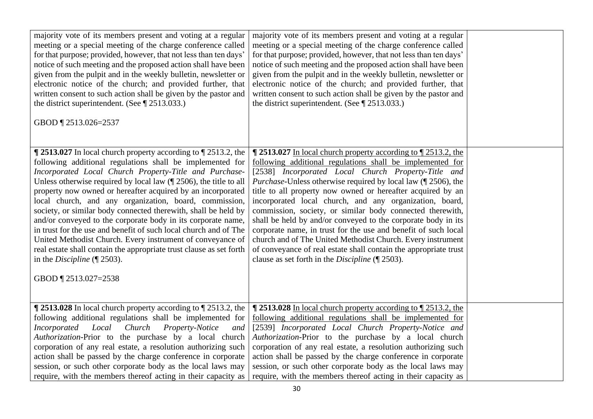| majority vote of its members present and voting at a regular<br>meeting or a special meeting of the charge conference called<br>for that purpose; provided, however, that not less than ten days'<br>notice of such meeting and the proposed action shall have been<br>given from the pulpit and in the weekly bulletin, newsletter or<br>electronic notice of the church; and provided further, that<br>written consent to such action shall be given by the pastor and<br>the district superintendent. (See $\P$ 2513.033.)<br>GBOD 12513.026=2537                                                                                                                                                                                                                                                                    | majority vote of its members present and voting at a regular<br>meeting or a special meeting of the charge conference called<br>for that purpose; provided, however, that not less than ten days'<br>notice of such meeting and the proposed action shall have been<br>given from the pulpit and in the weekly bulletin, newsletter or<br>electronic notice of the church; and provided further, that<br>written consent to such action shall be given by the pastor and<br>the district superintendent. (See $\P$ 2513.033.)                                                                                                                                                                                                                                                                               |  |
|-------------------------------------------------------------------------------------------------------------------------------------------------------------------------------------------------------------------------------------------------------------------------------------------------------------------------------------------------------------------------------------------------------------------------------------------------------------------------------------------------------------------------------------------------------------------------------------------------------------------------------------------------------------------------------------------------------------------------------------------------------------------------------------------------------------------------|-------------------------------------------------------------------------------------------------------------------------------------------------------------------------------------------------------------------------------------------------------------------------------------------------------------------------------------------------------------------------------------------------------------------------------------------------------------------------------------------------------------------------------------------------------------------------------------------------------------------------------------------------------------------------------------------------------------------------------------------------------------------------------------------------------------|--|
| $\P$ 2513.027 In local church property according to $\P$ 2513.2, the<br>following additional regulations shall be implemented for<br>Incorporated Local Church Property-Title and Purchase-<br>Unless otherwise required by local law $($ $\parallel$ 2506), the title to all<br>property now owned or hereafter acquired by an incorporated<br>local church, and any organization, board, commission,<br>society, or similar body connected therewith, shall be held by<br>and/or conveyed to the corporate body in its corporate name,<br>in trust for the use and benefit of such local church and of The<br>United Methodist Church. Every instrument of conveyance of<br>real estate shall contain the appropriate trust clause as set forth<br>in the <i>Discipline</i> ( $\sqrt{2503}$ ).<br>GBOD 12513.027=2538 | <b>12513.027</b> In local church property according to 12513.2, the<br>following additional regulations shall be implemented for<br>[2538] Incorporated Local Church Property-Title and<br><i>Purchase</i> -Unless otherwise required by local law (¶ 2506), the<br>title to all property now owned or hereafter acquired by an<br>incorporated local church, and any organization, board,<br>commission, society, or similar body connected therewith,<br>shall be held by and/or conveyed to the corporate body in its<br>corporate name, in trust for the use and benefit of such local<br>church and of The United Methodist Church. Every instrument<br>of conveyance of real estate shall contain the appropriate trust<br>clause as set forth in the <i>Discipline</i> $(\sqrt{\phantom{a}} 2503)$ . |  |
| $\parallel$ 2513.028 In local church property according to $\parallel$ 2513.2, the<br>following additional regulations shall be implemented for<br>Incorporated<br>Local<br>Church<br>Property-Notice<br>and<br>Authorization-Prior to the purchase by a local church<br>corporation of any real estate, a resolution authorizing such<br>action shall be passed by the charge conference in corporate<br>session, or such other corporate body as the local laws may<br>require, with the members thereof acting in their capacity as                                                                                                                                                                                                                                                                                  | <b>12513.028</b> In local church property according to 12513.2, the<br>following additional regulations shall be implemented for<br>[2539] Incorporated Local Church Property-Notice and<br>Authorization-Prior to the purchase by a local church<br>corporation of any real estate, a resolution authorizing such<br>action shall be passed by the charge conference in corporate<br>session, or such other corporate body as the local laws may<br>require, with the members thereof acting in their capacity as                                                                                                                                                                                                                                                                                          |  |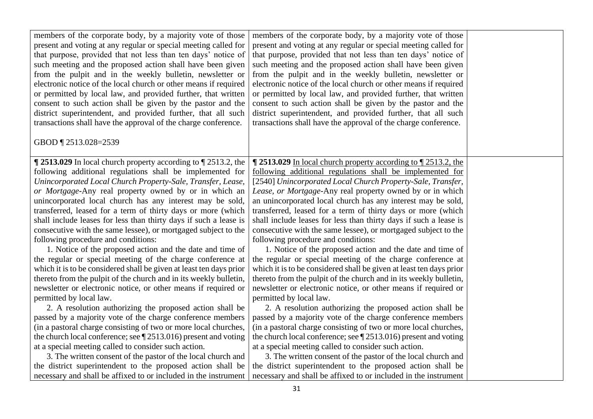| members of the corporate body, by a majority vote of those<br>present and voting at any regular or special meeting called for<br>that purpose, provided that not less than ten days' notice of<br>such meeting and the proposed action shall have been given<br>from the pulpit and in the weekly bulletin, newsletter or<br>electronic notice of the local church or other means if required<br>or permitted by local law, and provided further, that written<br>consent to such action shall be given by the pastor and the<br>district superintendent, and provided further, that all such<br>transactions shall have the approval of the charge conference.<br>GBOD 12513.028=2539 | members of the corporate body, by a majority vote of those<br>present and voting at any regular or special meeting called for<br>that purpose, provided that not less than ten days' notice of<br>such meeting and the proposed action shall have been given<br>from the pulpit and in the weekly bulletin, newsletter or<br>electronic notice of the local church or other means if required<br>or permitted by local law, and provided further, that written<br>consent to such action shall be given by the pastor and the<br>district superintendent, and provided further, that all such<br>transactions shall have the approval of the charge conference. |  |
|----------------------------------------------------------------------------------------------------------------------------------------------------------------------------------------------------------------------------------------------------------------------------------------------------------------------------------------------------------------------------------------------------------------------------------------------------------------------------------------------------------------------------------------------------------------------------------------------------------------------------------------------------------------------------------------|-----------------------------------------------------------------------------------------------------------------------------------------------------------------------------------------------------------------------------------------------------------------------------------------------------------------------------------------------------------------------------------------------------------------------------------------------------------------------------------------------------------------------------------------------------------------------------------------------------------------------------------------------------------------|--|
| $\parallel$ 2513.029 In local church property according to $\parallel$ 2513.2, the                                                                                                                                                                                                                                                                                                                                                                                                                                                                                                                                                                                                     | <b>12513.029</b> In local church property according to 12513.2, the                                                                                                                                                                                                                                                                                                                                                                                                                                                                                                                                                                                             |  |
| following additional regulations shall be implemented for<br>Unincorporated Local Church Property-Sale, Transfer, Lease,                                                                                                                                                                                                                                                                                                                                                                                                                                                                                                                                                               | following additional regulations shall be implemented for<br>[2540] Unincorporated Local Church Property-Sale, Transfer,                                                                                                                                                                                                                                                                                                                                                                                                                                                                                                                                        |  |
| or Mortgage-Any real property owned by or in which an                                                                                                                                                                                                                                                                                                                                                                                                                                                                                                                                                                                                                                  | Lease, or Mortgage-Any real property owned by or in which                                                                                                                                                                                                                                                                                                                                                                                                                                                                                                                                                                                                       |  |
| unincorporated local church has any interest may be sold,                                                                                                                                                                                                                                                                                                                                                                                                                                                                                                                                                                                                                              | an unincorporated local church has any interest may be sold,                                                                                                                                                                                                                                                                                                                                                                                                                                                                                                                                                                                                    |  |
| transferred, leased for a term of thirty days or more (which                                                                                                                                                                                                                                                                                                                                                                                                                                                                                                                                                                                                                           | transferred, leased for a term of thirty days or more (which                                                                                                                                                                                                                                                                                                                                                                                                                                                                                                                                                                                                    |  |
| shall include leases for less than thirty days if such a lease is                                                                                                                                                                                                                                                                                                                                                                                                                                                                                                                                                                                                                      | shall include leases for less than thirty days if such a lease is                                                                                                                                                                                                                                                                                                                                                                                                                                                                                                                                                                                               |  |
| consecutive with the same lessee), or mortgaged subject to the                                                                                                                                                                                                                                                                                                                                                                                                                                                                                                                                                                                                                         | consecutive with the same lessee), or mortgaged subject to the                                                                                                                                                                                                                                                                                                                                                                                                                                                                                                                                                                                                  |  |
| following procedure and conditions:                                                                                                                                                                                                                                                                                                                                                                                                                                                                                                                                                                                                                                                    | following procedure and conditions:                                                                                                                                                                                                                                                                                                                                                                                                                                                                                                                                                                                                                             |  |
| 1. Notice of the proposed action and the date and time of                                                                                                                                                                                                                                                                                                                                                                                                                                                                                                                                                                                                                              | 1. Notice of the proposed action and the date and time of                                                                                                                                                                                                                                                                                                                                                                                                                                                                                                                                                                                                       |  |
| the regular or special meeting of the charge conference at                                                                                                                                                                                                                                                                                                                                                                                                                                                                                                                                                                                                                             | the regular or special meeting of the charge conference at                                                                                                                                                                                                                                                                                                                                                                                                                                                                                                                                                                                                      |  |
| which it is to be considered shall be given at least ten days prior                                                                                                                                                                                                                                                                                                                                                                                                                                                                                                                                                                                                                    | which it is to be considered shall be given at least ten days prior                                                                                                                                                                                                                                                                                                                                                                                                                                                                                                                                                                                             |  |
| thereto from the pulpit of the church and in its weekly bulletin,                                                                                                                                                                                                                                                                                                                                                                                                                                                                                                                                                                                                                      | thereto from the pulpit of the church and in its weekly bulletin,                                                                                                                                                                                                                                                                                                                                                                                                                                                                                                                                                                                               |  |
| newsletter or electronic notice, or other means if required or                                                                                                                                                                                                                                                                                                                                                                                                                                                                                                                                                                                                                         | newsletter or electronic notice, or other means if required or                                                                                                                                                                                                                                                                                                                                                                                                                                                                                                                                                                                                  |  |
| permitted by local law.                                                                                                                                                                                                                                                                                                                                                                                                                                                                                                                                                                                                                                                                | permitted by local law.                                                                                                                                                                                                                                                                                                                                                                                                                                                                                                                                                                                                                                         |  |
| 2. A resolution authorizing the proposed action shall be                                                                                                                                                                                                                                                                                                                                                                                                                                                                                                                                                                                                                               | 2. A resolution authorizing the proposed action shall be                                                                                                                                                                                                                                                                                                                                                                                                                                                                                                                                                                                                        |  |
| passed by a majority vote of the charge conference members                                                                                                                                                                                                                                                                                                                                                                                                                                                                                                                                                                                                                             | passed by a majority vote of the charge conference members                                                                                                                                                                                                                                                                                                                                                                                                                                                                                                                                                                                                      |  |
| (in a pastoral charge consisting of two or more local churches,                                                                                                                                                                                                                                                                                                                                                                                                                                                                                                                                                                                                                        | (in a pastoral charge consisting of two or more local churches,                                                                                                                                                                                                                                                                                                                                                                                                                                                                                                                                                                                                 |  |
| the church local conference; see $\P$ 2513.016) present and voting                                                                                                                                                                                                                                                                                                                                                                                                                                                                                                                                                                                                                     | the church local conference; see $\P$ 2513.016) present and voting                                                                                                                                                                                                                                                                                                                                                                                                                                                                                                                                                                                              |  |
| at a special meeting called to consider such action.                                                                                                                                                                                                                                                                                                                                                                                                                                                                                                                                                                                                                                   | at a special meeting called to consider such action.                                                                                                                                                                                                                                                                                                                                                                                                                                                                                                                                                                                                            |  |
| 3. The written consent of the pastor of the local church and                                                                                                                                                                                                                                                                                                                                                                                                                                                                                                                                                                                                                           | 3. The written consent of the pastor of the local church and                                                                                                                                                                                                                                                                                                                                                                                                                                                                                                                                                                                                    |  |
| the district superintendent to the proposed action shall be<br>necessary and shall be affixed to or included in the instrument                                                                                                                                                                                                                                                                                                                                                                                                                                                                                                                                                         | the district superintendent to the proposed action shall be<br>necessary and shall be affixed to or included in the instrument                                                                                                                                                                                                                                                                                                                                                                                                                                                                                                                                  |  |
|                                                                                                                                                                                                                                                                                                                                                                                                                                                                                                                                                                                                                                                                                        |                                                                                                                                                                                                                                                                                                                                                                                                                                                                                                                                                                                                                                                                 |  |
| 31                                                                                                                                                                                                                                                                                                                                                                                                                                                                                                                                                                                                                                                                                     |                                                                                                                                                                                                                                                                                                                                                                                                                                                                                                                                                                                                                                                                 |  |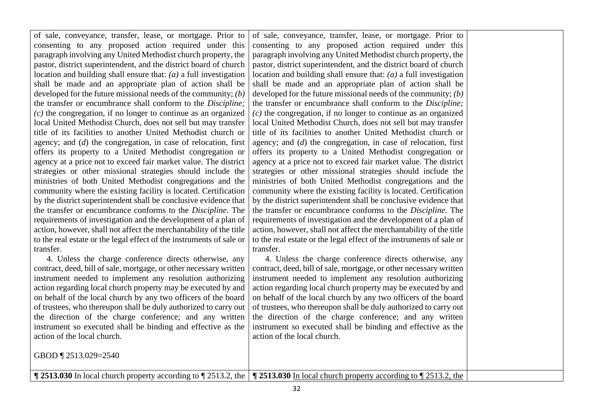| of sale, conveyance, transfer, lease, or mortgage. Prior to          | of sale, conveyance, transfer, lease, or mortgage. Prior to                                                                                   |  |
|----------------------------------------------------------------------|-----------------------------------------------------------------------------------------------------------------------------------------------|--|
| consenting to any proposed action required under this                | consenting to any proposed action required under this                                                                                         |  |
| paragraph involving any United Methodist church property, the        | paragraph involving any United Methodist church property, the                                                                                 |  |
| pastor, district superintendent, and the district board of church    | pastor, district superintendent, and the district board of church                                                                             |  |
| location and building shall ensure that: $(a)$ a full investigation  | location and building shall ensure that: $(a)$ a full investigation                                                                           |  |
| shall be made and an appropriate plan of action shall be             | shall be made and an appropriate plan of action shall be                                                                                      |  |
| developed for the future missional needs of the community; $(b)$     | developed for the future missional needs of the community; $(b)$                                                                              |  |
| the transfer or encumbrance shall conform to the Discipline;         | the transfer or encumbrance shall conform to the Discipline;                                                                                  |  |
| $(c)$ the congregation, if no longer to continue as an organized     | $(c)$ the congregation, if no longer to continue as an organized                                                                              |  |
| local United Methodist Church, does not sell but may transfer        | local United Methodist Church, does not sell but may transfer                                                                                 |  |
| title of its facilities to another United Methodist church or        | title of its facilities to another United Methodist church or                                                                                 |  |
| agency; and $(d)$ the congregation, in case of relocation, first     | agency; and $(d)$ the congregation, in case of relocation, first                                                                              |  |
| offers its property to a United Methodist congregation or            | offers its property to a United Methodist congregation or                                                                                     |  |
| agency at a price not to exceed fair market value. The district      | agency at a price not to exceed fair market value. The district                                                                               |  |
| strategies or other missional strategies should include the          | strategies or other missional strategies should include the                                                                                   |  |
| ministries of both United Methodist congregations and the            | ministries of both United Methodist congregations and the                                                                                     |  |
| community where the existing facility is located. Certification      | community where the existing facility is located. Certification                                                                               |  |
| by the district superintendent shall be conclusive evidence that     | by the district superintendent shall be conclusive evidence that                                                                              |  |
| the transfer or encumbrance conforms to the Discipline. The          | the transfer or encumbrance conforms to the <i>Discipline</i> . The                                                                           |  |
| requirements of investigation and the development of a plan of       | requirements of investigation and the development of a plan of                                                                                |  |
| action, however, shall not affect the merchantability of the title   | action, however, shall not affect the merchantability of the title                                                                            |  |
| to the real estate or the legal effect of the instruments of sale or | to the real estate or the legal effect of the instruments of sale or                                                                          |  |
| transfer.                                                            | transfer.                                                                                                                                     |  |
| 4. Unless the charge conference directs otherwise, any               | 4. Unless the charge conference directs otherwise, any                                                                                        |  |
| contract, deed, bill of sale, mortgage, or other necessary written   | contract, deed, bill of sale, mortgage, or other necessary written                                                                            |  |
| instrument needed to implement any resolution authorizing            | instrument needed to implement any resolution authorizing                                                                                     |  |
| action regarding local church property may be executed by and        | action regarding local church property may be executed by and                                                                                 |  |
| on behalf of the local church by any two officers of the board       | on behalf of the local church by any two officers of the board                                                                                |  |
| of trustees, who thereupon shall be duly authorized to carry out     | of trustees, who thereupon shall be duly authorized to carry out                                                                              |  |
| the direction of the charge conference; and any written              | the direction of the charge conference; and any written                                                                                       |  |
| instrument so executed shall be binding and effective as the         | instrument so executed shall be binding and effective as the                                                                                  |  |
| action of the local church.                                          | action of the local church.                                                                                                                   |  |
|                                                                      |                                                                                                                                               |  |
| GBOD 12513.029=2540                                                  |                                                                                                                                               |  |
|                                                                      |                                                                                                                                               |  |
|                                                                      | <b>T</b> 2513.030 In local church property according to $\P$ 2513.2, the $\P$ 2513.030 In local church property according to $\P$ 2513.2, the |  |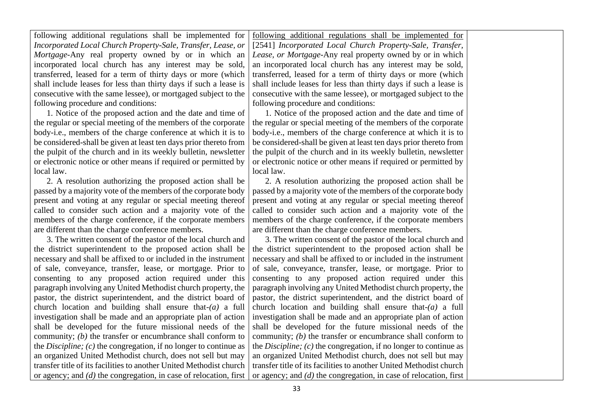following additional regulations shall be implemented for *Incorporated Local Church Property*-*Sale, Transfer, Lease, or Mortgage*-Any real property owned by or in which an incorporated local church has any interest may be sold, transferred, leased for a term of thirty days or more (which shall include leases for less than thirty days if such a lease is consecutive with the same lessee), or mortgaged subject to the following procedure and conditions:

1. Notice of the proposed action and the date and time of the regular or special meeting of the members of the corporate body-i.e., members of the charge conference at which it is to be considered-shall be given at least ten days prior thereto from the pulpit of the church and in its weekly bulletin, newsletter or electronic notice or other means if required or permitted by local law.

2. A resolution authorizing the proposed action shall be passed by a majority vote of the members of the corporate body present and voting at any regular or special meeting thereof called to consider such action and a majority vote of the members of the charge conference, if the corporate members are different than the charge conference members.

3. The written consent of the pastor of the local church and the district superintendent to the proposed action shall be necessary and shall be affixed to or included in the instrument of sale, conveyance, transfer, lease, or mortgage. Prior to consenting to any proposed action required under this paragraph involving any United Methodist church property, the pastor, the district superintendent, and the district board of church location and building shall ensure that-*(a)* a full investigation shall be made and an appropriate plan of action shall be developed for the future missional needs of the community; *(b)* the transfer or encumbrance shall conform to the *Discipline; (c)* the congregation, if no longer to continue as an organized United Methodist church, does not sell but may transfer title of its facilities to another United Methodist church or agency; and *(d)* the congregation, in case of relocation, first

following additional regulations shall be implemented for [2541] *Incorporated Local Church Property*-*Sale, Transfer, Lease, or Mortgage*-Any real property owned by or in which an incorporated local church has any interest may be sold, transferred, leased for a term of thirty days or more (which shall include leases for less than thirty days if such a lease is consecutive with the same lessee), or mortgaged subject to the following procedure and conditions:

1. Notice of the proposed action and the date and time of the regular or special meeting of the members of the corporate body-i.e., members of the charge conference at which it is to be considered-shall be given at least ten days prior thereto from the pulpit of the church and in its weekly bulletin, newsletter or electronic notice or other means if required or permitted by local law.

2. A resolution authorizing the proposed action shall be passed by a majority vote of the members of the corporate body present and voting at any regular or special meeting thereof called to consider such action and a majority vote of the members of the charge conference, if the corporate members are different than the charge conference members.

3. The written consent of the pastor of the local church and the district superintendent to the proposed action shall be necessary and shall be affixed to or included in the instrument of sale, conveyance, transfer, lease, or mortgage. Prior to consenting to any proposed action required under this paragraph involving any United Methodist church property, the pastor, the district superintendent, and the district board of church location and building shall ensure that-*(a)* a full investigation shall be made and an appropriate plan of action shall be developed for the future missional needs of the community; *(b)* the transfer or encumbrance shall conform to the *Discipline; (c)* the congregation, if no longer to continue as an organized United Methodist church, does not sell but may transfer title of its facilities to another United Methodist church or agency; and *(d)* the congregation, in case of relocation, first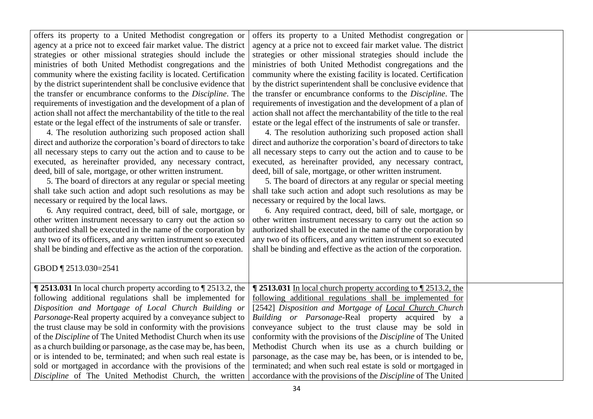offers its property to a United Methodist congregation or agency at a price not to exceed fair market value. The district strategies or other missional strategies should include the ministries of both United Methodist congregations and the community where the existing facility is located. Certification by the district superintendent shall be conclusive evidence that the transfer or encumbrance conforms to the *Discipline*. The requirements of investigation and the development of a plan of action shall not affect the merchantability of the title to the real estate or the legal effect of the instruments of sale or transfer.

4. The resolution authorizing such proposed action shall direct and authorize the corporation's board of directors to take all necessary steps to carry out the action and to cause to be executed, as hereinafter provided, any necessary contract, deed, bill of sale, mortgage, or other written instrument.

5. The board of directors at any regular or special meeting shall take such action and adopt such resolutions as may be necessary or required by the local laws.

6. Any required contract, deed, bill of sale, mortgage, or other written instrument necessary to carry out the action so authorized shall be executed in the name of the corporation by any two of its officers, and any written instrument so executed shall be binding and effective as the action of the corporation.

offers its property to a United Methodist congregation or agency at a price not to exceed fair market value. The district strategies or other missional strategies should include the ministries of both United Methodist congregations and the community where the existing facility is located. Certification by the district superintendent shall be conclusive evidence that the transfer or encumbrance conforms to the *Discipline*. The requirements of investigation and the development of a plan of action shall not affect the merchantability of the title to the real estate or the legal effect of the instruments of sale or transfer.

4. The resolution authorizing such proposed action shall direct and authorize the corporation's board of directors to take all necessary steps to carry out the action and to cause to be executed, as hereinafter provided, any necessary contract, deed, bill of sale, mortgage, or other written instrument.

5. The board of directors at any regular or special meeting shall take such action and adopt such resolutions as may be necessary or required by the local laws.

6. Any required contract, deed, bill of sale, mortgage, or other written instrument necessary to carry out the action so authorized shall be executed in the name of the corporation by any two of its officers, and any written instrument so executed shall be binding and effective as the action of the corporation.

## GBOD ¶ 2513.030=2541

**¶ 2513.031** In local church property according to ¶ 2513.2, the following additional regulations shall be implemented for *Disposition and Mortgage of Local Church Building or Parsonage*-Real property acquired by a conveyance subject to the trust clause may be sold in conformity with the provisions of the *Discipline* of The United Methodist Church when its use as a church building or parsonage, as the case may be, has been, or is intended to be, terminated; and when such real estate is sold or mortgaged in accordance with the provisions of the *Discipline* of The United Methodist Church, the written **¶ 2513.031** In local church property according to ¶ 2513.2, the following additional regulations shall be implemented for [2542] *Disposition and Mortgage of Local Church Church Building or Parsonage*-Real property acquired by a conveyance subject to the trust clause may be sold in conformity with the provisions of the *Discipline* of The United Methodist Church when its use as a church building or parsonage, as the case may be, has been, or is intended to be, terminated; and when such real estate is sold or mortgaged in accordance with the provisions of the *Discipline* of The United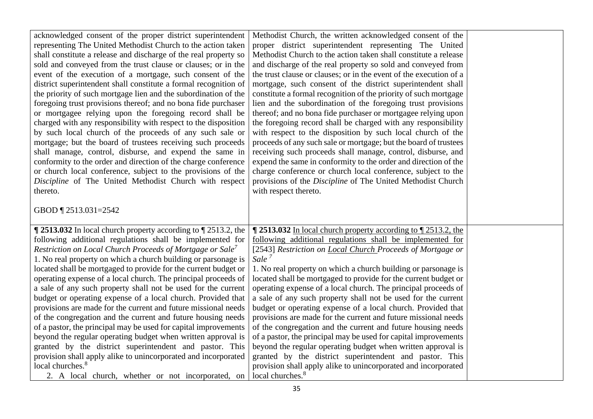| acknowledged consent of the proper district superintendent<br>representing The United Methodist Church to the action taken<br>shall constitute a release and discharge of the real property so<br>sold and conveyed from the trust clause or clauses; or in the<br>event of the execution of a mortgage, such consent of the<br>district superintendent shall constitute a formal recognition of<br>the priority of such mortgage lien and the subordination of the<br>foregoing trust provisions thereof; and no bona fide purchaser<br>or mortgagee relying upon the foregoing record shall be<br>charged with any responsibility with respect to the disposition<br>by such local church of the proceeds of any such sale or<br>mortgage; but the board of trustees receiving such proceeds                                                                                                                                                                                                                                             | Methodist Church, the written acknowledged consent of the<br>proper district superintendent representing The United<br>Methodist Church to the action taken shall constitute a release<br>and discharge of the real property so sold and conveyed from<br>the trust clause or clauses; or in the event of the execution of a<br>mortgage, such consent of the district superintendent shall<br>constitute a formal recognition of the priority of such mortgage<br>lien and the subordination of the foregoing trust provisions<br>thereof; and no bona fide purchaser or mortgagee relying upon<br>the foregoing record shall be charged with any responsibility<br>with respect to the disposition by such local church of the<br>proceeds of any such sale or mortgage; but the board of trustees                                                                                                                                                                                  |  |
|--------------------------------------------------------------------------------------------------------------------------------------------------------------------------------------------------------------------------------------------------------------------------------------------------------------------------------------------------------------------------------------------------------------------------------------------------------------------------------------------------------------------------------------------------------------------------------------------------------------------------------------------------------------------------------------------------------------------------------------------------------------------------------------------------------------------------------------------------------------------------------------------------------------------------------------------------------------------------------------------------------------------------------------------|---------------------------------------------------------------------------------------------------------------------------------------------------------------------------------------------------------------------------------------------------------------------------------------------------------------------------------------------------------------------------------------------------------------------------------------------------------------------------------------------------------------------------------------------------------------------------------------------------------------------------------------------------------------------------------------------------------------------------------------------------------------------------------------------------------------------------------------------------------------------------------------------------------------------------------------------------------------------------------------|--|
| shall manage, control, disburse, and expend the same in<br>conformity to the order and direction of the charge conference<br>or church local conference, subject to the provisions of the<br>Discipline of The United Methodist Church with respect<br>thereto.<br>GBOD 12513.031=2542                                                                                                                                                                                                                                                                                                                                                                                                                                                                                                                                                                                                                                                                                                                                                     | receiving such proceeds shall manage, control, disburse, and<br>expend the same in conformity to the order and direction of the<br>charge conference or church local conference, subject to the<br>provisions of the Discipline of The United Methodist Church<br>with respect thereto.                                                                                                                                                                                                                                                                                                                                                                                                                                                                                                                                                                                                                                                                                               |  |
| $\P$ 2513.032 In local church property according to $\P$ 2513.2, the<br>following additional regulations shall be implemented for<br>Restriction on Local Church Proceeds of Mortgage or Sale <sup>7</sup><br>1. No real property on which a church building or parsonage is<br>located shall be mortgaged to provide for the current budget or<br>operating expense of a local church. The principal proceeds of<br>a sale of any such property shall not be used for the current<br>budget or operating expense of a local church. Provided that<br>provisions are made for the current and future missional needs<br>of the congregation and the current and future housing needs<br>of a pastor, the principal may be used for capital improvements<br>beyond the regular operating budget when written approval is<br>granted by the district superintendent and pastor. This<br>provision shall apply alike to unincorporated and incorporated<br>local churches. <sup>8</sup><br>2. A local church, whether or not incorporated, on | $\P$ 2513.032 In local church property according to $\P$ 2513.2, the<br>following additional regulations shall be implemented for<br>[2543] Restriction on Local Church Proceeds of Mortgage or<br>Sale $7$<br>1. No real property on which a church building or parsonage is<br>located shall be mortgaged to provide for the current budget or<br>operating expense of a local church. The principal proceeds of<br>a sale of any such property shall not be used for the current<br>budget or operating expense of a local church. Provided that<br>provisions are made for the current and future missional needs<br>of the congregation and the current and future housing needs<br>of a pastor, the principal may be used for capital improvements<br>beyond the regular operating budget when written approval is<br>granted by the district superintendent and pastor. This<br>provision shall apply alike to unincorporated and incorporated<br>local churches. <sup>8</sup> |  |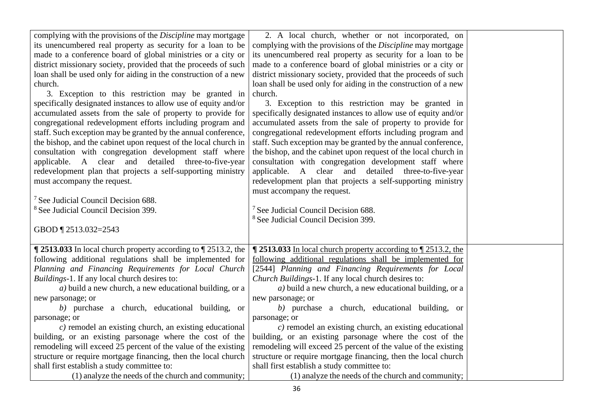| complying with the provisions of the <i>Discipline</i> may mortgage          | 2. A local church, whether or not incorporated, on                           |  |
|------------------------------------------------------------------------------|------------------------------------------------------------------------------|--|
| its unencumbered real property as security for a loan to be                  | complying with the provisions of the <i>Discipline</i> may mortgage          |  |
| made to a conference board of global ministries or a city or                 | its unencumbered real property as security for a loan to be                  |  |
| district missionary society, provided that the proceeds of such              | made to a conference board of global ministries or a city or                 |  |
| loan shall be used only for aiding in the construction of a new              | district missionary society, provided that the proceeds of such              |  |
| church.                                                                      | loan shall be used only for aiding in the construction of a new              |  |
| 3. Exception to this restriction may be granted in                           | church.                                                                      |  |
| specifically designated instances to allow use of equity and/or              | 3. Exception to this restriction may be granted in                           |  |
| accumulated assets from the sale of property to provide for                  | specifically designated instances to allow use of equity and/or              |  |
| congregational redevelopment efforts including program and                   | accumulated assets from the sale of property to provide for                  |  |
| staff. Such exception may be granted by the annual conference,               | congregational redevelopment efforts including program and                   |  |
| the bishop, and the cabinet upon request of the local church in              | staff. Such exception may be granted by the annual conference,               |  |
| consultation with congregation development staff where                       | the bishop, and the cabinet upon request of the local church in              |  |
| applicable. A clear and detailed three-to-five-year                          | consultation with congregation development staff where                       |  |
| redevelopment plan that projects a self-supporting ministry                  | applicable. A clear and detailed three-to-five-year                          |  |
| must accompany the request.                                                  | redevelopment plan that projects a self-supporting ministry                  |  |
|                                                                              | must accompany the request.                                                  |  |
| <sup>7</sup> See Judicial Council Decision 688.                              |                                                                              |  |
| <sup>8</sup> See Judicial Council Decision 399.                              | <sup>7</sup> See Judicial Council Decision 688.                              |  |
|                                                                              | <sup>8</sup> See Judicial Council Decision 399.                              |  |
| GBOD 12513.032=2543                                                          |                                                                              |  |
|                                                                              |                                                                              |  |
| <b>T</b> 2513.033 In local church property according to <b>T</b> 2513.2, the | <b>T</b> 2513.033 In local church property according to <b>T</b> 2513.2, the |  |
| following additional regulations shall be implemented for                    | following additional regulations shall be implemented for                    |  |
| Planning and Financing Requirements for Local Church                         | [2544] Planning and Financing Requirements for Local                         |  |
| Buildings-1. If any local church desires to:                                 | Church Buildings-1. If any local church desires to:                          |  |
| $a)$ build a new church, a new educational building, or a                    | $a)$ build a new church, a new educational building, or a                    |  |
| new parsonage; or                                                            | new parsonage; or                                                            |  |
| b) purchase a church, educational building, or                               | b) purchase a church, educational building, or                               |  |
| parsonage; or                                                                | parsonage; or                                                                |  |
| $c$ ) remodel an existing church, an existing educational                    | $c$ ) remodel an existing church, an existing educational                    |  |
| building, or an existing parsonage where the cost of the                     | building, or an existing parsonage where the cost of the                     |  |
| remodeling will exceed 25 percent of the value of the existing               | remodeling will exceed 25 percent of the value of the existing               |  |
| structure or require mortgage financing, then the local church               | structure or require mortgage financing, then the local church               |  |
| shall first establish a study committee to:                                  | shall first establish a study committee to:                                  |  |
| (1) analyze the needs of the church and community;                           | (1) analyze the needs of the church and community;                           |  |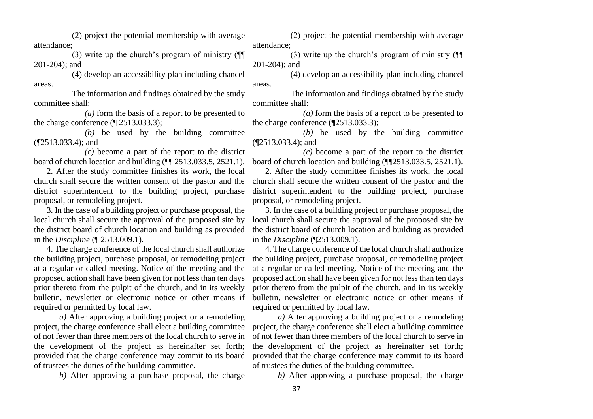(2) project the potential membership with average attendance;

(3) write up the church's program of ministry (¶¶ 201-204); and

(4) develop an accessibility plan including chancel areas.

The information and findings obtained by the study committee shall:

*(a)* form the basis of a report to be presented to the charge conference (¶ 2513.033.3);

*(b)* be used by the building committee (¶2513.033.4); and

*(c)* become a part of the report to the district board of church location and building (¶¶ 2513.033.5, 2521.1).

2. After the study committee finishes its work, the local church shall secure the written consent of the pastor and the district superintendent to the building project, purchase proposal, or remodeling project.

3. In the case of a building project or purchase proposal, the local church shall secure the approval of the proposed site by the district board of church location and building as provided in the *Discipline* (¶ 2513.009.1).

4. The charge conference of the local church shall authorize the building project, purchase proposal, or remodeling project at a regular or called meeting. Notice of the meeting and the proposed action shall have been given for not less than ten days prior thereto from the pulpit of the church, and in its weekly bulletin, newsletter or electronic notice or other means if required or permitted by local law.

*a)* After approving a building project or a remodeling project, the charge conference shall elect a building committee of not fewer than three members of the local church to serve in the development of the project as hereinafter set forth; provided that the charge conference may commit to its board of trustees the duties of the building committee.

*b)* After approving a purchase proposal, the charge

(2) project the potential membership with average attendance;

(3) write up the church's program of ministry (¶¶ 201-204); and

(4) develop an accessibility plan including chancel

The information and findings obtained by the study committee shall:

*(a)* form the basis of a report to be presented to the charge conference (¶2513.033.3);

*(b)* be used by the building committee (¶2513.033.4); and

*(c)* become a part of the report to the district board of church location and building (¶¶2513.033.5, 2521.1).

2. After the study committee finishes its work, the local church shall secure the written consent of the pastor and the district superintendent to the building project, purchase proposal, or remodeling project.

3. In the case of a building project or purchase proposal, the local church shall secure the approval of the proposed site by the district board of church location and building as provided in the *Discipline* (¶2513.009.1).

4. The charge conference of the local church shall authorize the building project, purchase proposal, or remodeling project at a regular or called meeting. Notice of the meeting and the proposed action shall have been given for not less than ten days prior thereto from the pulpit of the church, and in its weekly bulletin, newsletter or electronic notice or other means if required or permitted by local law.

*a)* After approving a building project or a remodeling project, the charge conference shall elect a building committee of not fewer than three members of the local church to serve in the development of the project as hereinafter set forth; provided that the charge conference may commit to its board of trustees the duties of the building committee.

*b)* After approving a purchase proposal, the charge

areas.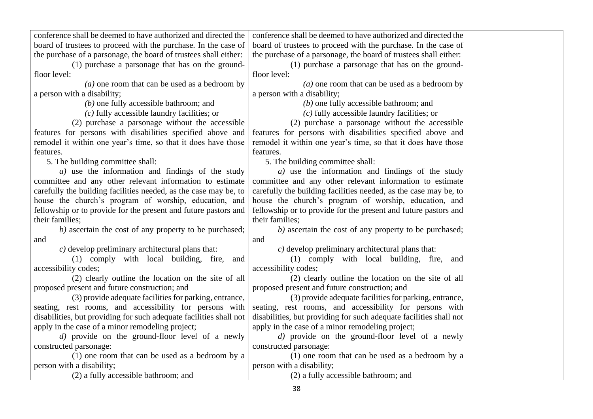conference shall be deemed to have authorized and directed the board of trustees to proceed with the purchase. In the case of the purchase of a parsonage, the board of trustees shall either:

(1) purchase a parsonage that has on the groundfloor level:

*(a)* one room that can be used as a bedroom by a person with a disability;

*(b)* one fully accessible bathroom; and

*(c)* fully accessible laundry facilities; or

(2) purchase a parsonage without the accessible features for persons with disabilities specified above and remodel it within one year's time, so that it does have those features.

5. The building committee shall:

*a)* use the information and findings of the study committee and any other relevant information to estimate carefully the building facilities needed, as the case may be, to house the church's program of worship, education, and fellowship or to provide for the present and future pastors and their families;

*b)* ascertain the cost of any property to be purchased; and

*c)* develop preliminary architectural plans that:

(1) comply with local building, fire, and accessibility codes;

(2) clearly outline the location on the site of all proposed present and future construction; and

(3) provide adequate facilities for parking, entrance, seating, rest rooms, and accessibility for persons with disabilities, but providing for such adequate facilities shall not apply in the case of a minor remodeling project;

*d)* provide on the ground-floor level of a newly constructed parsonage:

(1) one room that can be used as a bedroom by a person with a disability;

(2) a fully accessible bathroom; and

conference shall be deemed to have authorized and directed the board of trustees to proceed with the purchase. In the case of the purchase of a parsonage, the board of trustees shall either: (1) purchase a parsonage that has on the groundfloor level:

*(a)* one room that can be used as a bedroom by a person with a disability;

*(b)* one fully accessible bathroom; and

*(c)* fully accessible laundry facilities; or

(2) purchase a parsonage without the accessible features for persons with disabilities specified above and remodel it within one year's time, so that it does have those features.

5. The building committee shall:

*a)* use the information and findings of the study committee and any other relevant information to estimate carefully the building facilities needed, as the case may be, to house the church's program of worship, education, and fellowship or to provide for the present and future pastors and their families;

*b)* ascertain the cost of any property to be purchased; and

*c)* develop preliminary architectural plans that:

(1) comply with local building, fire, and accessibility codes;

(2) clearly outline the location on the site of all proposed present and future construction; and

(3) provide adequate facilities for parking, entrance, seating, rest rooms, and accessibility for persons with disabilities, but providing for such adequate facilities shall not apply in the case of a minor remodeling project;

*d)* provide on the ground-floor level of a newly constructed parsonage:

(1) one room that can be used as a bedroom by a person with a disability; (2) a fully accessible bathroom; and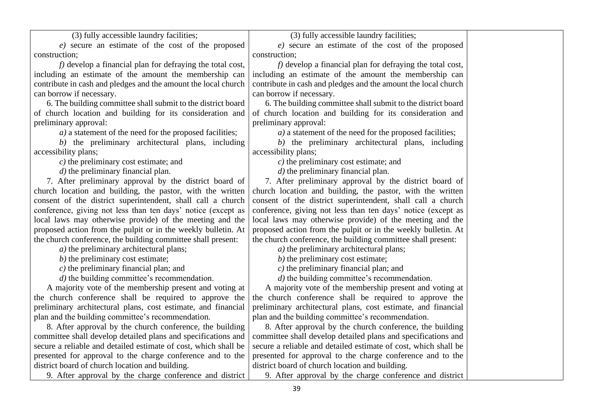(3) fully accessible laundry facilities;

*e)* secure an estimate of the cost of the proposed construction;

*f)* develop a financial plan for defraying the total cost, including an estimate of the amount the membership can contribute in cash and pledges and the amount the local church can borrow if necessary.

6. The building committee shall submit to the district board of church location and building for its consideration and preliminary approval:

*a)* a statement of the need for the proposed facilities;

*b)* the preliminary architectural plans, including accessibility plans;

*c)* the preliminary cost estimate; and

*d)* the preliminary financial plan.

7. After preliminary approval by the district board of church location and building, the pastor, with the written consent of the district superintendent, shall call a church conference, giving not less than ten days' notice (except as local laws may otherwise provide) of the meeting and the proposed action from the pulpit or in the weekly bulletin. At the church conference, the building committee shall present:

*a*) the preliminary architectural plans;

*b*) the preliminary cost estimate:

*c)* the preliminary financial plan; and

*d*) the building committee's recommendation.

A majority vote of the membership present and voting at the church conference shall be required to approve the preliminary architectural plans, cost estimate, and financial plan and the building committee's recommendation.

8. After approval by the church conference, the building committee shall develop detailed plans and specifications and secure a reliable and detailed estimate of cost, which shall be presented for approval to the charge conference and to the district board of church location and building.

9. After approval by the charge conference and district

(3) fully accessible laundry facilities;

*e)* secure an estimate of the cost of the proposed construction;

*f)* develop a financial plan for defraying the total cost, including an estimate of the amount the membership can contribute in cash and pledges and the amount the local church can borrow if necessary.

6. The building committee shall submit to the district board of church location and building for its consideration and preliminary approval:

*a)* a statement of the need for the proposed facilities;

*b)* the preliminary architectural plans, including accessibility plans;

*c)* the preliminary cost estimate; and

*d*) the preliminary financial plan.

7. After preliminary approval by the district board of church location and building, the pastor, with the written consent of the district superintendent, shall call a church conference, giving not less than ten days' notice (except as local laws may otherwise provide) of the meeting and the proposed action from the pulpit or in the weekly bulletin. At the church conference, the building committee shall present:

*a*) the preliminary architectural plans;

*b*) the preliminary cost estimate:

*c)* the preliminary financial plan; and

*d*) the building committee's recommendation.

A majority vote of the membership present and voting at the church conference shall be required to approve the preliminary architectural plans, cost estimate, and financial plan and the building committee's recommendation.

8. After approval by the church conference, the building committee shall develop detailed plans and specifications and secure a reliable and detailed estimate of cost, which shall be presented for approval to the charge conference and to the district board of church location and building.

9. After approval by the charge conference and district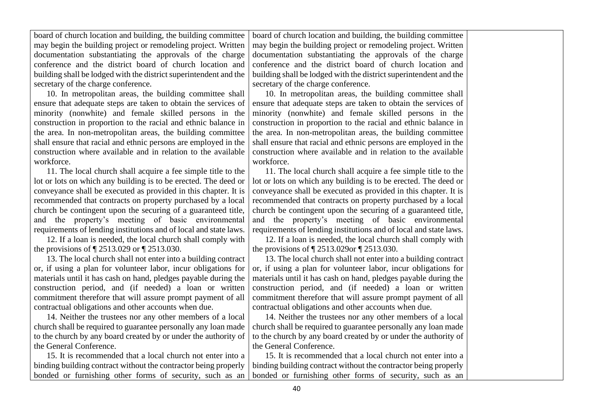board of church location and building, the building committee may begin the building project or remodeling project. Written documentation substantiating the approvals of the charge conference and the district board of church location and building shall be lodged with the district superintendent and the secretary of the charge conference.

10. In metropolitan areas, the building committee shall ensure that adequate steps are taken to obtain the services of minority (nonwhite) and female skilled persons in the construction in proportion to the racial and ethnic balance in the area. In non-metropolitan areas, the building committee shall ensure that racial and ethnic persons are employed in the construction where available and in relation to the available workforce.

11. The local church shall acquire a fee simple title to the lot or lots on which any building is to be erected. The deed or conveyance shall be executed as provided in this chapter. It is recommended that contracts on property purchased by a local church be contingent upon the securing of a guaranteed title, and the property's meeting of basic environmental requirements of lending institutions and of local and state laws.

12. If a loan is needed, the local church shall comply with the provisions of ¶ 2513.029 or ¶ 2513.030.

13. The local church shall not enter into a building contract or, if using a plan for volunteer labor, incur obligations for materials until it has cash on hand, pledges payable during the construction period, and (if needed) a loan or written commitment therefore that will assure prompt payment of all contractual obligations and other accounts when due.

14. Neither the trustees nor any other members of a local church shall be required to guarantee personally any loan made to the church by any board created by or under the authority of the General Conference.

15. It is recommended that a local church not enter into a binding building contract without the contractor being properly bonded or furnishing other forms of security, such as an

board of church location and building, the building committee may begin the building project or remodeling project. Written documentation substantiating the approvals of the charge conference and the district board of church location and building shall be lodged with the district superintendent and the secretary of the charge conference.

10. In metropolitan areas, the building committee shall ensure that adequate steps are taken to obtain the services of minority (nonwhite) and female skilled persons in the construction in proportion to the racial and ethnic balance in the area. In non-metropolitan areas, the building committee shall ensure that racial and ethnic persons are employed in the construction where available and in relation to the available workforce.

11. The local church shall acquire a fee simple title to the lot or lots on which any building is to be erected. The deed or conveyance shall be executed as provided in this chapter. It is recommended that contracts on property purchased by a local church be contingent upon the securing of a guaranteed title, and the property's meeting of basic environmental requirements of lending institutions and of local and state laws.

12. If a loan is needed, the local church shall comply with the provisions of ¶ 2513.029or ¶ 2513.030.

13. The local church shall not enter into a building contract or, if using a plan for volunteer labor, incur obligations for materials until it has cash on hand, pledges payable during the construction period, and (if needed) a loan or written commitment therefore that will assure prompt payment of all contractual obligations and other accounts when due.

14. Neither the trustees nor any other members of a local church shall be required to guarantee personally any loan made to the church by any board created by or under the authority of the General Conference.

15. It is recommended that a local church not enter into a binding building contract without the contractor being properly bonded or furnishing other forms of security, such as an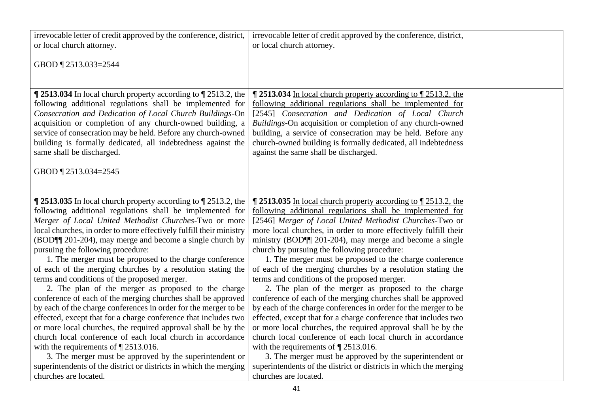| irrevocable letter of credit approved by the conference, district,<br>or local church attorney.                                                                                                                                                                                                                                                                                                                                                                                                                                                                                                     | irrevocable letter of credit approved by the conference, district,<br>or local church attorney.                                                                                                                                                                                                                                                                                                                                                                                                                                                                                                          |  |
|-----------------------------------------------------------------------------------------------------------------------------------------------------------------------------------------------------------------------------------------------------------------------------------------------------------------------------------------------------------------------------------------------------------------------------------------------------------------------------------------------------------------------------------------------------------------------------------------------------|----------------------------------------------------------------------------------------------------------------------------------------------------------------------------------------------------------------------------------------------------------------------------------------------------------------------------------------------------------------------------------------------------------------------------------------------------------------------------------------------------------------------------------------------------------------------------------------------------------|--|
| GBOD 12513.033=2544                                                                                                                                                                                                                                                                                                                                                                                                                                                                                                                                                                                 |                                                                                                                                                                                                                                                                                                                                                                                                                                                                                                                                                                                                          |  |
| <b>T</b> 2513.034 In local church property according to T 2513.2, the<br>following additional regulations shall be implemented for<br>Consecration and Dedication of Local Church Buildings-On<br>acquisition or completion of any church-owned building, a<br>service of consecration may be held. Before any church-owned<br>building is formally dedicated, all indebtedness against the<br>same shall be discharged.<br>GBOD 12513.034=2545                                                                                                                                                     | <b>12513.034</b> In local church property according to 12513.2, the<br>following additional regulations shall be implemented for<br>[2545] Consecration and Dedication of Local Church<br>Buildings-On acquisition or completion of any church-owned<br>building, a service of consecration may be held. Before any<br>church-owned building is formally dedicated, all indebtedness<br>against the same shall be discharged.                                                                                                                                                                            |  |
|                                                                                                                                                                                                                                                                                                                                                                                                                                                                                                                                                                                                     |                                                                                                                                                                                                                                                                                                                                                                                                                                                                                                                                                                                                          |  |
| <b>T</b> 2513.035 In local church property according to T 2513.2, the<br>following additional regulations shall be implemented for<br>Merger of Local United Methodist Churches-Two or more<br>local churches, in order to more effectively fulfill their ministry<br>(BOD¶ 201-204), may merge and become a single church by<br>pursuing the following procedure:<br>1. The merger must be proposed to the charge conference<br>of each of the merging churches by a resolution stating the<br>terms and conditions of the proposed merger.<br>2. The plan of the merger as proposed to the charge | <b>12513.035</b> In local church property according to 12513.2, the<br>following additional regulations shall be implemented for<br>[2546] Merger of Local United Methodist Churches-Two or<br>more local churches, in order to more effectively fulfill their<br>ministry (BOD¶ 201-204), may merge and become a single<br>church by pursuing the following procedure:<br>1. The merger must be proposed to the charge conference<br>of each of the merging churches by a resolution stating the<br>terms and conditions of the proposed merger.<br>2. The plan of the merger as proposed to the charge |  |
| conference of each of the merging churches shall be approved<br>by each of the charge conferences in order for the merger to be<br>effected, except that for a charge conference that includes two<br>or more local churches, the required approval shall be by the<br>church local conference of each local church in accordance<br>with the requirements of $\P$ 2513.016.<br>3. The merger must be approved by the superintendent or<br>superintendents of the district or districts in which the merging<br>churches are located.                                                               | conference of each of the merging churches shall be approved<br>by each of the charge conferences in order for the merger to be<br>effected, except that for a charge conference that includes two<br>or more local churches, the required approval shall be by the<br>church local conference of each local church in accordance<br>with the requirements of $\P$ 2513.016.<br>3. The merger must be approved by the superintendent or<br>superintendents of the district or districts in which the merging<br>churches are located.                                                                    |  |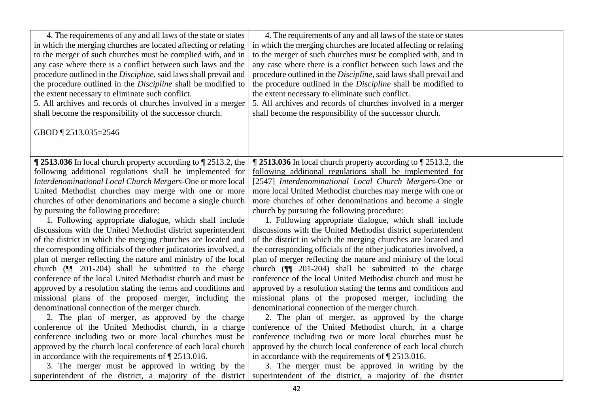| 4. The requirements of any and all laws of the state or states<br>in which the merging churches are located affecting or relating<br>to the merger of such churches must be complied with, and in<br>any case where there is a conflict between such laws and the<br>procedure outlined in the Discipline, said laws shall prevail and<br>the procedure outlined in the Discipline shall be modified to<br>the extent necessary to eliminate such conflict.<br>5. All archives and records of churches involved in a merger                                                                                                                                                                                                                                                                                                                                                                                                                                                                                                                                                                                                                                                                                                                                                                                                                                                                                                                  | 4. The requirements of any and all laws of the state or states<br>in which the merging churches are located affecting or relating<br>to the merger of such churches must be complied with, and in<br>any case where there is a conflict between such laws and the<br>procedure outlined in the Discipline, said laws shall prevail and<br>the procedure outlined in the <i>Discipline</i> shall be modified to<br>the extent necessary to eliminate such conflict.<br>5. All archives and records of churches involved in a merger                                                                                                                                                                                                                                                                                                                                                                                                                                                                                                                                                                                                                                                                                                                                                                                                                                                                                                 |  |
|----------------------------------------------------------------------------------------------------------------------------------------------------------------------------------------------------------------------------------------------------------------------------------------------------------------------------------------------------------------------------------------------------------------------------------------------------------------------------------------------------------------------------------------------------------------------------------------------------------------------------------------------------------------------------------------------------------------------------------------------------------------------------------------------------------------------------------------------------------------------------------------------------------------------------------------------------------------------------------------------------------------------------------------------------------------------------------------------------------------------------------------------------------------------------------------------------------------------------------------------------------------------------------------------------------------------------------------------------------------------------------------------------------------------------------------------|------------------------------------------------------------------------------------------------------------------------------------------------------------------------------------------------------------------------------------------------------------------------------------------------------------------------------------------------------------------------------------------------------------------------------------------------------------------------------------------------------------------------------------------------------------------------------------------------------------------------------------------------------------------------------------------------------------------------------------------------------------------------------------------------------------------------------------------------------------------------------------------------------------------------------------------------------------------------------------------------------------------------------------------------------------------------------------------------------------------------------------------------------------------------------------------------------------------------------------------------------------------------------------------------------------------------------------------------------------------------------------------------------------------------------------|--|
| shall become the responsibility of the successor church.                                                                                                                                                                                                                                                                                                                                                                                                                                                                                                                                                                                                                                                                                                                                                                                                                                                                                                                                                                                                                                                                                                                                                                                                                                                                                                                                                                                     | shall become the responsibility of the successor church.                                                                                                                                                                                                                                                                                                                                                                                                                                                                                                                                                                                                                                                                                                                                                                                                                                                                                                                                                                                                                                                                                                                                                                                                                                                                                                                                                                           |  |
| GBOD   2513.035=2546                                                                                                                                                                                                                                                                                                                                                                                                                                                                                                                                                                                                                                                                                                                                                                                                                                                                                                                                                                                                                                                                                                                                                                                                                                                                                                                                                                                                                         |                                                                                                                                                                                                                                                                                                                                                                                                                                                                                                                                                                                                                                                                                                                                                                                                                                                                                                                                                                                                                                                                                                                                                                                                                                                                                                                                                                                                                                    |  |
| $\mathbb{I}$ 2513.036 In local church property according to $\mathbb{I}$ 2513.2, the<br>following additional regulations shall be implemented for<br>Interdenominational Local Church Mergers-One or more local<br>United Methodist churches may merge with one or more<br>churches of other denominations and become a single church<br>by pursuing the following procedure:<br>1. Following appropriate dialogue, which shall include<br>discussions with the United Methodist district superintendent<br>of the district in which the merging churches are located and<br>the corresponding officials of the other judicatories involved, a<br>plan of merger reflecting the nature and ministry of the local<br>church $(\P\P$ 201-204) shall be submitted to the charge<br>conference of the local United Methodist church and must be<br>approved by a resolution stating the terms and conditions and<br>missional plans of the proposed merger, including the<br>denominational connection of the merger church.<br>2. The plan of merger, as approved by the charge<br>conference of the United Methodist church, in a charge<br>conference including two or more local churches must be<br>approved by the church local conference of each local church<br>in accordance with the requirements of $\P$ 2513.016.<br>3. The merger must be approved in writing by the<br>superintendent of the district, a majority of the district | <b>12513.036</b> In local church property according to 12513.2, the<br>following additional regulations shall be implemented for<br>[2547] Interdenominational Local Church Mergers-One or<br>more local United Methodist churches may merge with one or<br>more churches of other denominations and become a single<br>church by pursuing the following procedure:<br>1. Following appropriate dialogue, which shall include<br>discussions with the United Methodist district superintendent<br>of the district in which the merging churches are located and<br>the corresponding officials of the other judicatories involved, a<br>plan of merger reflecting the nature and ministry of the local<br>church $(\P\P$ 201-204) shall be submitted to the charge<br>conference of the local United Methodist church and must be<br>approved by a resolution stating the terms and conditions and<br>missional plans of the proposed merger, including the<br>denominational connection of the merger church.<br>2. The plan of merger, as approved by the charge<br>conference of the United Methodist church, in a charge<br>conference including two or more local churches must be<br>approved by the church local conference of each local church<br>in accordance with the requirements of $\P$ 2513.016.<br>3. The merger must be approved in writing by the<br>superintendent of the district, a majority of the district |  |
|                                                                                                                                                                                                                                                                                                                                                                                                                                                                                                                                                                                                                                                                                                                                                                                                                                                                                                                                                                                                                                                                                                                                                                                                                                                                                                                                                                                                                                              | 42                                                                                                                                                                                                                                                                                                                                                                                                                                                                                                                                                                                                                                                                                                                                                                                                                                                                                                                                                                                                                                                                                                                                                                                                                                                                                                                                                                                                                                 |  |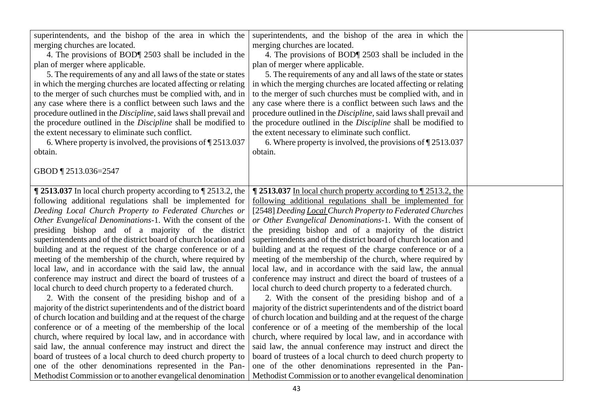| superintendents, and the bishop of the area in which the<br>merging churches are located.<br>4. The provisions of BOD¶ 2503 shall be included in the<br>plan of merger where applicable.<br>5. The requirements of any and all laws of the state or states<br>in which the merging churches are located affecting or relating<br>to the merger of such churches must be complied with, and in<br>any case where there is a conflict between such laws and the<br>procedure outlined in the Discipline, said laws shall prevail and<br>the procedure outlined in the Discipline shall be modified to<br>the extent necessary to eliminate such conflict.<br>6. Where property is involved, the provisions of $\S$ 2513.037<br>obtain.                                                                                                                                                                                                                                                                                                                                                                                                                                                                                                     | superintendents, and the bishop of the area in which the<br>merging churches are located.<br>4. The provisions of BOD¶ 2503 shall be included in the<br>plan of merger where applicable.<br>5. The requirements of any and all laws of the state or states<br>in which the merging churches are located affecting or relating<br>to the merger of such churches must be complied with, and in<br>any case where there is a conflict between such laws and the<br>procedure outlined in the Discipline, said laws shall prevail and<br>the procedure outlined in the <i>Discipline</i> shall be modified to<br>the extent necessary to eliminate such conflict.<br>6. Where property is involved, the provisions of $\S$ 2513.037<br>obtain.                                                                                                                                                                                                                                                                                                                                                                                                                                                                                                           |  |
|------------------------------------------------------------------------------------------------------------------------------------------------------------------------------------------------------------------------------------------------------------------------------------------------------------------------------------------------------------------------------------------------------------------------------------------------------------------------------------------------------------------------------------------------------------------------------------------------------------------------------------------------------------------------------------------------------------------------------------------------------------------------------------------------------------------------------------------------------------------------------------------------------------------------------------------------------------------------------------------------------------------------------------------------------------------------------------------------------------------------------------------------------------------------------------------------------------------------------------------|-------------------------------------------------------------------------------------------------------------------------------------------------------------------------------------------------------------------------------------------------------------------------------------------------------------------------------------------------------------------------------------------------------------------------------------------------------------------------------------------------------------------------------------------------------------------------------------------------------------------------------------------------------------------------------------------------------------------------------------------------------------------------------------------------------------------------------------------------------------------------------------------------------------------------------------------------------------------------------------------------------------------------------------------------------------------------------------------------------------------------------------------------------------------------------------------------------------------------------------------------------|--|
| GBOD 12513.036=2547                                                                                                                                                                                                                                                                                                                                                                                                                                                                                                                                                                                                                                                                                                                                                                                                                                                                                                                                                                                                                                                                                                                                                                                                                      |                                                                                                                                                                                                                                                                                                                                                                                                                                                                                                                                                                                                                                                                                                                                                                                                                                                                                                                                                                                                                                                                                                                                                                                                                                                       |  |
| $\P$ 2513.037 In local church property according to $\P$ 2513.2, the<br>following additional regulations shall be implemented for<br>Deeding Local Church Property to Federated Churches or<br>Other Evangelical Denominations-1. With the consent of the<br>presiding bishop and of a majority of the district<br>superintendents and of the district board of church location and<br>building and at the request of the charge conference or of a<br>meeting of the membership of the church, where required by<br>local law, and in accordance with the said law, the annual<br>conference may instruct and direct the board of trustees of a<br>local church to deed church property to a federated church.<br>2. With the consent of the presiding bishop and of a<br>majority of the district superintendents and of the district board<br>of church location and building and at the request of the charge<br>conference or of a meeting of the membership of the local<br>church, where required by local law, and in accordance with<br>said law, the annual conference may instruct and direct the<br>board of trustees of a local church to deed church property to<br>one of the other denominations represented in the Pan- | <b>12513.037</b> In local church property according to 12513.2, the<br>following additional regulations shall be implemented for<br>[2548] Deeding <b>Local Church Property to Federated Churches</b><br>or Other Evangelical Denominations-1. With the consent of<br>the presiding bishop and of a majority of the district<br>superintendents and of the district board of church location and<br>building and at the request of the charge conference or of a<br>meeting of the membership of the church, where required by<br>local law, and in accordance with the said law, the annual<br>conference may instruct and direct the board of trustees of a<br>local church to deed church property to a federated church.<br>2. With the consent of the presiding bishop and of a<br>majority of the district superintendents and of the district board<br>of church location and building and at the request of the charge<br>conference or of a meeting of the membership of the local<br>church, where required by local law, and in accordance with<br>said law, the annual conference may instruct and direct the<br>board of trustees of a local church to deed church property to<br>one of the other denominations represented in the Pan- |  |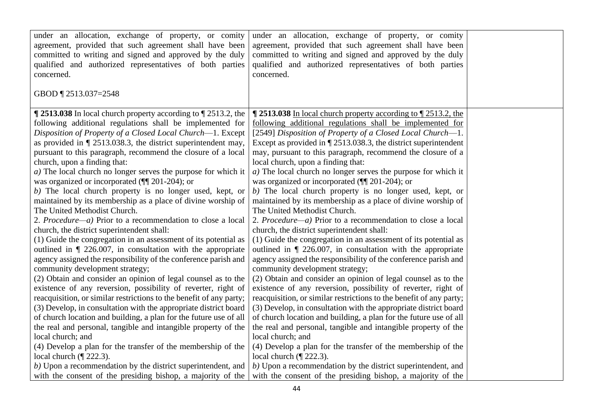| under an allocation, exchange of property, or comity<br>agreement, provided that such agreement shall have been<br>committed to writing and signed and approved by the duly<br>qualified and authorized representatives of both parties<br>concerned.<br>GBOD 12513.037=2548                                                                                                                                                                                                                                                                                                                                                                                                                                                                                                                                                                                                                                                                                                                                                                                                                                                                                                                                                                                                                                                                                                                                                                             | under an allocation, exchange of property, or comity<br>agreement, provided that such agreement shall have been<br>committed to writing and signed and approved by the duly<br>qualified and authorized representatives of both parties<br>concerned.                                                                                                                                                                                                                                                                                                                                                                                                                                                                                                                                                                                                                                                                                                                                                                                                                                                                                                                                                                                                                                                                                                                                                                                                             |  |
|----------------------------------------------------------------------------------------------------------------------------------------------------------------------------------------------------------------------------------------------------------------------------------------------------------------------------------------------------------------------------------------------------------------------------------------------------------------------------------------------------------------------------------------------------------------------------------------------------------------------------------------------------------------------------------------------------------------------------------------------------------------------------------------------------------------------------------------------------------------------------------------------------------------------------------------------------------------------------------------------------------------------------------------------------------------------------------------------------------------------------------------------------------------------------------------------------------------------------------------------------------------------------------------------------------------------------------------------------------------------------------------------------------------------------------------------------------|-------------------------------------------------------------------------------------------------------------------------------------------------------------------------------------------------------------------------------------------------------------------------------------------------------------------------------------------------------------------------------------------------------------------------------------------------------------------------------------------------------------------------------------------------------------------------------------------------------------------------------------------------------------------------------------------------------------------------------------------------------------------------------------------------------------------------------------------------------------------------------------------------------------------------------------------------------------------------------------------------------------------------------------------------------------------------------------------------------------------------------------------------------------------------------------------------------------------------------------------------------------------------------------------------------------------------------------------------------------------------------------------------------------------------------------------------------------------|--|
|                                                                                                                                                                                                                                                                                                                                                                                                                                                                                                                                                                                                                                                                                                                                                                                                                                                                                                                                                                                                                                                                                                                                                                                                                                                                                                                                                                                                                                                          |                                                                                                                                                                                                                                                                                                                                                                                                                                                                                                                                                                                                                                                                                                                                                                                                                                                                                                                                                                                                                                                                                                                                                                                                                                                                                                                                                                                                                                                                   |  |
| <b>12513.038</b> In local church property according to 12513.2, the<br>following additional regulations shall be implemented for<br>Disposition of Property of a Closed Local Church-1. Except<br>as provided in $\P$ 2513.038.3, the district superintendent may,<br>pursuant to this paragraph, recommend the closure of a local<br>church, upon a finding that:<br>$a)$ The local church no longer serves the purpose for which it<br>was organized or incorporated $(\P\P 201-204)$ ; or<br>b) The local church property is no longer used, kept, or<br>maintained by its membership as a place of divine worship of<br>The United Methodist Church.<br>2. Procedure—a) Prior to a recommendation to close a local<br>church, the district superintendent shall:<br>(1) Guide the congregation in an assessment of its potential as<br>outlined in $\P$ 226.007, in consultation with the appropriate<br>agency assigned the responsibility of the conference parish and<br>community development strategy;<br>(2) Obtain and consider an opinion of legal counsel as to the<br>existence of any reversion, possibility of reverter, right of<br>reacquisition, or similar restrictions to the benefit of any party;<br>(3) Develop, in consultation with the appropriate district board<br>of church location and building, a plan for the future use of all<br>the real and personal, tangible and intangible property of the<br>local church; and | <b>T</b> 2513.038 In local church property according to T 2513.2, the<br>following additional regulations shall be implemented for<br>[2549] Disposition of Property of a Closed Local Church-1.<br>Except as provided in $\P$ 2513.038.3, the district superintendent<br>may, pursuant to this paragraph, recommend the closure of a<br>local church, upon a finding that:<br>$a)$ The local church no longer serves the purpose for which it<br>was organized or incorporated $(\P\P 201-204)$ ; or<br>b) The local church property is no longer used, kept, or<br>maintained by its membership as a place of divine worship of<br>The United Methodist Church.<br>2. Procedure—a) Prior to a recommendation to close a local<br>church, the district superintendent shall:<br>(1) Guide the congregation in an assessment of its potential as<br>outlined in $\P$ 226.007, in consultation with the appropriate<br>agency assigned the responsibility of the conference parish and<br>community development strategy;<br>(2) Obtain and consider an opinion of legal counsel as to the<br>existence of any reversion, possibility of reverter, right of<br>reacquisition, or similar restrictions to the benefit of any party;<br>(3) Develop, in consultation with the appropriate district board<br>of church location and building, a plan for the future use of all<br>the real and personal, tangible and intangible property of the<br>local church; and |  |
| (4) Develop a plan for the transfer of the membership of the                                                                                                                                                                                                                                                                                                                                                                                                                                                                                                                                                                                                                                                                                                                                                                                                                                                                                                                                                                                                                                                                                                                                                                                                                                                                                                                                                                                             | (4) Develop a plan for the transfer of the membership of the                                                                                                                                                                                                                                                                                                                                                                                                                                                                                                                                                                                                                                                                                                                                                                                                                                                                                                                                                                                                                                                                                                                                                                                                                                                                                                                                                                                                      |  |
| local church $(\sqrt{\phantom{a}}\,222.3)$ .                                                                                                                                                                                                                                                                                                                                                                                                                                                                                                                                                                                                                                                                                                                                                                                                                                                                                                                                                                                                                                                                                                                                                                                                                                                                                                                                                                                                             | local church $(\sqrt{\phantom{a}}\,222.3)$ .                                                                                                                                                                                                                                                                                                                                                                                                                                                                                                                                                                                                                                                                                                                                                                                                                                                                                                                                                                                                                                                                                                                                                                                                                                                                                                                                                                                                                      |  |
| $b)$ Upon a recommendation by the district superintendent, and                                                                                                                                                                                                                                                                                                                                                                                                                                                                                                                                                                                                                                                                                                                                                                                                                                                                                                                                                                                                                                                                                                                                                                                                                                                                                                                                                                                           | $b)$ Upon a recommendation by the district superintendent, and                                                                                                                                                                                                                                                                                                                                                                                                                                                                                                                                                                                                                                                                                                                                                                                                                                                                                                                                                                                                                                                                                                                                                                                                                                                                                                                                                                                                    |  |
| with the consent of the presiding bishop, a majority of the                                                                                                                                                                                                                                                                                                                                                                                                                                                                                                                                                                                                                                                                                                                                                                                                                                                                                                                                                                                                                                                                                                                                                                                                                                                                                                                                                                                              | with the consent of the presiding bishop, a majority of the                                                                                                                                                                                                                                                                                                                                                                                                                                                                                                                                                                                                                                                                                                                                                                                                                                                                                                                                                                                                                                                                                                                                                                                                                                                                                                                                                                                                       |  |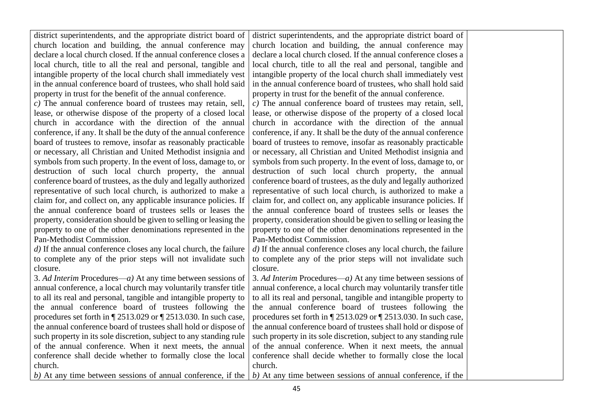district superintendents, and the appropriate district board of church location and building, the annual conference may declare a local church closed. If the annual conference closes a local church, title to all the real and personal, tangible and intangible property of the local church shall immediately vest in the annual conference board of trustees, who shall hold said property in trust for the benefit of the annual conference.

*c)* The annual conference board of trustees may retain, sell, lease, or otherwise dispose of the property of a closed local church in accordance with the direction of the annual conference, if any. It shall be the duty of the annual conference board of trustees to remove, insofar as reasonably practicable or necessary, all Christian and United Methodist insignia and symbols from such property. In the event of loss, damage to, or destruction of such local church property, the annual conference board of trustees, as the duly and legally authorized representative of such local church, is authorized to make a claim for, and collect on, any applicable insurance policies. If the annual conference board of trustees sells or leases the property, consideration should be given to selling or leasing the property to one of the other denominations represented in the Pan-Methodist Commission.

*d*) If the annual conference closes any local church, the failure to complete any of the prior steps will not invalidate such closure.

3. *Ad Interim* Procedures—*a)* At any time between sessions of annual conference, a local church may voluntarily transfer title to all its real and personal, tangible and intangible property to the annual conference board of trustees following the procedures set forth in ¶ 2513.029 or ¶ 2513.030. In such case, the annual conference board of trustees shall hold or dispose of such property in its sole discretion, subject to any standing rule of the annual conference. When it next meets, the annual conference shall decide whether to formally close the local church.

*b)* At any time between sessions of annual conference, if the

district superintendents, and the appropriate district board of church location and building, the annual conference may declare a local church closed. If the annual conference closes a local church, title to all the real and personal, tangible and intangible property of the local church shall immediately vest in the annual conference board of trustees, who shall hold said property in trust for the benefit of the annual conference.

*c)* The annual conference board of trustees may retain, sell, lease, or otherwise dispose of the property of a closed local church in accordance with the direction of the annual conference, if any. It shall be the duty of the annual conference board of trustees to remove, insofar as reasonably practicable or necessary, all Christian and United Methodist insignia and symbols from such property. In the event of loss, damage to, or destruction of such local church property, the annual conference board of trustees, as the duly and legally authorized representative of such local church, is authorized to make a claim for, and collect on, any applicable insurance policies. If the annual conference board of trustees sells or leases the property, consideration should be given to selling or leasing the property to one of the other denominations represented in the Pan-Methodist Commission.

*d*) If the annual conference closes any local church, the failure to complete any of the prior steps will not invalidate such closure.

3. *Ad Interim* Procedures—*a)* At any time between sessions of annual conference, a local church may voluntarily transfer title to all its real and personal, tangible and intangible property to the annual conference board of trustees following the procedures set forth in ¶ 2513.029 or ¶ 2513.030. In such case, the annual conference board of trustees shall hold or dispose of such property in its sole discretion, subject to any standing rule of the annual conference. When it next meets, the annual conference shall decide whether to formally close the local church. *b)* At any time between sessions of annual conference, if the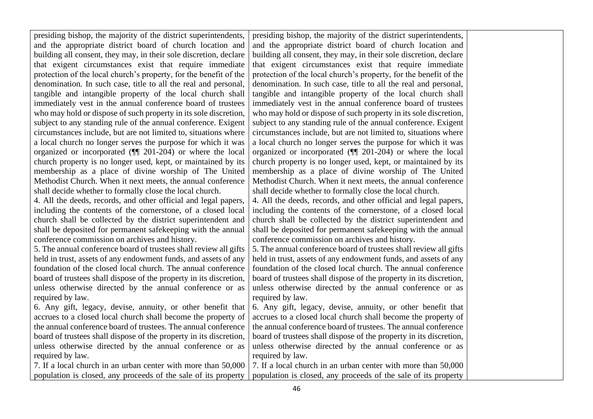presiding bishop, the majority of the district superintendents, and the appropriate district board of church location and building all consent, they may, in their sole discretion, declare that exigent circumstances exist that require immediate protection of the local church's property, for the benefit of the denomination. In such case, title to all the real and personal, tangible and intangible property of the local church shall immediately vest in the annual conference board of trustees who may hold or dispose of such property in its sole discretion. subject to any standing rule of the annual conference. Exigent circumstances include, but are not limited to, situations where a local church no longer serves the purpose for which it was organized or incorporated (¶¶ 201-204) or where the local church property is no longer used, kept, or maintained by its membership as a place of divine worship of The United Methodist Church. When it next meets, the annual conference shall decide whether to formally close the local church.

4. All the deeds, records, and other official and legal papers, including the contents of the cornerstone, of a closed local church shall be collected by the district superintendent and shall be deposited for permanent safekeeping with the annual conference commission on archives and history.

5. The annual conference board of trustees shall review all gifts held in trust, assets of any endowment funds, and assets of any foundation of the closed local church. The annual conference board of trustees shall dispose of the property in its discretion, unless otherwise directed by the annual conference or as required by law.

6. Any gift, legacy, devise, annuity, or other benefit that accrues to a closed local church shall become the property of the annual conference board of trustees. The annual conference board of trustees shall dispose of the property in its discretion, unless otherwise directed by the annual conference or as required by law.

7. If a local church in an urban center with more than 50,000 population is closed, any proceeds of the sale of its property

presiding bishop, the majority of the district superintendents, and the appropriate district board of church location and building all consent, they may, in their sole discretion, declare that exigent circumstances exist that require immediate protection of the local church's property, for the benefit of the denomination. In such case, title to all the real and personal, tangible and intangible property of the local church shall immediately vest in the annual conference board of trustees who may hold or dispose of such property in its sole discretion. subject to any standing rule of the annual conference. Exigent circumstances include, but are not limited to, situations where a local church no longer serves the purpose for which it was organized or incorporated (¶¶ 201-204) or where the local church property is no longer used, kept, or maintained by its membership as a place of divine worship of The United Methodist Church. When it next meets, the annual conference shall decide whether to formally close the local church.

4. All the deeds, records, and other official and legal papers, including the contents of the cornerstone, of a closed local church shall be collected by the district superintendent and shall be deposited for permanent safekeeping with the annual conference commission on archives and history.

5. The annual conference board of trustees shall review all gifts held in trust, assets of any endowment funds, and assets of any foundation of the closed local church. The annual conference board of trustees shall dispose of the property in its discretion, unless otherwise directed by the annual conference or as required by law.

6. Any gift, legacy, devise, annuity, or other benefit that accrues to a closed local church shall become the property of the annual conference board of trustees. The annual conference board of trustees shall dispose of the property in its discretion, unless otherwise directed by the annual conference or as required by law.

7. If a local church in an urban center with more than 50,000 population is closed, any proceeds of the sale of its property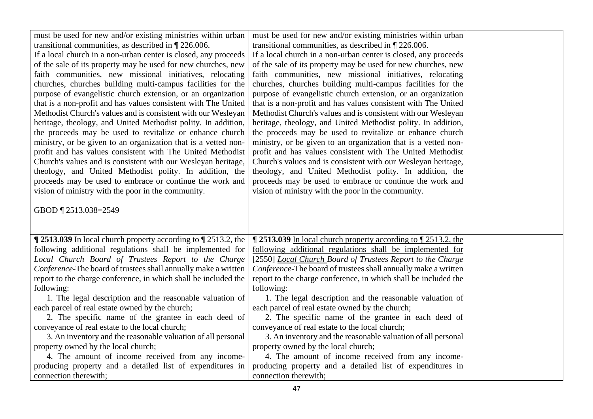| must be used for new and/or existing ministries within urban<br>transitional communities, as described in $\P$ 226.006.<br>If a local church in a non-urban center is closed, any proceeds<br>of the sale of its property may be used for new churches, new<br>faith communities, new missional initiatives, relocating<br>churches, churches building multi-campus facilities for the<br>purpose of evangelistic church extension, or an organization<br>that is a non-profit and has values consistent with The United<br>Methodist Church's values and is consistent with our Wesleyan<br>heritage, theology, and United Methodist polity. In addition,<br>the proceeds may be used to revitalize or enhance church<br>ministry, or be given to an organization that is a vetted non-<br>profit and has values consistent with The United Methodist<br>Church's values and is consistent with our Wesleyan heritage,<br>theology, and United Methodist polity. In addition, the<br>proceeds may be used to embrace or continue the work and<br>vision of ministry with the poor in the community. | must be used for new and/or existing ministries within urban<br>transitional communities, as described in $\S$ 226.006.<br>If a local church in a non-urban center is closed, any proceeds<br>of the sale of its property may be used for new churches, new<br>faith communities, new missional initiatives, relocating<br>churches, churches building multi-campus facilities for the<br>purpose of evangelistic church extension, or an organization<br>that is a non-profit and has values consistent with The United<br>Methodist Church's values and is consistent with our Wesleyan<br>heritage, theology, and United Methodist polity. In addition,<br>the proceeds may be used to revitalize or enhance church<br>ministry, or be given to an organization that is a vetted non-<br>profit and has values consistent with The United Methodist<br>Church's values and is consistent with our Wesleyan heritage,<br>theology, and United Methodist polity. In addition, the<br>proceeds may be used to embrace or continue the work and<br>vision of ministry with the poor in the community. |  |
|------------------------------------------------------------------------------------------------------------------------------------------------------------------------------------------------------------------------------------------------------------------------------------------------------------------------------------------------------------------------------------------------------------------------------------------------------------------------------------------------------------------------------------------------------------------------------------------------------------------------------------------------------------------------------------------------------------------------------------------------------------------------------------------------------------------------------------------------------------------------------------------------------------------------------------------------------------------------------------------------------------------------------------------------------------------------------------------------------|------------------------------------------------------------------------------------------------------------------------------------------------------------------------------------------------------------------------------------------------------------------------------------------------------------------------------------------------------------------------------------------------------------------------------------------------------------------------------------------------------------------------------------------------------------------------------------------------------------------------------------------------------------------------------------------------------------------------------------------------------------------------------------------------------------------------------------------------------------------------------------------------------------------------------------------------------------------------------------------------------------------------------------------------------------------------------------------------------|--|
| GBOD 12513.038=2549                                                                                                                                                                                                                                                                                                                                                                                                                                                                                                                                                                                                                                                                                                                                                                                                                                                                                                                                                                                                                                                                                  |                                                                                                                                                                                                                                                                                                                                                                                                                                                                                                                                                                                                                                                                                                                                                                                                                                                                                                                                                                                                                                                                                                      |  |
| <b>12513.039</b> In local church property according to 12513.2, the<br>following additional regulations shall be implemented for<br>Local Church Board of Trustees Report to the Charge<br>Conference-The board of trustees shall annually make a written<br>report to the charge conference, in which shall be included the<br>following:<br>1. The legal description and the reasonable valuation of<br>each parcel of real estate owned by the church;<br>2. The specific name of the grantee in each deed of<br>conveyance of real estate to the local church;<br>3. An inventory and the reasonable valuation of all personal<br>property owned by the local church;<br>4. The amount of income received from any income-<br>producing property and a detailed list of expenditures in<br>connection therewith;                                                                                                                                                                                                                                                                                 | $\parallel$ 2513.039 In local church property according to $\parallel$ 2513.2, the<br>following additional regulations shall be implemented for<br>[2550] Local Church Board of Trustees Report to the Charge<br>Conference-The board of trustees shall annually make a written<br>report to the charge conference, in which shall be included the<br>following:<br>1. The legal description and the reasonable valuation of<br>each parcel of real estate owned by the church;<br>2. The specific name of the grantee in each deed of<br>conveyance of real estate to the local church;<br>3. An inventory and the reasonable valuation of all personal<br>property owned by the local church;<br>4. The amount of income received from any income-<br>producing property and a detailed list of expenditures in<br>connection therewith;                                                                                                                                                                                                                                                           |  |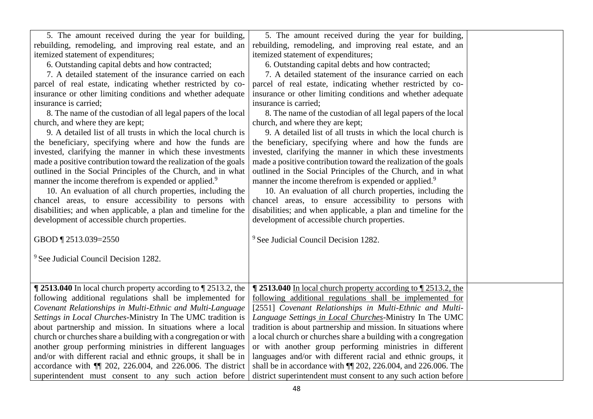| 5. The amount received during the year for building,<br>rebuilding, remodeling, and improving real estate, and an<br>itemized statement of expenditures;<br>6. Outstanding capital debts and how contracted;<br>7. A detailed statement of the insurance carried on each<br>parcel of real estate, indicating whether restricted by co-<br>insurance or other limiting conditions and whether adequate<br>insurance is carried;<br>8. The name of the custodian of all legal papers of the local<br>church, and where they are kept;<br>9. A detailed list of all trusts in which the local church is<br>the beneficiary, specifying where and how the funds are<br>invested, clarifying the manner in which these investments<br>made a positive contribution toward the realization of the goals<br>outlined in the Social Principles of the Church, and in what | 5. The amount received during the year for building,<br>rebuilding, remodeling, and improving real estate, and an<br>itemized statement of expenditures;<br>6. Outstanding capital debts and how contracted;<br>7. A detailed statement of the insurance carried on each<br>parcel of real estate, indicating whether restricted by co-<br>insurance or other limiting conditions and whether adequate<br>insurance is carried;<br>8. The name of the custodian of all legal papers of the local<br>church, and where they are kept;<br>9. A detailed list of all trusts in which the local church is<br>the beneficiary, specifying where and how the funds are<br>invested, clarifying the manner in which these investments<br>made a positive contribution toward the realization of the goals<br>outlined in the Social Principles of the Church, and in what |  |
|--------------------------------------------------------------------------------------------------------------------------------------------------------------------------------------------------------------------------------------------------------------------------------------------------------------------------------------------------------------------------------------------------------------------------------------------------------------------------------------------------------------------------------------------------------------------------------------------------------------------------------------------------------------------------------------------------------------------------------------------------------------------------------------------------------------------------------------------------------------------|--------------------------------------------------------------------------------------------------------------------------------------------------------------------------------------------------------------------------------------------------------------------------------------------------------------------------------------------------------------------------------------------------------------------------------------------------------------------------------------------------------------------------------------------------------------------------------------------------------------------------------------------------------------------------------------------------------------------------------------------------------------------------------------------------------------------------------------------------------------------|--|
| manner the income therefrom is expended or applied. <sup>9</sup>                                                                                                                                                                                                                                                                                                                                                                                                                                                                                                                                                                                                                                                                                                                                                                                                   | manner the income therefrom is expended or applied. <sup>9</sup>                                                                                                                                                                                                                                                                                                                                                                                                                                                                                                                                                                                                                                                                                                                                                                                                   |  |
| 10. An evaluation of all church properties, including the<br>chancel areas, to ensure accessibility to persons with                                                                                                                                                                                                                                                                                                                                                                                                                                                                                                                                                                                                                                                                                                                                                | 10. An evaluation of all church properties, including the<br>chancel areas, to ensure accessibility to persons with                                                                                                                                                                                                                                                                                                                                                                                                                                                                                                                                                                                                                                                                                                                                                |  |
| disabilities; and when applicable, a plan and timeline for the<br>development of accessible church properties.                                                                                                                                                                                                                                                                                                                                                                                                                                                                                                                                                                                                                                                                                                                                                     | disabilities; and when applicable, a plan and timeline for the<br>development of accessible church properties.                                                                                                                                                                                                                                                                                                                                                                                                                                                                                                                                                                                                                                                                                                                                                     |  |
| GBOD 12513.039=2550                                                                                                                                                                                                                                                                                                                                                                                                                                                                                                                                                                                                                                                                                                                                                                                                                                                | <sup>9</sup> See Judicial Council Decision 1282.                                                                                                                                                                                                                                                                                                                                                                                                                                                                                                                                                                                                                                                                                                                                                                                                                   |  |
| <sup>9</sup> See Judicial Council Decision 1282.                                                                                                                                                                                                                                                                                                                                                                                                                                                                                                                                                                                                                                                                                                                                                                                                                   |                                                                                                                                                                                                                                                                                                                                                                                                                                                                                                                                                                                                                                                                                                                                                                                                                                                                    |  |
|                                                                                                                                                                                                                                                                                                                                                                                                                                                                                                                                                                                                                                                                                                                                                                                                                                                                    |                                                                                                                                                                                                                                                                                                                                                                                                                                                                                                                                                                                                                                                                                                                                                                                                                                                                    |  |
| $\P$ 2513.040 In local church property according to $\P$ 2513.2, the<br>following additional regulations shall be implemented for                                                                                                                                                                                                                                                                                                                                                                                                                                                                                                                                                                                                                                                                                                                                  | $\parallel$ 2513.040 In local church property according to $\parallel$ 2513.2, the<br>following additional regulations shall be implemented for                                                                                                                                                                                                                                                                                                                                                                                                                                                                                                                                                                                                                                                                                                                    |  |
| Covenant Relationships in Multi-Ethnic and Multi-Language                                                                                                                                                                                                                                                                                                                                                                                                                                                                                                                                                                                                                                                                                                                                                                                                          | [2551] Covenant Relationships in Multi-Ethnic and Multi-                                                                                                                                                                                                                                                                                                                                                                                                                                                                                                                                                                                                                                                                                                                                                                                                           |  |
| Settings in Local Churches-Ministry In The UMC tradition is                                                                                                                                                                                                                                                                                                                                                                                                                                                                                                                                                                                                                                                                                                                                                                                                        | Language Settings in Local Churches-Ministry In The UMC                                                                                                                                                                                                                                                                                                                                                                                                                                                                                                                                                                                                                                                                                                                                                                                                            |  |
| about partnership and mission. In situations where a local                                                                                                                                                                                                                                                                                                                                                                                                                                                                                                                                                                                                                                                                                                                                                                                                         | tradition is about partnership and mission. In situations where                                                                                                                                                                                                                                                                                                                                                                                                                                                                                                                                                                                                                                                                                                                                                                                                    |  |
| church or churches share a building with a congregation or with                                                                                                                                                                                                                                                                                                                                                                                                                                                                                                                                                                                                                                                                                                                                                                                                    | a local church or churches share a building with a congregation                                                                                                                                                                                                                                                                                                                                                                                                                                                                                                                                                                                                                                                                                                                                                                                                    |  |
| another group performing ministries in different languages                                                                                                                                                                                                                                                                                                                                                                                                                                                                                                                                                                                                                                                                                                                                                                                                         | or with another group performing ministries in different                                                                                                                                                                                                                                                                                                                                                                                                                                                                                                                                                                                                                                                                                                                                                                                                           |  |
| and/or with different racial and ethnic groups, it shall be in                                                                                                                                                                                                                                                                                                                                                                                                                                                                                                                                                                                                                                                                                                                                                                                                     | languages and/or with different racial and ethnic groups, it                                                                                                                                                                                                                                                                                                                                                                                                                                                                                                                                                                                                                                                                                                                                                                                                       |  |
| accordance with $\P$ 202, 226.004, and 226.006. The district                                                                                                                                                                                                                                                                                                                                                                                                                                                                                                                                                                                                                                                                                                                                                                                                       | shall be in accordance with $\P$ 202, 226.004, and 226.006. The                                                                                                                                                                                                                                                                                                                                                                                                                                                                                                                                                                                                                                                                                                                                                                                                    |  |
| superintendent must consent to any such action before                                                                                                                                                                                                                                                                                                                                                                                                                                                                                                                                                                                                                                                                                                                                                                                                              | district superintendent must consent to any such action before                                                                                                                                                                                                                                                                                                                                                                                                                                                                                                                                                                                                                                                                                                                                                                                                     |  |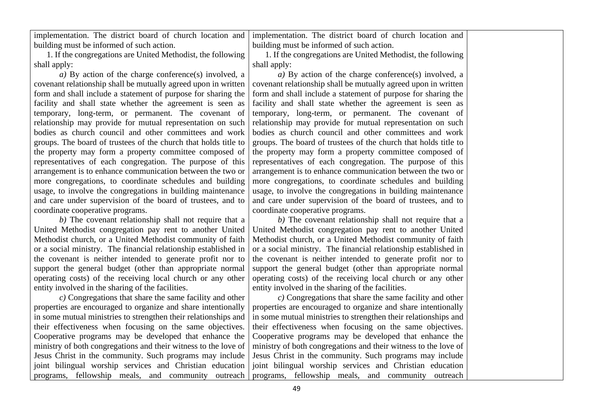implementation. The district board of church location and building must be informed of such action. implementation. The district board of church location and building must be informed of such action.

1. If the congregations are United Methodist, the following shall apply:

*a)* By action of the charge conference(s) involved, a covenant relationship shall be mutually agreed upon in written form and shall include a statement of purpose for sharing the facility and shall state whether the agreement is seen as temporary, long-term, or permanent. The covenant of relationship may provide for mutual representation on such bodies as church council and other committees and work groups. The board of trustees of the church that holds title to the property may form a property committee composed of representatives of each congregation. The purpose of this arrangement is to enhance communication between the two or more congregations, to coordinate schedules and building usage, to involve the congregations in building maintenance and care under supervision of the board of trustees, and to coordinate cooperative programs.

*b)* The covenant relationship shall not require that a United Methodist congregation pay rent to another United Methodist church, or a United Methodist community of faith or a social ministry. The financial relationship established in the covenant is neither intended to generate profit nor to support the general budget (other than appropriate normal operating costs) of the receiving local church or any other entity involved in the sharing of the facilities.

*c)* Congregations that share the same facility and other properties are encouraged to organize and share intentionally in some mutual ministries to strengthen their relationships and their effectiveness when focusing on the same objectives. Cooperative programs may be developed that enhance the ministry of both congregations and their witness to the love of Jesus Christ in the community. Such programs may include joint bilingual worship services and Christian education programs, fellowship meals, and community outreach

1. If the congregations are United Methodist, the following shall apply:

*a)* By action of the charge conference(s) involved, a covenant relationship shall be mutually agreed upon in written form and shall include a statement of purpose for sharing the facility and shall state whether the agreement is seen as temporary, long-term, or permanent. The covenant of relationship may provide for mutual representation on such bodies as church council and other committees and work groups. The board of trustees of the church that holds title to the property may form a property committee composed of representatives of each congregation. The purpose of this arrangement is to enhance communication between the two or more congregations, to coordinate schedules and building usage, to involve the congregations in building maintenance and care under supervision of the board of trustees, and to coordinate cooperative programs.

*b)* The covenant relationship shall not require that a United Methodist congregation pay rent to another United Methodist church, or a United Methodist community of faith or a social ministry. The financial relationship established in the covenant is neither intended to generate profit nor to support the general budget (other than appropriate normal operating costs) of the receiving local church or any other entity involved in the sharing of the facilities.

*c)* Congregations that share the same facility and other properties are encouraged to organize and share intentionally in some mutual ministries to strengthen their relationships and their effectiveness when focusing on the same objectives. Cooperative programs may be developed that enhance the ministry of both congregations and their witness to the love of Jesus Christ in the community. Such programs may include joint bilingual worship services and Christian education programs, fellowship meals, and community outreach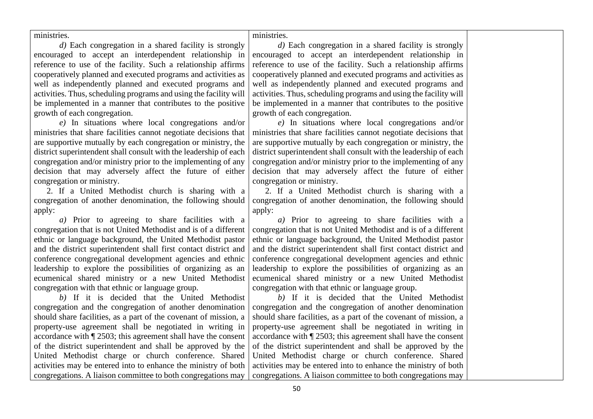ministries.

*d)* Each congregation in a shared facility is strongly encouraged to accept an interdependent relationship in reference to use of the facility. Such a relationship affirms cooperatively planned and executed programs and activities as well as independently planned and executed programs and activities. Thus, scheduling programs and using the facility will be implemented in a manner that contributes to the positive growth of each congregation.

*e)* In situations where local congregations and/or ministries that share facilities cannot negotiate decisions that are supportive mutually by each congregation or ministry, the district superintendent shall consult with the leadership of each congregation and/or ministry prior to the implementing of any decision that may adversely affect the future of either congregation or ministry.

2. If a United Methodist church is sharing with a congregation of another denomination, the following should apply:

*a)* Prior to agreeing to share facilities with a congregation that is not United Methodist and is of a different ethnic or language background, the United Methodist pastor and the district superintendent shall first contact district and conference congregational development agencies and ethnic leadership to explore the possibilities of organizing as an ecumenical shared ministry or a new United Methodist congregation with that ethnic or language group.

*b)* If it is decided that the United Methodist congregation and the congregation of another denomination should share facilities, as a part of the covenant of mission, a property-use agreement shall be negotiated in writing in accordance with ¶ 2503; this agreement shall have the consent of the district superintendent and shall be approved by the United Methodist charge or church conference. Shared activities may be entered into to enhance the ministry of both congregations. A liaison committee to both congregations may

ministries.

*d)* Each congregation in a shared facility is strongly encouraged to accept an interdependent relationship in reference to use of the facility. Such a relationship affirms cooperatively planned and executed programs and activities as well as independently planned and executed programs and activities. Thus, scheduling programs and using the facility will be implemented in a manner that contributes to the positive growth of each congregation.

*e)* In situations where local congregations and/or ministries that share facilities cannot negotiate decisions that are supportive mutually by each congregation or ministry, the district superintendent shall consult with the leadership of each congregation and/or ministry prior to the implementing of any decision that may adversely affect the future of either congregation or ministry.

2. If a United Methodist church is sharing with a congregation of another denomination, the following should apply:

*a)* Prior to agreeing to share facilities with a congregation that is not United Methodist and is of a different ethnic or language background, the United Methodist pastor and the district superintendent shall first contact district and conference congregational development agencies and ethnic leadership to explore the possibilities of organizing as an ecumenical shared ministry or a new United Methodist congregation with that ethnic or language group.

*b)* If it is decided that the United Methodist congregation and the congregation of another denomination should share facilities, as a part of the covenant of mission, a property-use agreement shall be negotiated in writing in accordance with ¶ 2503; this agreement shall have the consent of the district superintendent and shall be approved by the United Methodist charge or church conference. Shared activities may be entered into to enhance the ministry of both congregations. A liaison committee to both congregations may